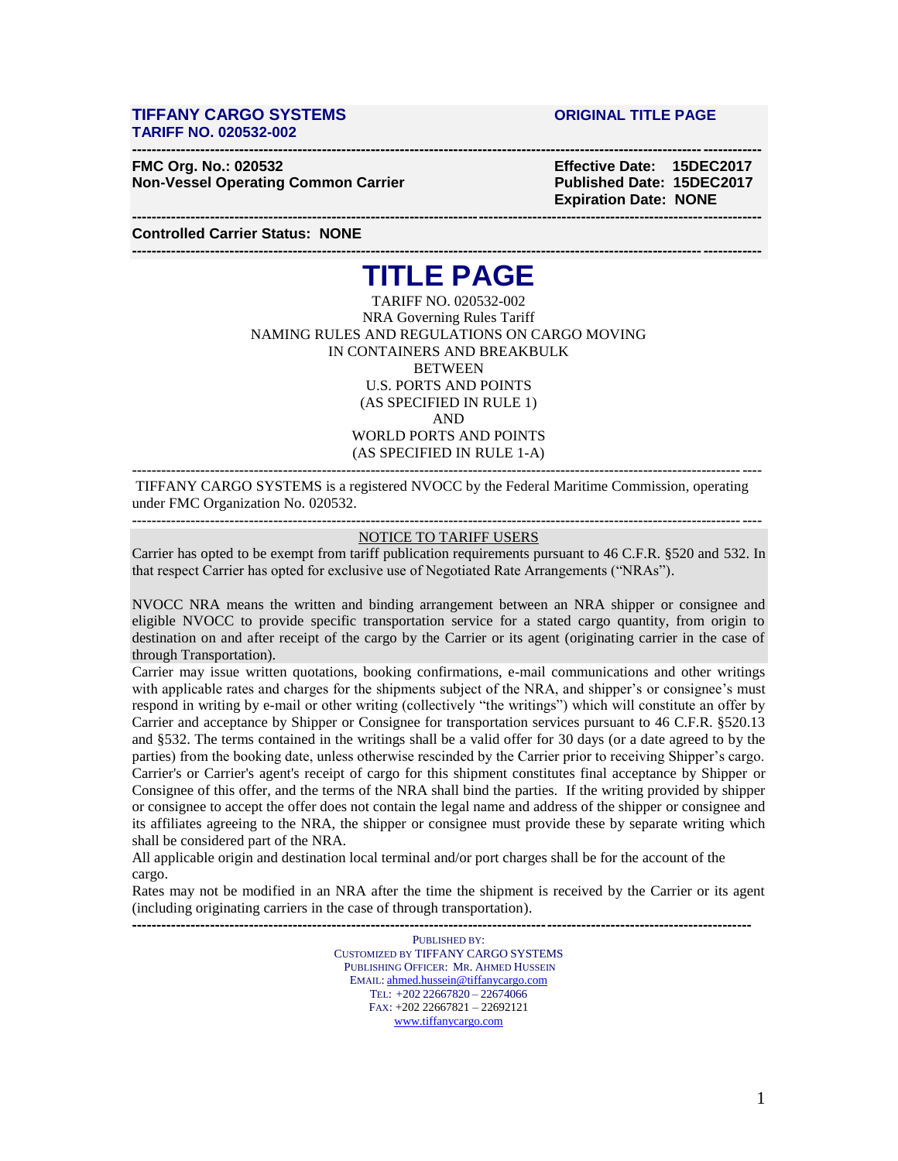### **TIFFANY CARGO SYSTEMS ORIGINAL TITLE PAGE TARIFF NO. 020532-002**

**FMC Org. No.: 020532 Effective Date: 15DEC2017 Non-Vessel Operating Common Carrier Mateur Accord Published Date: 15DEC2017** 

 **Expiration Date: NONE**

**Controlled Carrier Status: NONE**

# **--------------------------------------------------------------------------------------------------------------------------------- TITLE PAGE**

**---------------------------------------------------------------------------------------------------------------------------------**

**---------------------------------------------------------------------------------------------------------------------------------**

TARIFF NO. 020532-002 NRA Governing Rules Tariff NAMING RULES AND REGULATIONS ON CARGO MOVING IN CONTAINERS AND BREAKBULK **BETWEEN** U.S. PORTS AND POINTS (AS SPECIFIED IN RULE 1) AND WORLD PORTS AND POINTS (AS SPECIFIED IN RULE 1-A)

TIFFANY CARGO SYSTEMS is a registered NVOCC by the Federal Maritime Commission, operating under FMC Organization No. 020532.

**---------------------------------------------------------------------------------------------------------------------------------**

#### **---------------------------------------------------------------------------------------------------------------------------------** NOTICE TO TARIFF USERS

Carrier has opted to be exempt from tariff publication requirements pursuant to 46 C.F.R. §520 and 532. In that respect Carrier has opted for exclusive use of Negotiated Rate Arrangements ("NRAs").

NVOCC NRA means the written and binding arrangement between an NRA shipper or consignee and eligible NVOCC to provide specific transportation service for a stated cargo quantity, from origin to destination on and after receipt of the cargo by the Carrier or its agent (originating carrier in the case of through Transportation).

Carrier may issue written quotations, booking confirmations, e-mail communications and other writings with applicable rates and charges for the shipments subject of the NRA, and shipper's or consignee's must respond in writing by e-mail or other writing (collectively "the writings") which will constitute an offer by Carrier and acceptance by Shipper or Consignee for transportation services pursuant to 46 C.F.R. §520.13 and §532. The terms contained in the writings shall be a valid offer for 30 days (or a date agreed to by the parties) from the booking date, unless otherwise rescinded by the Carrier prior to receiving Shipper's cargo. Carrier's or Carrier's agent's receipt of cargo for this shipment constitutes final acceptance by Shipper or Consignee of this offer, and the terms of the NRA shall bind the parties. If the writing provided by shipper or consignee to accept the offer does not contain the legal name and address of the shipper or consignee and its affiliates agreeing to the NRA, the shipper or consignee must provide these by separate writing which shall be considered part of the NRA.

All applicable origin and destination local terminal and/or port charges shall be for the account of the cargo.

Rates may not be modified in an NRA after the time the shipment is received by the Carrier or its agent (including originating carriers in the case of through transportation). **-------------------------------------------------------------------------------------------------------------------------------**

> PUBLISHED BY: CUSTOMIZED BY TIFFANY CARGO SYSTEMS PUBLISHING OFFICER: MR. AHMED HUSSEIN EMAIL: [ahmed.hussein@tiffanycargo.com](mailto:ahmed.hussein@tiffanycargo.com) TEL: +202 22667820 – 22674066 FAX: +202 22667821 – 22692121 [www.tiffanycargo.com](http://www.tiffanycargo.com/)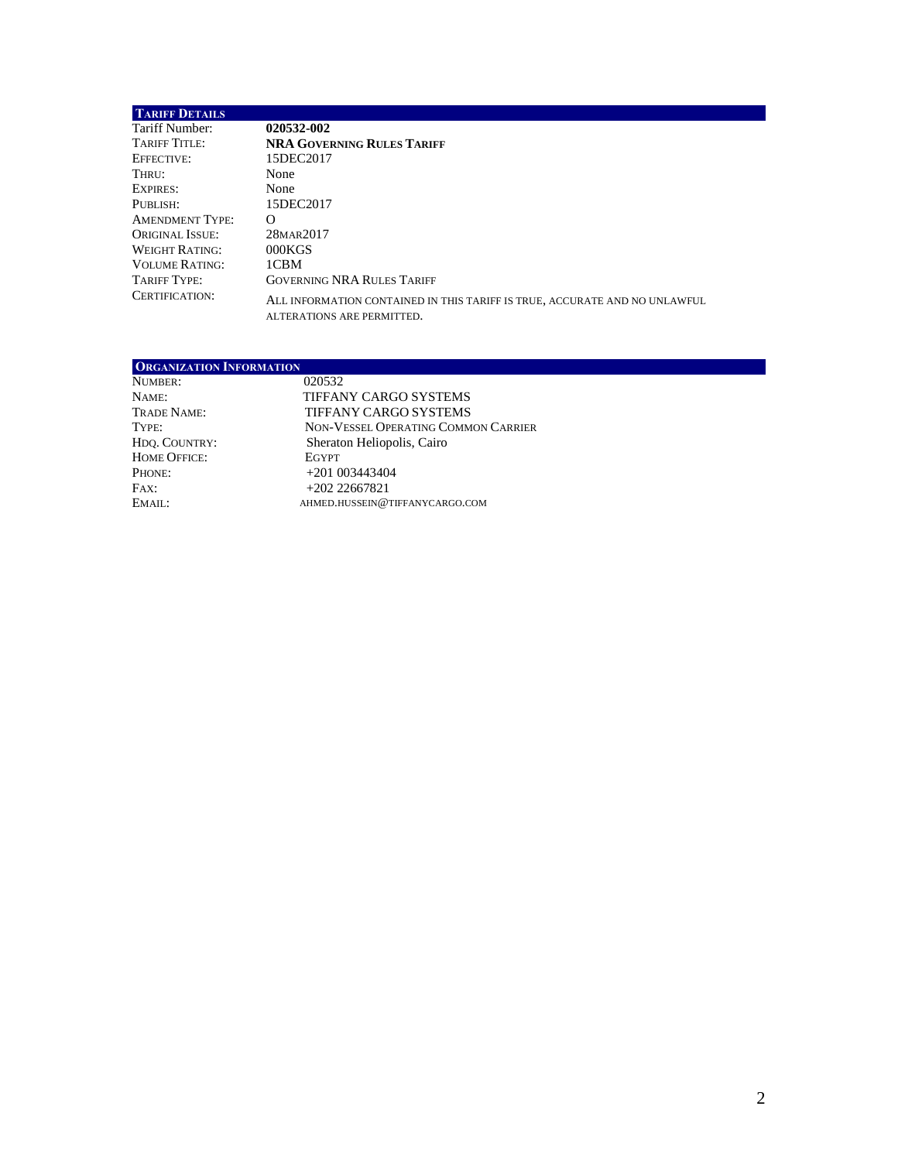| <b>TARIFF DETAILS</b>  |                                                                                                          |
|------------------------|----------------------------------------------------------------------------------------------------------|
| Tariff Number:         | 020532-002                                                                                               |
| TARIFF TITLE:          | <b>NRA GOVERNING RULES TARIFF</b>                                                                        |
| EFFECTIVE:             | 15DEC2017                                                                                                |
| Thru:                  | None                                                                                                     |
| EXPIRES:               | None                                                                                                     |
| PUBLISH:               | 15DEC2017                                                                                                |
| <b>AMENDMENT TYPE:</b> | Ω                                                                                                        |
| <b>ORIGINAL ISSUE:</b> | 28MAR2017                                                                                                |
| WEIGHT RATING:         | 000KGS                                                                                                   |
| <b>VOLUME RATING:</b>  | 1CBM                                                                                                     |
| TARIFF TYPE:           | <b>GOVERNING NRA RULES TARIFF</b>                                                                        |
| CERTIFICATION:         | ALL INFORMATION CONTAINED IN THIS TARIFF IS TRUE, ACCURATE AND NO UNLAWFUL<br>ALTERATIONS ARE PERMITTED. |

| <b>ORGANIZATION INFORMATION</b> |                                     |  |
|---------------------------------|-------------------------------------|--|
| NUMBER:                         | 020532                              |  |
| NAME:                           | TIFFANY CARGO SYSTEMS               |  |
| TRADE NAME:                     | <b>TIFFANY CARGO SYSTEMS</b>        |  |
| TYPE:                           | NON-VESSEL OPERATING COMMON CARRIER |  |
| HDO. COUNTRY:                   | Sheraton Heliopolis, Cairo          |  |
| <b>HOME OFFICE:</b>             | EGYPT                               |  |
| PHONE:                          | $+201003443404$                     |  |
| FAX:                            | $+20222667821$                      |  |
| EMAIL:                          | AHMED.HUSSEIN@TIFFANYCARGO.COM      |  |
|                                 |                                     |  |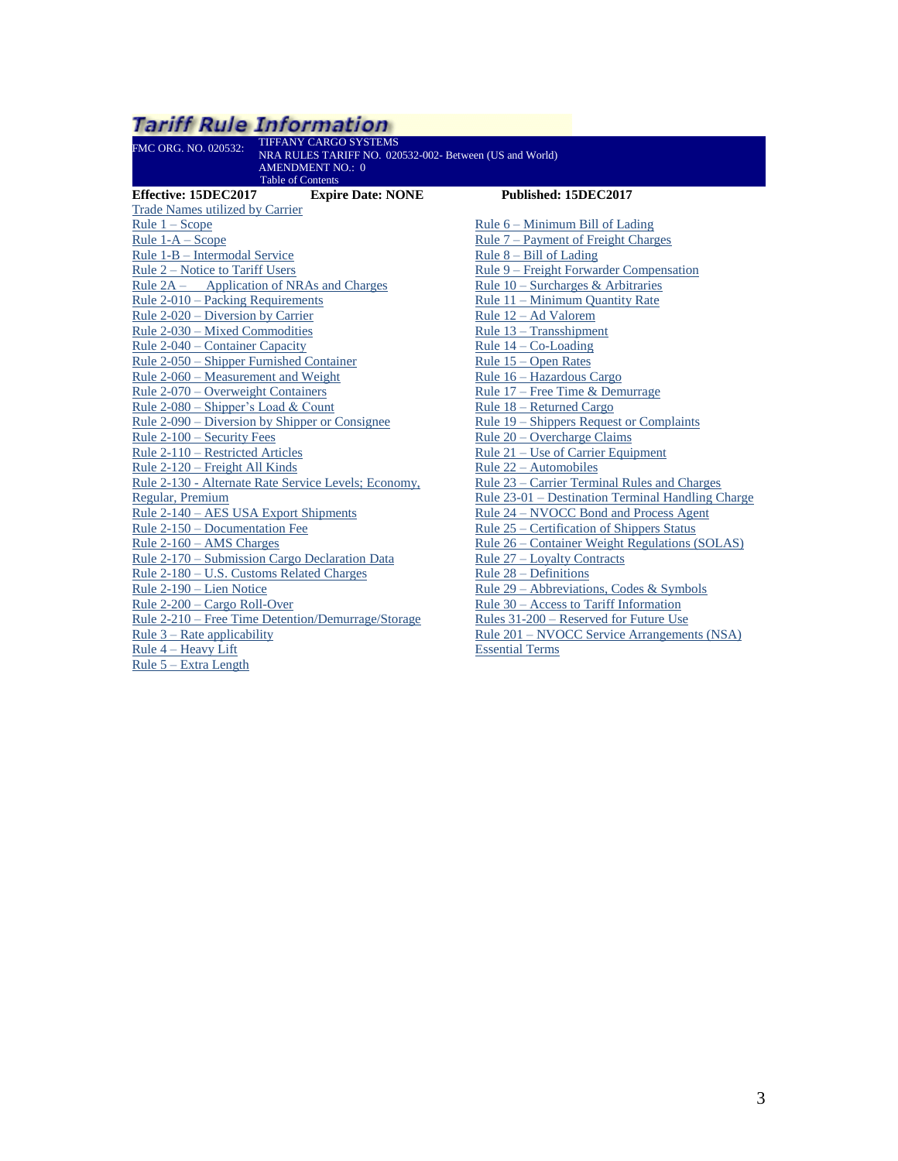<span id="page-2-0"></span>

| <b>Tariff Rule Information</b>                          |                                                   |
|---------------------------------------------------------|---------------------------------------------------|
| <b>TIFFANY CARGO SYSTEMS</b><br>FMC ORG. NO. 020532:    |                                                   |
| NRA RULES TARIFF NO. 020532-002- Between (US and World) |                                                   |
| <b>AMENDMENT NO.: 0</b><br><b>Table of Contents</b>     |                                                   |
| Effective: 15DEC2017<br><b>Expire Date: NONE</b>        | Published: 15DEC2017                              |
| <b>Trade Names utilized by Carrier</b>                  |                                                   |
| Rule $1 -$ Scope                                        | Rule $6 -$ Minimum Bill of Lading                 |
| Rule $1-A - \text{Scope}$                               | <u>Rule 7 – Payment of Freight Charges</u>        |
| Rule 1-B - Intermodal Service                           | Rule $8 - Bill$ of Lading                         |
| Rule 2 – Notice to Tariff Users                         | Rule 9 – Freight Forwarder Compensation           |
| Rule 2A – Application of NRAs and Charges               | Rule $10$ – Surcharges & Arbitraries              |
| Rule 2-010 – Packing Requirements                       | Rule 11 - Minimum Quantity Rate                   |
| Rule 2-020 – Diversion by Carrier                       | Rule 12 – Ad Valorem                              |
| Rule 2-030 – Mixed Commodities                          | Rule 13 – Transshipment                           |
| Rule 2-040 – Container Capacity                         | Rule $14 - Co$ -Loading                           |
| Rule 2-050 – Shipper Furnished Container                | Rule 15 - Open Rates                              |
| Rule 2-060 – Measurement and Weight                     | Rule 16 - Hazardous Cargo                         |
| Rule 2-070 – Overweight Containers                      | Rule 17 – Free Time & Demurrage                   |
| Rule $2-080$ – Shipper's Load & Count                   | Rule 18 - Returned Cargo                          |
| Rule 2-090 – Diversion by Shipper or Consignee          | Rule 19 – Shippers Request or Complaints          |
| Rule 2-100 - Security Fees                              | Rule 20 – Overcharge Claims                       |
| Rule 2-110 - Restricted Articles                        | Rule 21 – Use of Carrier Equipment                |
| Rule 2-120 - Freight All Kinds                          | Rule 22 - Automobiles                             |
| Rule 2-130 - Alternate Rate Service Levels; Economy,    | Rule 23 - Carrier Terminal Rules and Charges      |
| Regular, Premium                                        | Rule 23-01 - Destination Terminal Handling Charge |
| Rule 2-140 – AES USA Export Shipments                   | Rule 24 – NVOCC Bond and Process Agent            |
| Rule 2-150 – Documentation Fee                          | Rule 25 – Certification of Shippers Status        |
| Rule $2-160 - AMS$ Charges                              | Rule 26 – Container Weight Regulations (SOLAS)    |
| Rule 2-170 – Submission Cargo Declaration Data          | Rule 27 – Loyalty Contracts                       |
| Rule 2-180 – U.S. Customs Related Charges               | Rule 28 – Definitions                             |
| Rule 2-190 - Lien Notice                                | Rule 29 – Abbreviations, Codes & Symbols          |
| Rule 2-200 – Cargo Roll-Over                            | Rule 30 – Access to Tariff Information            |
| Rule 2-210 – Free Time Detention/Demurrage/Storage      | Rules 31-200 – Reserved for Future Use            |
| Rule $3$ – Rate applicability                           | Rule 201 – NVOCC Service Arrangements (NSA)       |
| Rule 4 – Heavy Lift                                     | <b>Essential Terms</b>                            |

Rule 5 – [Extra Length](#page-16-2)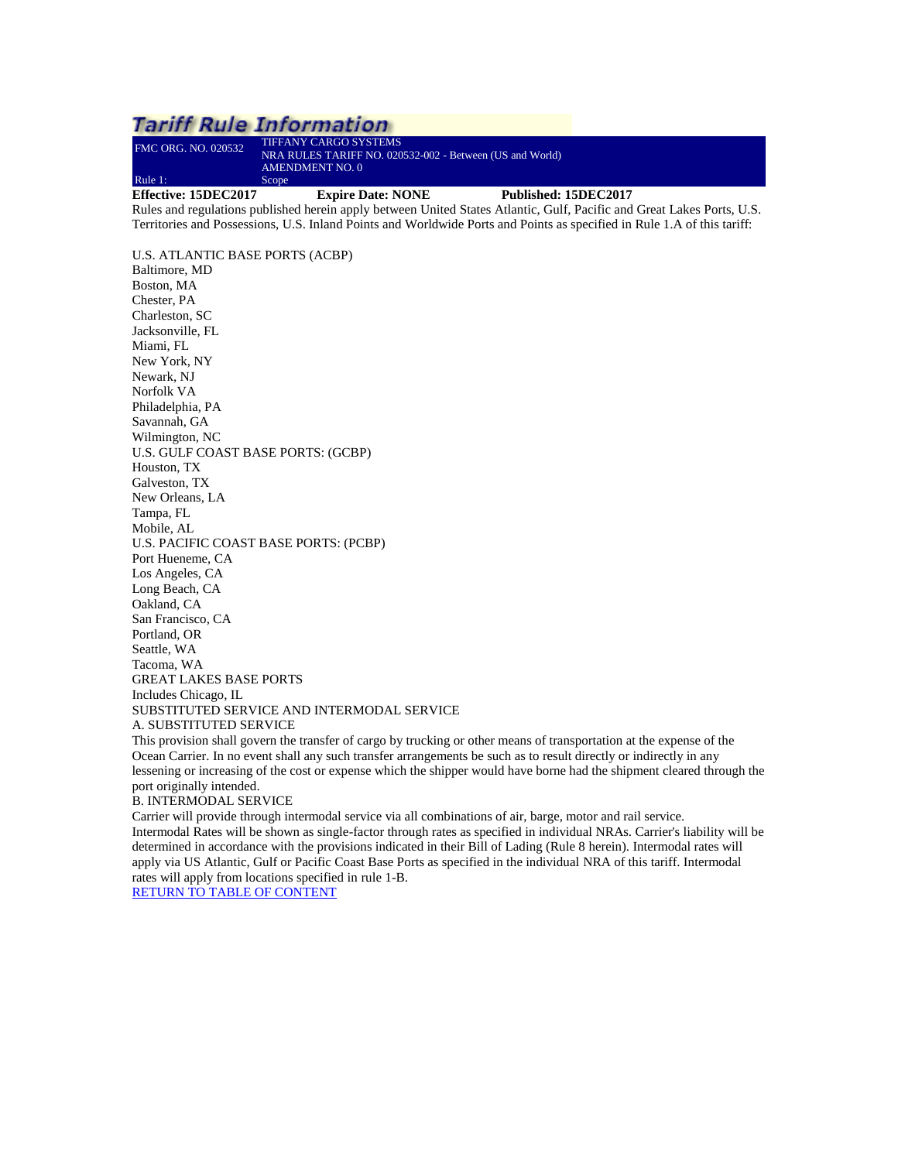#### <span id="page-3-0"></span>**Tariff Rule Information** FMC ORG. NO. 020532 TIFFANY CARGO SYSTEMS NRA RULES TARIFF NO. 020532-002 - Between (US and World) AMENDMENT NO. 0 Rule 1: Scope **Effective: 15DEC2017 Expire Date: NONE Published: 15DEC2017** Rules and regulations published herein apply between United States Atlantic, Gulf, Pacific and Great Lakes Ports, U.S. Territories and Possessions, U.S. Inland Points and Worldwide Ports and Points as specified in Rule 1.A of this tariff:

U.S. ATLANTIC BASE PORTS (ACBP) Baltimore, MD Boston, MA Chester, PA Charleston, SC Jacksonville, FL Miami, FL New York, NY Newark, NJ Norfolk VA Philadelphia, PA Savannah, GA Wilmington, NC U.S. GULF COAST BASE PORTS: (GCBP) Houston, TX Galveston, TX New Orleans, LA Tampa, FL Mobile, AL U.S. PACIFIC COAST BASE PORTS: (PCBP) Port Hueneme, CA Los Angeles, CA Long Beach, CA Oakland, CA San Francisco, CA Portland, OR Seattle, WA Tacoma, WA GREAT LAKES BASE PORTS Includes Chicago, IL SUBSTITUTED SERVICE AND INTERMODAL SERVICE A. SUBSTITUTED SERVICE

This provision shall govern the transfer of cargo by trucking or other means of transportation at the expense of the Ocean Carrier. In no event shall any such transfer arrangements be such as to result directly or indirectly in any lessening or increasing of the cost or expense which the shipper would have borne had the shipment cleared through the port originally intended.

B. INTERMODAL SERVICE

Carrier will provide through intermodal service via all combinations of air, barge, motor and rail service. Intermodal Rates will be shown as single-factor through rates as specified in individual NRAs. Carrier's liability will be determined in accordance with the provisions indicated in their Bill of Lading (Rule 8 herein). Intermodal rates will apply via US Atlantic, Gulf or Pacific Coast Base Ports as specified in the individual NRA of this tariff. Intermodal rates will apply from locations specified in rule 1-B.

[RETURN TO TABLE OF CONTENT](#page-2-0)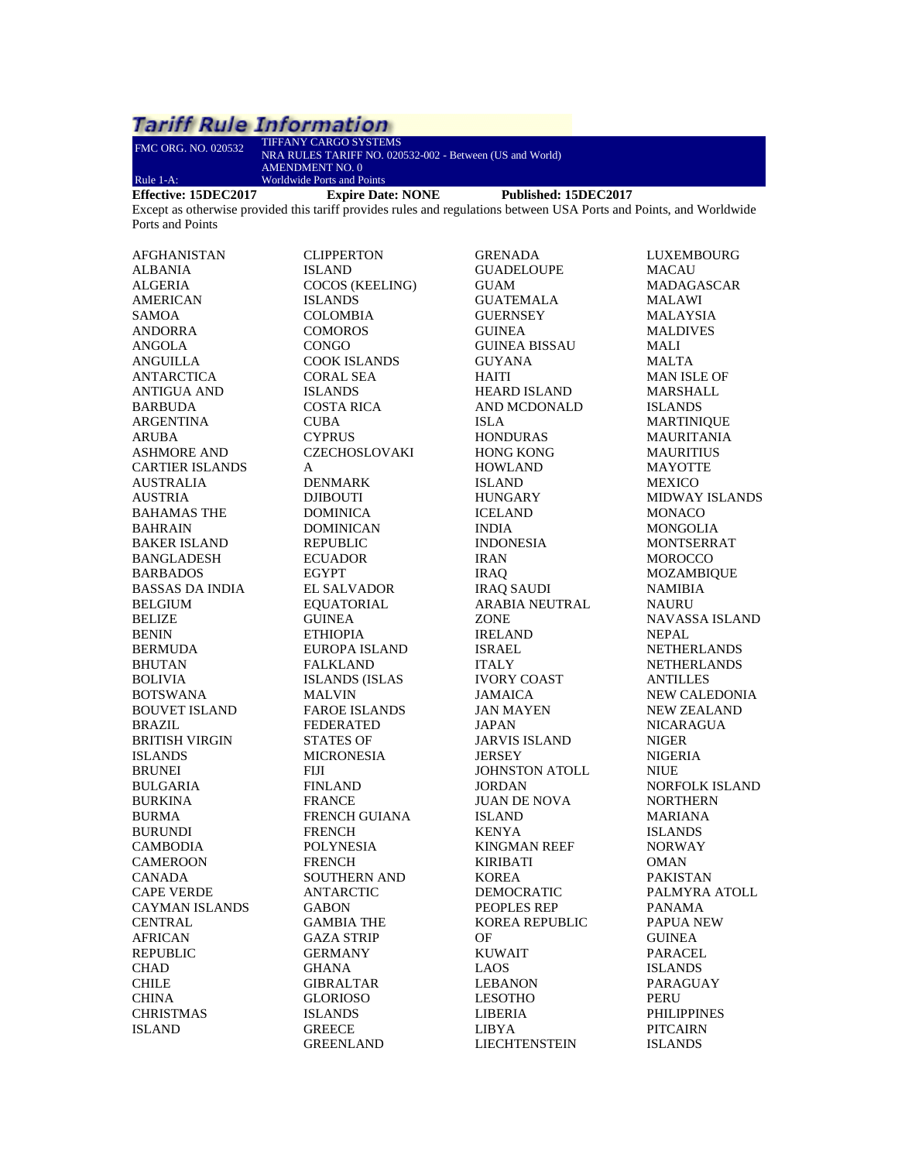| FMC ORG. NO. 020532    | TIFFANY CARGO SYSTEMS<br>NRA RULES TARIFF NO. 020532-002 - Between (US and World)<br><b>AMENDMENT NO. 0</b>         |                       |                       |
|------------------------|---------------------------------------------------------------------------------------------------------------------|-----------------------|-----------------------|
| Rule 1-A:              | <b>Worldwide Ports and Points</b>                                                                                   |                       |                       |
| Effective: 15DEC2017   | <b>Expire Date: NONE</b>                                                                                            | Published: 15DEC2017  |                       |
|                        | Except as otherwise provided this tariff provides rules and regulations between USA Ports and Points, and Worldwide |                       |                       |
| Ports and Points       |                                                                                                                     |                       |                       |
| AFGHANISTAN            | <b>CLIPPERTON</b>                                                                                                   | GRENADA               | LUXEMBOURG            |
| <b>ALBANIA</b>         | <b>ISLAND</b>                                                                                                       | <b>GUADELOUPE</b>     | MACAU                 |
| <b>ALGERIA</b>         | COCOS (KEELING)                                                                                                     | GUAM                  | MADAGASCAR            |
|                        | <b>ISLANDS</b>                                                                                                      | <b>GUATEMALA</b>      | <b>MALAWI</b>         |
| <b>AMERICAN</b>        |                                                                                                                     |                       |                       |
| SAMOA                  | COLOMBIA                                                                                                            | GUERNSEY              | MALAYSIA              |
| ANDORRA                | <b>COMOROS</b>                                                                                                      | <b>GUINEA</b>         | <b>MALDIVES</b>       |
| ANGOLA                 | <b>CONGO</b>                                                                                                        | <b>GUINEA BISSAU</b>  | MALI                  |
| ANGUILLA               | <b>COOK ISLANDS</b>                                                                                                 | <b>GUYANA</b>         | MALTA                 |
| ANTARCTICA             | CORAL SEA                                                                                                           | HAITI                 | MAN ISLE OF           |
| <b>ANTIGUA AND</b>     | <b>ISLANDS</b>                                                                                                      | <b>HEARD ISLAND</b>   | <b>MARSHALL</b>       |
| <b>BARBUDA</b>         | COSTA RICA                                                                                                          | AND MCDONALD          | <b>ISLANDS</b>        |
| ARGENTINA              | <b>CUBA</b>                                                                                                         | ISLA                  | <b>MARTINIQUE</b>     |
| ARUBA                  | <b>CYPRUS</b>                                                                                                       | <b>HONDURAS</b>       | MAURITANIA            |
| <b>ASHMORE AND</b>     | <b>CZECHOSLOVAKI</b>                                                                                                | <b>HONG KONG</b>      | <b>MAURITIUS</b>      |
| <b>CARTIER ISLANDS</b> | A                                                                                                                   | <b>HOWLAND</b>        | <b>MAYOTTE</b>        |
| AUSTRALIA              | <b>DENMARK</b>                                                                                                      | <b>ISLAND</b>         | <b>MEXICO</b>         |
| <b>AUSTRIA</b>         | <b>DJIBOUTI</b>                                                                                                     | <b>HUNGARY</b>        | <b>MIDWAY ISLANDS</b> |
| <b>BAHAMAS THE</b>     | <b>DOMINICA</b>                                                                                                     | <b>ICELAND</b>        | <b>MONACO</b>         |
| <b>BAHRAIN</b>         | <b>DOMINICAN</b>                                                                                                    | <b>INDIA</b>          | MONGOLIA              |
| <b>BAKER ISLAND</b>    | <b>REPUBLIC</b>                                                                                                     | <b>INDONESIA</b>      | <b>MONTSERRAT</b>     |
| <b>BANGLADESH</b>      | <b>ECUADOR</b>                                                                                                      | <b>IRAN</b>           | <b>MOROCCO</b>        |
| <b>BARBADOS</b>        | <b>EGYPT</b>                                                                                                        | <b>IRAO</b>           | <b>MOZAMBIQUE</b>     |
| <b>BASSAS DA INDIA</b> | <b>EL SALVADOR</b>                                                                                                  | <b>IRAQ SAUDI</b>     | NAMIBIA               |
| <b>BELGIUM</b>         | <b>EQUATORIAL</b>                                                                                                   | ARABIA NEUTRAL        | NAURU                 |
| <b>BELIZE</b>          | <b>GUINEA</b>                                                                                                       | ZONE                  | NAVASSA ISLAND        |
| <b>BENIN</b>           | <b>ETHIOPIA</b>                                                                                                     | <b>IRELAND</b>        | <b>NEPAL</b>          |
| <b>BERMUDA</b>         | EUROPA ISLAND                                                                                                       | <b>ISRAEL</b>         | <b>NETHERLANDS</b>    |
| <b>BHUTAN</b>          | <b>FALKLAND</b>                                                                                                     | <b>ITALY</b>          | <b>NETHERLANDS</b>    |
| <b>BOLIVIA</b>         | <b>ISLANDS (ISLAS</b>                                                                                               | <b>IVORY COAST</b>    | <b>ANTILLES</b>       |
| <b>BOTSWANA</b>        | <b>MALVIN</b>                                                                                                       | <b>JAMAICA</b>        | NEW CALEDONIA         |
| <b>BOUVET ISLAND</b>   | <b>FAROE ISLANDS</b>                                                                                                | <b>JAN MAYEN</b>      | <b>NEW ZEALAND</b>    |
| <b>BRAZIL</b>          | <b>FEDERATED</b>                                                                                                    | <b>JAPAN</b>          | <b>NICARAGUA</b>      |
| <b>BRITISH VIRGIN</b>  | STATES OF                                                                                                           | <b>JARVIS ISLAND</b>  | <b>NIGER</b>          |
| <b>ISLANDS</b>         | <b>MICRONESIA</b>                                                                                                   | JERSEY                | <b>NIGERIA</b>        |
| <b>BRUNEI</b>          | FIJI                                                                                                                | <b>JOHNSTON ATOLL</b> | <b>NIUE</b>           |
| <b>BULGARIA</b>        | <b>FINLAND</b>                                                                                                      | JORDAN                | <b>NORFOLK ISLAND</b> |
| <b>BURKINA</b>         | <b>FRANCE</b>                                                                                                       | <b>JUAN DE NOVA</b>   | <b>NORTHERN</b>       |
| <b>BURMA</b>           | <b>FRENCH GUIANA</b>                                                                                                | <b>ISLAND</b>         | MARIANA               |
| <b>BURUNDI</b>         | <b>FRENCH</b>                                                                                                       | <b>KENYA</b>          | <b>ISLANDS</b>        |
| CAMBODIA               | <b>POLYNESIA</b>                                                                                                    | <b>KINGMAN REEF</b>   | <b>NORWAY</b>         |
| <b>CAMEROON</b>        | <b>FRENCH</b>                                                                                                       | <b>KIRIBATI</b>       | OMAN                  |
| <b>CANADA</b>          | <b>SOUTHERN AND</b>                                                                                                 | <b>KOREA</b>          | <b>PAKISTAN</b>       |
| <b>CAPE VERDE</b>      | ANTARCTIC                                                                                                           | <b>DEMOCRATIC</b>     | PALMYRA ATOLL         |
| <b>CAYMAN ISLANDS</b>  | <b>GABON</b>                                                                                                        | PEOPLES REP           | PANAMA                |
| <b>CENTRAL</b>         | <b>GAMBIA THE</b>                                                                                                   | KOREA REPUBLIC        | <b>PAPUA NEW</b>      |
| <b>AFRICAN</b>         | <b>GAZA STRIP</b>                                                                                                   | OF                    | <b>GUINEA</b>         |
| REPUBLIC               | <b>GERMANY</b>                                                                                                      | <b>KUWAIT</b>         | PARACEL               |
| <b>CHAD</b>            | <b>GHANA</b>                                                                                                        | <b>LAOS</b>           | <b>ISLANDS</b>        |
| <b>CHILE</b>           | <b>GIBRALTAR</b>                                                                                                    | LEBANON               | PARAGUAY              |
| <b>CHINA</b>           | <b>GLORIOSO</b>                                                                                                     | <b>LESOTHO</b>        | <b>PERU</b>           |
| <b>CHRISTMAS</b>       |                                                                                                                     |                       | <b>PHILIPPINES</b>    |
|                        | <b>ISLANDS</b>                                                                                                      | LIBERIA               |                       |
| <b>ISLAND</b>          | <b>GREECE</b>                                                                                                       | LIBYA                 | <b>PITCAIRN</b>       |
|                        | <b>GREENLAND</b>                                                                                                    | LIECHTENSTEIN         | <b>ISLANDS</b>        |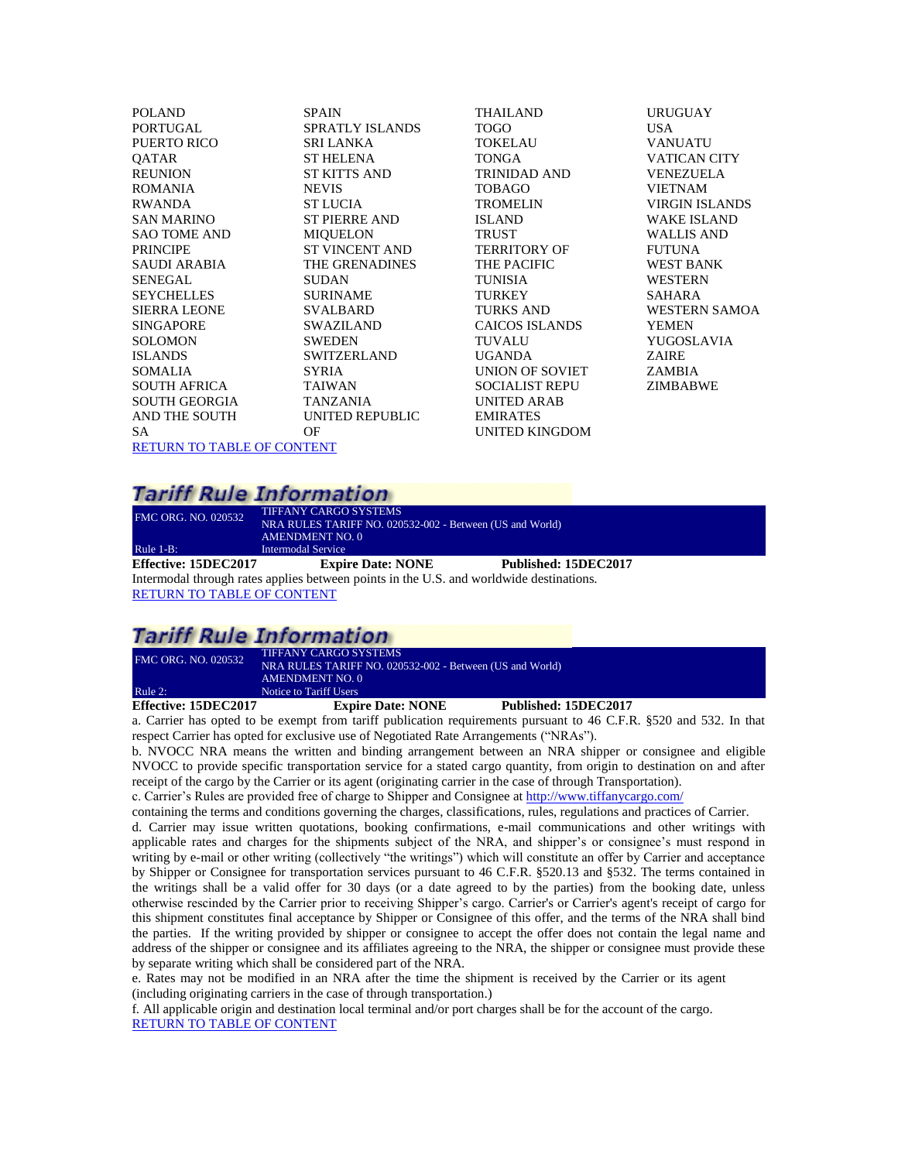POLAND PORTUGAL PUERTO RICO **OATAR** REUNION ROMANIA RWANDA SAN MARINO SAO TOME AND PRINCIPE SAUDI ARABIA SENEGAL **SEYCHELLES** SIERRA LEONE SINGAPORE **SOLOMON** ISLANDS SOMALIA SOUTH AFRICA SOUTH GEORGIA AND THE SOUTH SA SPAIN SPRATLY ISLANDS SRI LANKA ST HELENA ST KITTS AND NEVIS ST LUCIA ST PIERRE AND MIQUELON ST VINCENT AND THE GRENADINES **SUDAN** SURINAME SVALBARD SWAZILAND **SWEDEN** SWITZERLAND SYRIA TAIWAN TANZANIA UNITED REPUBLIC OF [RETURN TO TABLE OF CONTENT](#page-2-0)

THAILAND TOGO **TOKELAU TONGA** TRINIDAD AND TOBAGO TROMELIN ISLAND TRUST TERRITORY OF THE PACIFIC TUNISIA **TURKEY** TURKS AND CAICOS ISLANDS TUVALU UGANDA UNION OF SOVIET SOCIALIST REPU UNITED ARAB EMIRATES UNITED KINGDOM

#### URUGUAY USA VANUATU VATICAN CITY VENEZUELA VIETNAM VIRGIN ISLANDS WAKE ISLAND WALLIS AND FUTUNA WEST BANK WESTERN SAHARA WESTERN SAMOA YEMEN YUGOSLAVIA ZAIRE ZAMBIA ZIMBABWE

### **Tariff Rule Information**

<span id="page-5-0"></span>FMC ORG. NO. 020532 TIFFANY CARGO SYSTEMS NRA RULES TARIFF NO. 020532-002 - Between (US and World) AMENDMENT NO. 0 Rule 1-B: Intermodal Service<br> **Effective: 15DEC2017** Expi **Expire Date: NONE** Published: 15DEC2017 Intermodal through rates applies between points in the U.S. and worldwide destinations. [RETURN TO TABLE OF CONTENT](#page-2-0)

# **Tariff Rule Information**

| Effective: 15DEC2017       | <b>Expire Date: NONE</b>                                 | Published: 15DEC2017 |  |
|----------------------------|----------------------------------------------------------|----------------------|--|
| Rule 2:                    | Notice to Tariff Users                                   |                      |  |
|                            | AMENDMENT NO. 0                                          |                      |  |
|                            | NRA RULES TARIFF NO. 020532-002 - Between (US and World) |                      |  |
| <b>FMC ORG. NO. 020532</b> | <b>TIFFANY CARGO SYSTEMS</b>                             |                      |  |

<span id="page-5-1"></span>a. Carrier has opted to be exempt from tariff publication requirements pursuant to 46 C.F.R. §520 and 532. In that respect Carrier has opted for exclusive use of Negotiated Rate Arrangements ("NRAs").

b. NVOCC NRA means the written and binding arrangement between an NRA shipper or consignee and eligible NVOCC to provide specific transportation service for a stated cargo quantity, from origin to destination on and after receipt of the cargo by the Carrier or its agent (originating carrier in the case of through Transportation).

c. Carrier's Rules are provided free of charge to Shipper and Consignee at<http://www.tiffanycargo.com/>

containing the terms and conditions governing the charges, classifications, rules, regulations and practices of Carrier. d. Carrier may issue written quotations, booking confirmations, e-mail communications and other writings with applicable rates and charges for the shipments subject of the NRA, and shipper's or consignee's must respond in writing by e-mail or other writing (collectively "the writings") which will constitute an offer by Carrier and acceptance by Shipper or Consignee for transportation services pursuant to 46 C.F.R. §520.13 and §532. The terms contained in the writings shall be a valid offer for 30 days (or a date agreed to by the parties) from the booking date, unless otherwise rescinded by the Carrier prior to receiving Shipper's cargo. Carrier's or Carrier's agent's receipt of cargo for this shipment constitutes final acceptance by Shipper or Consignee of this offer, and the terms of the NRA shall bind the parties. If the writing provided by shipper or consignee to accept the offer does not contain the legal name and address of the shipper or consignee and its affiliates agreeing to the NRA, the shipper or consignee must provide these by separate writing which shall be considered part of the NRA.

e. Rates may not be modified in an NRA after the time the shipment is received by the Carrier or its agent (including originating carriers in the case of through transportation.)

f. All applicable origin and destination local terminal and/or port charges shall be for the account of the cargo. [RETURN TO TABLE OF CONTENT](#page-2-0)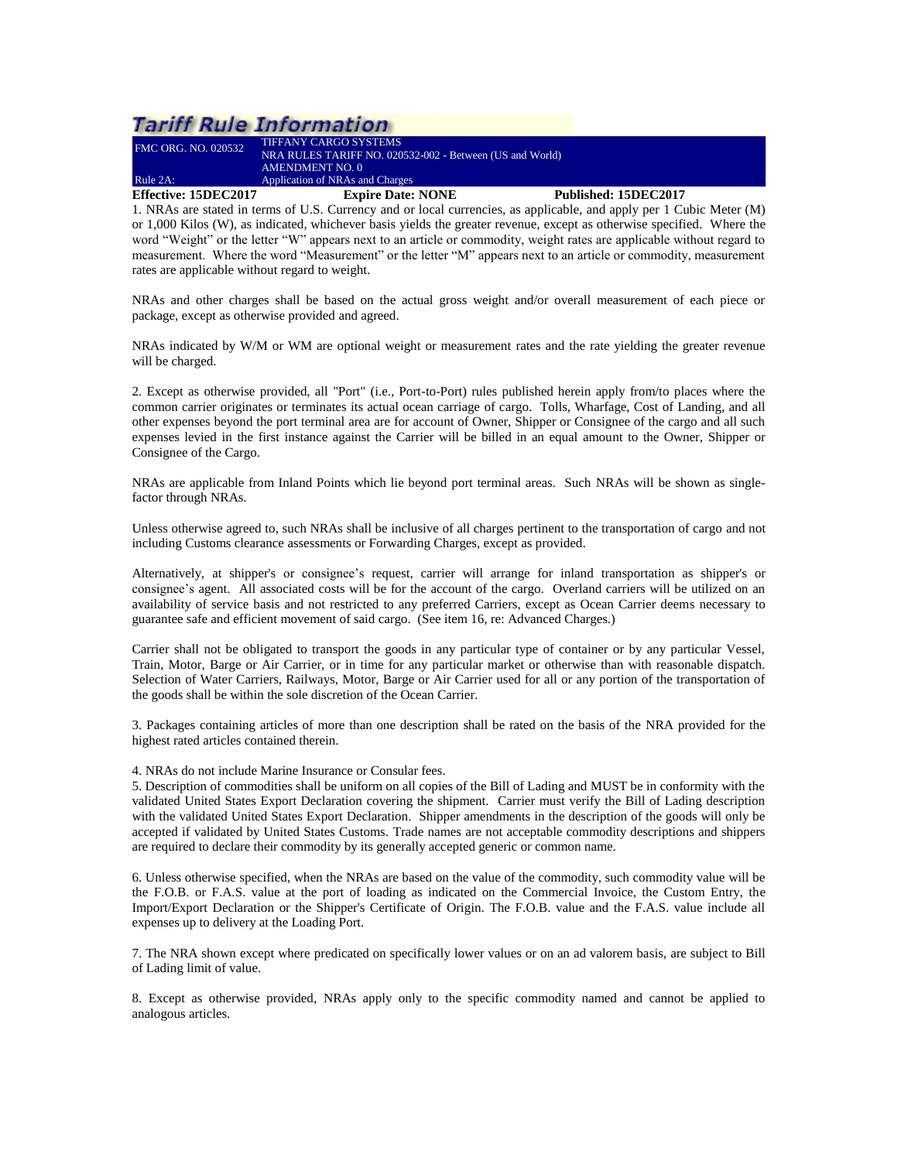# **Tariff Rule Information**

| <b>Effective: 15DEC2017</b> | <b>Expire Date: NONE</b>                                 | Published: 15DEC2017 |
|-----------------------------|----------------------------------------------------------|----------------------|
| Rule $2A$ :                 | Application of NRAs and Charges                          |                      |
|                             | AMENDMENT NO. 0                                          |                      |
|                             | NRA RULES TARIFF NO. 020532-002 - Between (US and World) |                      |
| <b>FMC ORG. NO. 020532</b>  | <b>TIFFANY CARGO SYSTEMS</b>                             |                      |

<span id="page-6-0"></span>1. NRAs are stated in terms of U.S. Currency and or local currencies, as applicable, and apply per 1 Cubic Meter (M) or 1,000 Kilos (W), as indicated, whichever basis yields the greater revenue, except as otherwise specified. Where the word "Weight" or the letter "W" appears next to an article or commodity, weight rates are applicable without regard to measurement. Where the word "Measurement" or the letter "M" appears next to an article or commodity, measurement rates are applicable without regard to weight.

NRAs and other charges shall be based on the actual gross weight and/or overall measurement of each piece or package, except as otherwise provided and agreed.

NRAs indicated by W/M or WM are optional weight or measurement rates and the rate yielding the greater revenue will be charged.

2. Except as otherwise provided, all "Port" (i.e., Port-to-Port) rules published herein apply from/to places where the common carrier originates or terminates its actual ocean carriage of cargo. Tolls, Wharfage, Cost of Landing, and all other expenses beyond the port terminal area are for account of Owner, Shipper or Consignee of the cargo and all such expenses levied in the first instance against the Carrier will be billed in an equal amount to the Owner, Shipper or Consignee of the Cargo.

NRAs are applicable from Inland Points which lie beyond port terminal areas. Such NRAs will be shown as singlefactor through NRAs.

Unless otherwise agreed to, such NRAs shall be inclusive of all charges pertinent to the transportation of cargo and not including Customs clearance assessments or Forwarding Charges, except as provided.

Alternatively, at shipper's or consignee's request, carrier will arrange for inland transportation as shipper's or consignee's agent. All associated costs will be for the account of the cargo. Overland carriers will be utilized on an availability of service basis and not restricted to any preferred Carriers, except as Ocean Carrier deems necessary to guarantee safe and efficient movement of said cargo. (See item 16, re: Advanced Charges.)

Carrier shall not be obligated to transport the goods in any particular type of container or by any particular Vessel, Train, Motor, Barge or Air Carrier, or in time for any particular market or otherwise than with reasonable dispatch. Selection of Water Carriers, Railways, Motor, Barge or Air Carrier used for all or any portion of the transportation of the goods shall be within the sole discretion of the Ocean Carrier.

3. Packages containing articles of more than one description shall be rated on the basis of the NRA provided for the highest rated articles contained therein.

4. NRAs do not include Marine Insurance or Consular fees.

5. Description of commodities shall be uniform on all copies of the Bill of Lading and MUST be in conformity with the validated United States Export Declaration covering the shipment. Carrier must verify the Bill of Lading description with the validated United States Export Declaration. Shipper amendments in the description of the goods will only be accepted if validated by United States Customs. Trade names are not acceptable commodity descriptions and shippers are required to declare their commodity by its generally accepted generic or common name.

6. Unless otherwise specified, when the NRAs are based on the value of the commodity, such commodity value will be the F.O.B. or F.A.S. value at the port of loading as indicated on the Commercial Invoice, the Custom Entry, the Import/Export Declaration or the Shipper's Certificate of Origin. The F.O.B. value and the F.A.S. value include all expenses up to delivery at the Loading Port.

7. The NRA shown except where predicated on specifically lower values or on an ad valorem basis, are subject to Bill of Lading limit of value.

8. Except as otherwise provided, NRAs apply only to the specific commodity named and cannot be applied to analogous articles.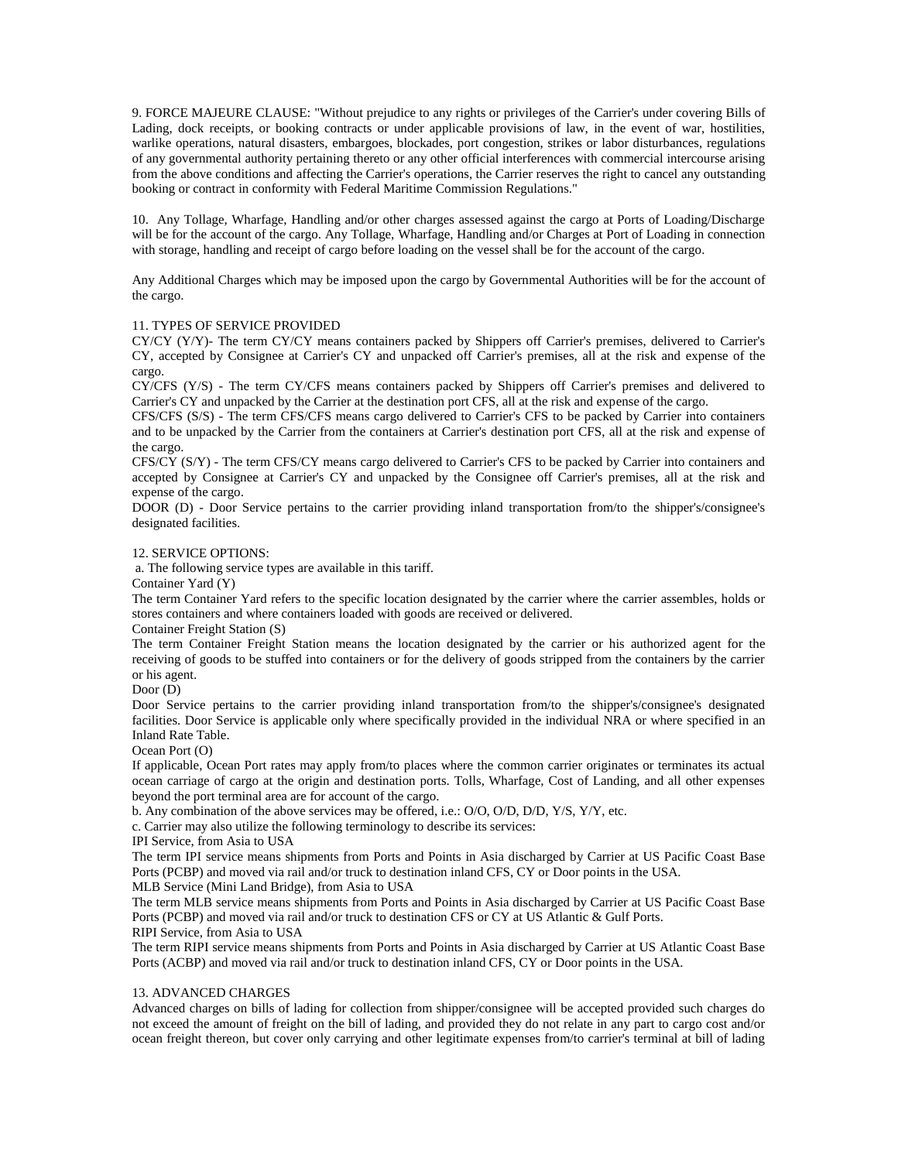9. FORCE MAJEURE CLAUSE: "Without prejudice to any rights or privileges of the Carrier's under covering Bills of Lading, dock receipts, or booking contracts or under applicable provisions of law, in the event of war, hostilities, warlike operations, natural disasters, embargoes, blockades, port congestion, strikes or labor disturbances, regulations of any governmental authority pertaining thereto or any other official interferences with commercial intercourse arising from the above conditions and affecting the Carrier's operations, the Carrier reserves the right to cancel any outstanding booking or contract in conformity with Federal Maritime Commission Regulations."

10. Any Tollage, Wharfage, Handling and/or other charges assessed against the cargo at Ports of Loading/Discharge will be for the account of the cargo. Any Tollage, Wharfage, Handling and/or Charges at Port of Loading in connection with storage, handling and receipt of cargo before loading on the vessel shall be for the account of the cargo.

Any Additional Charges which may be imposed upon the cargo by Governmental Authorities will be for the account of the cargo.

#### 11. TYPES OF SERVICE PROVIDED

CY/CY (Y/Y)- The term CY/CY means containers packed by Shippers off Carrier's premises, delivered to Carrier's CY, accepted by Consignee at Carrier's CY and unpacked off Carrier's premises, all at the risk and expense of the cargo.

CY/CFS (Y/S) - The term CY/CFS means containers packed by Shippers off Carrier's premises and delivered to Carrier's CY and unpacked by the Carrier at the destination port CFS, all at the risk and expense of the cargo.

CFS/CFS (S/S) - The term CFS/CFS means cargo delivered to Carrier's CFS to be packed by Carrier into containers and to be unpacked by the Carrier from the containers at Carrier's destination port CFS, all at the risk and expense of the cargo.

CFS/CY (S/Y) - The term CFS/CY means cargo delivered to Carrier's CFS to be packed by Carrier into containers and accepted by Consignee at Carrier's CY and unpacked by the Consignee off Carrier's premises, all at the risk and expense of the cargo.

DOOR (D) - Door Service pertains to the carrier providing inland transportation from/to the shipper's/consignee's designated facilities.

#### 12. SERVICE OPTIONS:

a. The following service types are available in this tariff.

Container Yard (Y)

The term Container Yard refers to the specific location designated by the carrier where the carrier assembles, holds or stores containers and where containers loaded with goods are received or delivered.

Container Freight Station (S)

The term Container Freight Station means the location designated by the carrier or his authorized agent for the receiving of goods to be stuffed into containers or for the delivery of goods stripped from the containers by the carrier or his agent.

Door (D)

Door Service pertains to the carrier providing inland transportation from/to the shipper's/consignee's designated facilities. Door Service is applicable only where specifically provided in the individual NRA or where specified in an Inland Rate Table.

Ocean Port (O)

If applicable, Ocean Port rates may apply from/to places where the common carrier originates or terminates its actual ocean carriage of cargo at the origin and destination ports. Tolls, Wharfage, Cost of Landing, and all other expenses beyond the port terminal area are for account of the cargo.

b. Any combination of the above services may be offered, i.e.: O/O, O/D, D/D, Y/S, Y/Y, etc.

c. Carrier may also utilize the following terminology to describe its services:

IPI Service, from Asia to USA

The term IPI service means shipments from Ports and Points in Asia discharged by Carrier at US Pacific Coast Base Ports (PCBP) and moved via rail and/or truck to destination inland CFS, CY or Door points in the USA.

MLB Service (Mini Land Bridge), from Asia to USA

The term MLB service means shipments from Ports and Points in Asia discharged by Carrier at US Pacific Coast Base Ports (PCBP) and moved via rail and/or truck to destination CFS or CY at US Atlantic & Gulf Ports. RIPI Service, from Asia to USA

The term RIPI service means shipments from Ports and Points in Asia discharged by Carrier at US Atlantic Coast Base Ports (ACBP) and moved via rail and/or truck to destination inland CFS, CY or Door points in the USA.

#### 13. ADVANCED CHARGES

Advanced charges on bills of lading for collection from shipper/consignee will be accepted provided such charges do not exceed the amount of freight on the bill of lading, and provided they do not relate in any part to cargo cost and/or ocean freight thereon, but cover only carrying and other legitimate expenses from/to carrier's terminal at bill of lading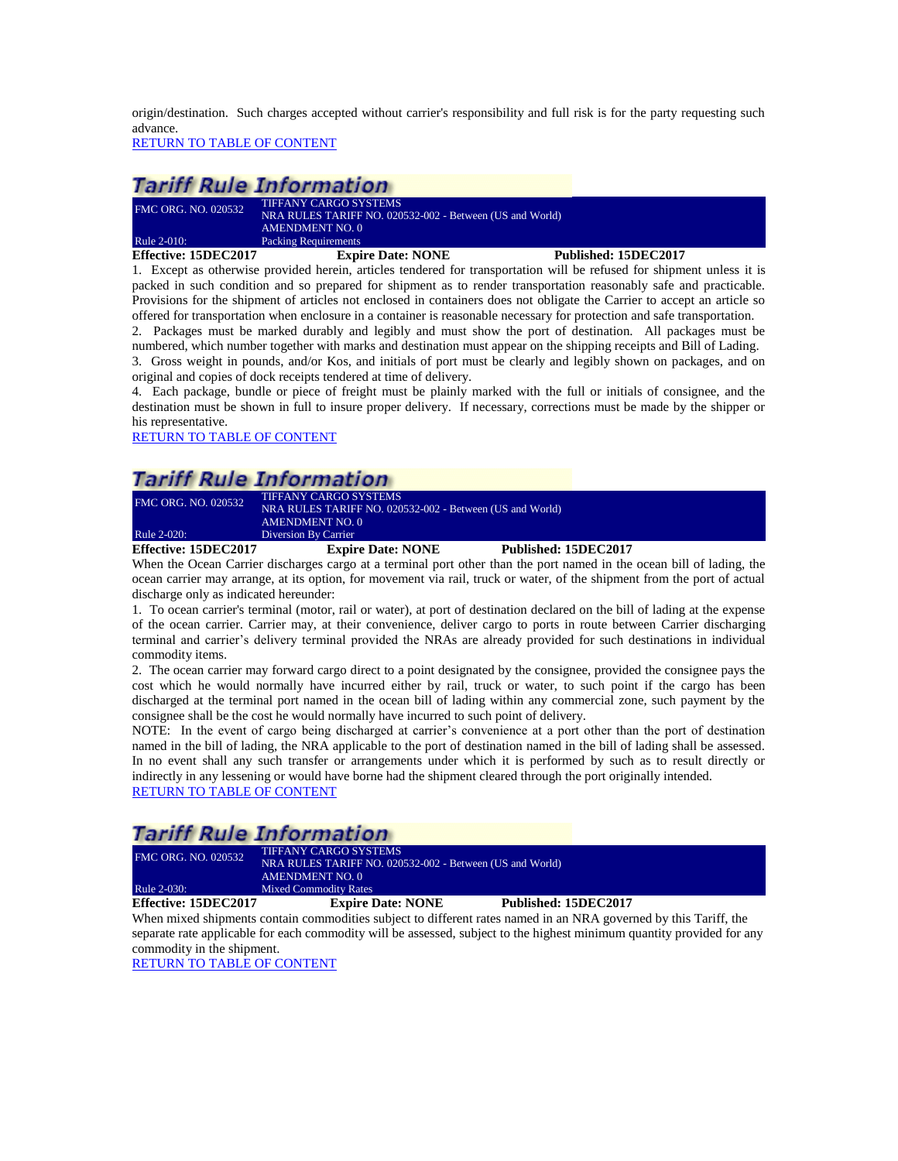origin/destination. Such charges accepted without carrier's responsibility and full risk is for the party requesting such advance.

[RETURN TO TABLE OF CONTENT](#page-2-0)

### **Tariff Rule Information**

| <b>FMC ORG. NO. 020532</b> | TIFFANY CARGO SYSTEMS                         |
|----------------------------|-----------------------------------------------|
|                            | NRA RULES TARIFF NO. 020532-002 - Between (US |
|                            | AMENDMENT NO. 0                               |
| Rule 2-010:                | <b>Packing Requirements</b>                   |

<span id="page-8-0"></span>**Effective: 15DEC2017 Expire Date: NONE Published: 15DEC2017**

1. Except as otherwise provided herein, articles tendered for transportation will be refused for shipment unless it is packed in such condition and so prepared for shipment as to render transportation reasonably safe and practicable. Provisions for the shipment of articles not enclosed in containers does not obligate the Carrier to accept an article so offered for transportation when enclosure in a container is reasonable necessary for protection and safe transportation. 2. Packages must be marked durably and legibly and must show the port of destination. All packages must be numbered, which number together with marks and destination must appear on the shipping receipts and Bill of Lading.

3. Gross weight in pounds, and/or Kos, and initials of port must be clearly and legibly shown on packages, and on original and copies of dock receipts tendered at time of delivery.

4. Each package, bundle or piece of freight must be plainly marked with the full or initials of consignee, and the destination must be shown in full to insure proper delivery. If necessary, corrections must be made by the shipper or his representative.

[RETURN TO TABLE OF CONTENT](#page-2-0)

## **Tariff Rule Information**

FMC ORG. NO. 020532<br>
ND A BULES TABLE NO. 030 NRA RULES TARIFF NO. 020532-002 - Between (US and World) AMENDMENT NO. 0

<span id="page-8-1"></span>Rule 2-020: Diversion By Carrier<br> **Effective: 15DEC2017** Expir

**Expire Date: NONE** Published: 15DEC2017

and World)

When the Ocean Carrier discharges cargo at a terminal port other than the port named in the ocean bill of lading, the ocean carrier may arrange, at its option, for movement via rail, truck or water, of the shipment from the port of actual discharge only as indicated hereunder:

1. To ocean carrier's terminal (motor, rail or water), at port of destination declared on the bill of lading at the expense of the ocean carrier. Carrier may, at their convenience, deliver cargo to ports in route between Carrier discharging terminal and carrier's delivery terminal provided the NRAs are already provided for such destinations in individual commodity items.

2. The ocean carrier may forward cargo direct to a point designated by the consignee, provided the consignee pays the cost which he would normally have incurred either by rail, truck or water, to such point if the cargo has been discharged at the terminal port named in the ocean bill of lading within any commercial zone, such payment by the consignee shall be the cost he would normally have incurred to such point of delivery.

NOTE: In the event of cargo being discharged at carrier's convenience at a port other than the port of destination named in the bill of lading, the NRA applicable to the port of destination named in the bill of lading shall be assessed. In no event shall any such transfer or arrangements under which it is performed by such as to result directly or indirectly in any lessening or would have borne had the shipment cleared through the port originally intended. [RETURN TO TABLE OF CONTENT](#page-2-0)

### **Tariff Rule Information**

| Effective: 15DEC2017       | <b>Expire Date: NONE</b>                                 | Published: 15DEC2017 |  |
|----------------------------|----------------------------------------------------------|----------------------|--|
| Rule 2-030:                | <b>Mixed Commodity Rates</b>                             |                      |  |
|                            | AMENDMENT NO. 0                                          |                      |  |
|                            | NRA RULES TARIFF NO. 020532-002 - Between (US and World) |                      |  |
| <b>FMC ORG. NO. 020532</b> | TIFFANY CARGO SYSTEMS                                    |                      |  |

<span id="page-8-2"></span>When mixed shipments contain commodities subject to different rates named in an NRA governed by this Tariff, the separate rate applicable for each commodity will be assessed, subject to the highest minimum quantity provided for any commodity in the shipment.

[RETURN TO TABLE OF CONTENT](#page-2-0)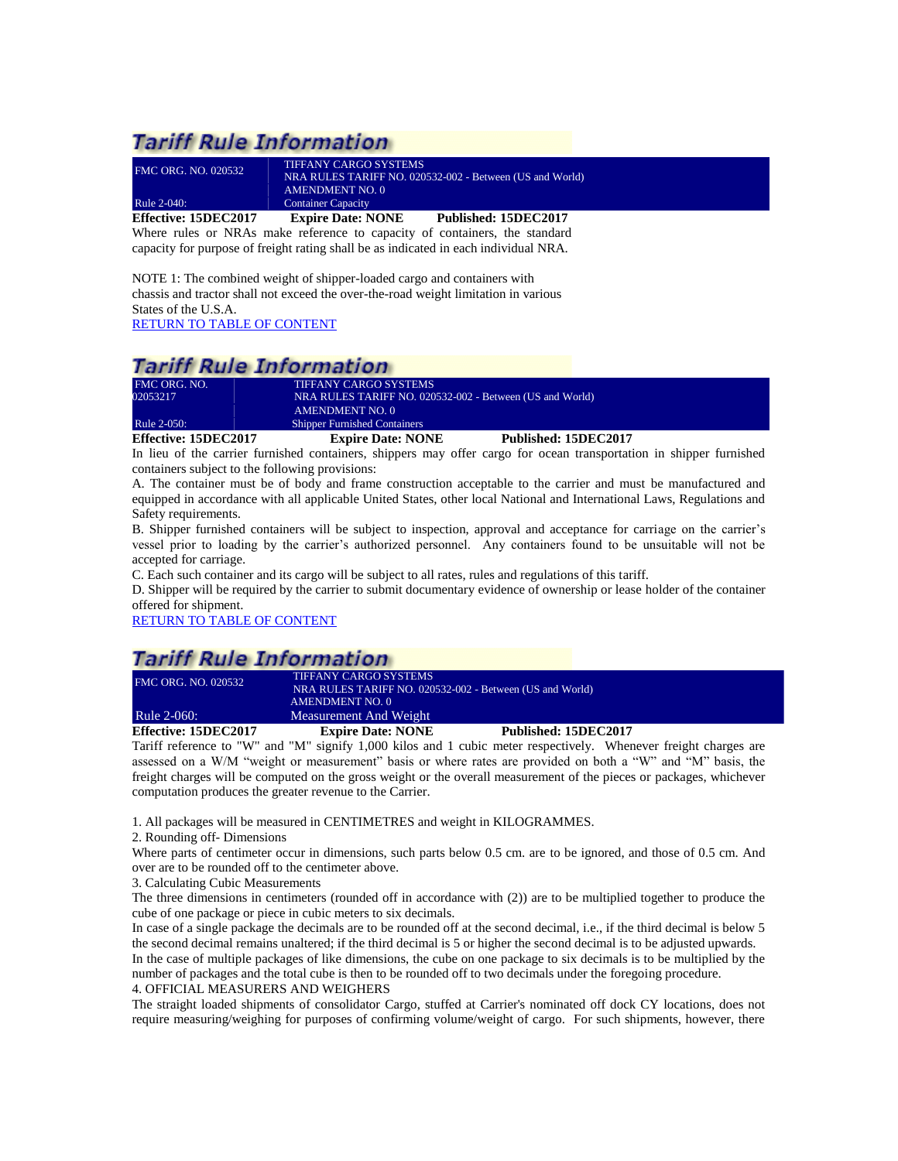# **Tariff Rule Information**

| Effective: 15DEC2017       | <b>Expire Date: NONE</b>  | Published: 15DEC2017                                     |
|----------------------------|---------------------------|----------------------------------------------------------|
| Rule 2-040:                | <b>Container Capacity</b> |                                                          |
|                            | <b>AMENDMENT NO. 0</b>    |                                                          |
| <b>FMC ORG. NO. 020532</b> |                           | NRA RULES TARIFF NO. 020532-002 - Between (US and World) |
|                            | TIFFANY CARGO SYSTEMS     |                                                          |

<span id="page-9-0"></span>Where rules or NRAs make reference to capacity of containers, the standard capacity for purpose of freight rating shall be as indicated in each individual NRA.

NOTE 1: The combined weight of shipper-loaded cargo and containers with chassis and tractor shall not exceed the over-the-road weight limitation in various States of the U.S.A.

[RETURN TO TABLE OF CONTENT](#page-2-0)

### **Tariff Rule Information**

| <b>Effective: 15DEC2017</b> | <b>Expire Date: NONE</b>                                 | Published: 15DEC2017 |
|-----------------------------|----------------------------------------------------------|----------------------|
| Rule 2-050:                 | <b>Shipper Furnished Containers</b>                      |                      |
|                             | <b>AMENDMENT NO. 0</b>                                   |                      |
| 02053217                    | NRA RULES TARIFF NO. 020532-002 - Between (US and World) |                      |
| FMC ORG. NO.                | TIFFANY CARGO SYSTEMS                                    |                      |

<span id="page-9-1"></span>In lieu of the carrier furnished containers, shippers may offer cargo for ocean transportation in shipper furnished containers subject to the following provisions:

A. The container must be of body and frame construction acceptable to the carrier and must be manufactured and equipped in accordance with all applicable United States, other local National and International Laws, Regulations and Safety requirements.

B. Shipper furnished containers will be subject to inspection, approval and acceptance for carriage on the carrier's vessel prior to loading by the carrier's authorized personnel. Any containers found to be unsuitable will not be accepted for carriage.

C. Each such container and its cargo will be subject to all rates, rules and regulations of this tariff.

D. Shipper will be required by the carrier to submit documentary evidence of ownership or lease holder of the container offered for shipment.

[RETURN TO TABLE OF CONTENT](#page-2-0)

### **Tariff Rule Information**

| <b>FMC ORG. NO. 020532</b> | <b>TIFFANY CARGO SYSTEMS</b><br>NRA RULES TARIFF NO. 020532-002 - Between (US and World) |                      |  |
|----------------------------|------------------------------------------------------------------------------------------|----------------------|--|
|                            | <b>AMENDMENT NO. 0</b>                                                                   |                      |  |
| <b>Rule 2-060:</b>         | Measurement And Weight                                                                   |                      |  |
| Effective: 15DEC2017       | <b>Expire Date: NONE</b>                                                                 | Published: 15DEC2017 |  |

<span id="page-9-2"></span>Tariff reference to "W" and "M" signify 1,000 kilos and 1 cubic meter respectively. Whenever freight charges are assessed on a W/M "weight or measurement" basis or where rates are provided on both a "W" and "M" basis, the freight charges will be computed on the gross weight or the overall measurement of the pieces or packages, whichever computation produces the greater revenue to the Carrier.

1. All packages will be measured in CENTIMETRES and weight in KILOGRAMMES.

2. Rounding off- Dimensions

Where parts of centimeter occur in dimensions, such parts below 0.5 cm. are to be ignored, and those of 0.5 cm. And over are to be rounded off to the centimeter above.

3. Calculating Cubic Measurements

The three dimensions in centimeters (rounded off in accordance with (2)) are to be multiplied together to produce the cube of one package or piece in cubic meters to six decimals.

In case of a single package the decimals are to be rounded off at the second decimal, i.e., if the third decimal is below 5 the second decimal remains unaltered; if the third decimal is 5 or higher the second decimal is to be adjusted upwards. In the case of multiple packages of like dimensions, the cube on one package to six decimals is to be multiplied by the number of packages and the total cube is then to be rounded off to two decimals under the foregoing procedure. 4. OFFICIAL MEASURERS AND WEIGHERS

The straight loaded shipments of consolidator Cargo, stuffed at Carrier's nominated off dock CY locations, does not require measuring/weighing for purposes of confirming volume/weight of cargo. For such shipments, however, there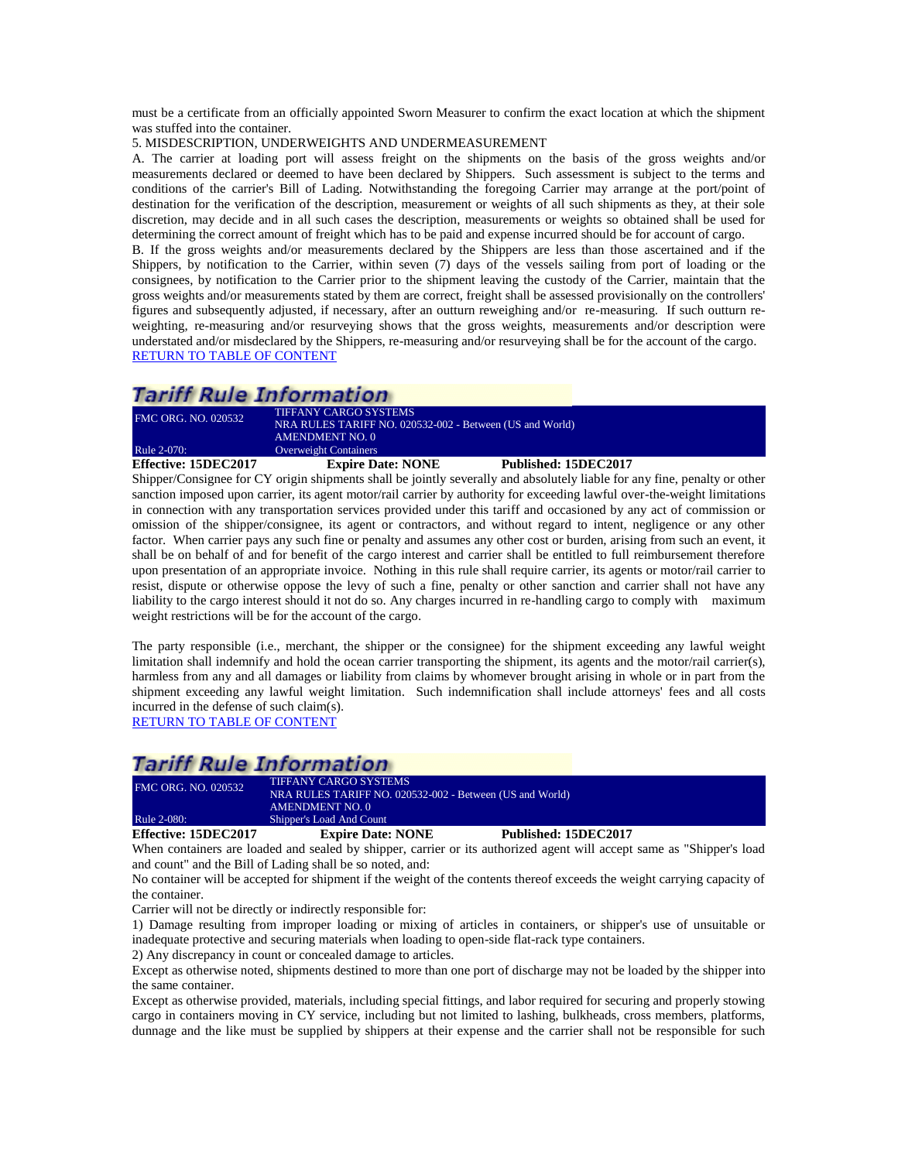must be a certificate from an officially appointed Sworn Measurer to confirm the exact location at which the shipment was stuffed into the container.

5. MISDESCRIPTION, UNDERWEIGHTS AND UNDERMEASUREMENT

A. The carrier at loading port will assess freight on the shipments on the basis of the gross weights and/or measurements declared or deemed to have been declared by Shippers. Such assessment is subject to the terms and conditions of the carrier's Bill of Lading. Notwithstanding the foregoing Carrier may arrange at the port/point of destination for the verification of the description, measurement or weights of all such shipments as they, at their sole discretion, may decide and in all such cases the description, measurements or weights so obtained shall be used for determining the correct amount of freight which has to be paid and expense incurred should be for account of cargo.

B. If the gross weights and/or measurements declared by the Shippers are less than those ascertained and if the Shippers, by notification to the Carrier, within seven (7) days of the vessels sailing from port of loading or the consignees, by notification to the Carrier prior to the shipment leaving the custody of the Carrier, maintain that the gross weights and/or measurements stated by them are correct, freight shall be assessed provisionally on the controllers' figures and subsequently adjusted, if necessary, after an outturn reweighing and/or re-measuring. If such outturn reweighting, re-measuring and/or resurveying shows that the gross weights, measurements and/or description were understated and/or misdeclared by the Shippers, re-measuring and/or resurveying shall be for the account of the cargo. [RETURN TO TABLE OF CONTENT](#page-2-0)

### *Tariff Rule Information*

| Effective: 15DEC2017       | <b>Expire Date: NONE</b>                                                          | Published: 15DEC2017 |  |
|----------------------------|-----------------------------------------------------------------------------------|----------------------|--|
| Rule 2-070:                | <b>AMENDMENT NO. 0</b><br><b>Overweight Containers</b>                            |                      |  |
| <b>FMC ORG. NO. 020532</b> | TIFFANY CARGO SYSTEMS<br>NRA RULES TARIFF NO. 020532-002 - Between (US and World) |                      |  |

<span id="page-10-0"></span>Shipper/Consignee for CY origin shipments shall be jointly severally and absolutely liable for any fine, penalty or other sanction imposed upon carrier, its agent motor/rail carrier by authority for exceeding lawful over-the-weight limitations in connection with any transportation services provided under this tariff and occasioned by any act of commission or omission of the shipper/consignee, its agent or contractors, and without regard to intent, negligence or any other factor. When carrier pays any such fine or penalty and assumes any other cost or burden, arising from such an event, it shall be on behalf of and for benefit of the cargo interest and carrier shall be entitled to full reimbursement therefore upon presentation of an appropriate invoice. Nothing in this rule shall require carrier, its agents or motor/rail carrier to resist, dispute or otherwise oppose the levy of such a fine, penalty or other sanction and carrier shall not have any liability to the cargo interest should it not do so. Any charges incurred in re-handling cargo to comply with maximum weight restrictions will be for the account of the cargo.

The party responsible (i.e., merchant, the shipper or the consignee) for the shipment exceeding any lawful weight limitation shall indemnify and hold the ocean carrier transporting the shipment, its agents and the motor/rail carrier(s), harmless from any and all damages or liability from claims by whomever brought arising in whole or in part from the shipment exceeding any lawful weight limitation. Such indemnification shall include attorneys' fees and all costs incurred in the defense of such claim(s).

[RETURN TO TABLE OF CONTENT](#page-2-0)

### **Tariff Rule Information**

| <b>FMC ORG. NO. 020532</b> | <b>TIFFANY CARGO SYSTEMS</b><br>NRA RULES TARIFF NO. 020532-002 - Between (US and World)<br>AMENDMENT NO. 0 |                      |
|----------------------------|-------------------------------------------------------------------------------------------------------------|----------------------|
| Rule 2-080:                | Shipper's Load And Count                                                                                    |                      |
| Effective: 15DEC2017       | <b>Expire Date: NONE</b>                                                                                    | Published: 15DEC2017 |

<span id="page-10-1"></span>When containers are loaded and sealed by shipper, carrier or its authorized agent will accept same as "Shipper's load and count" and the Bill of Lading shall be so noted, and:

No container will be accepted for shipment if the weight of the contents thereof exceeds the weight carrying capacity of the container.

Carrier will not be directly or indirectly responsible for:

1) Damage resulting from improper loading or mixing of articles in containers, or shipper's use of unsuitable or inadequate protective and securing materials when loading to open-side flat-rack type containers.

2) Any discrepancy in count or concealed damage to articles.

Except as otherwise noted, shipments destined to more than one port of discharge may not be loaded by the shipper into the same container.

Except as otherwise provided, materials, including special fittings, and labor required for securing and properly stowing cargo in containers moving in CY service, including but not limited to lashing, bulkheads, cross members, platforms, dunnage and the like must be supplied by shippers at their expense and the carrier shall not be responsible for such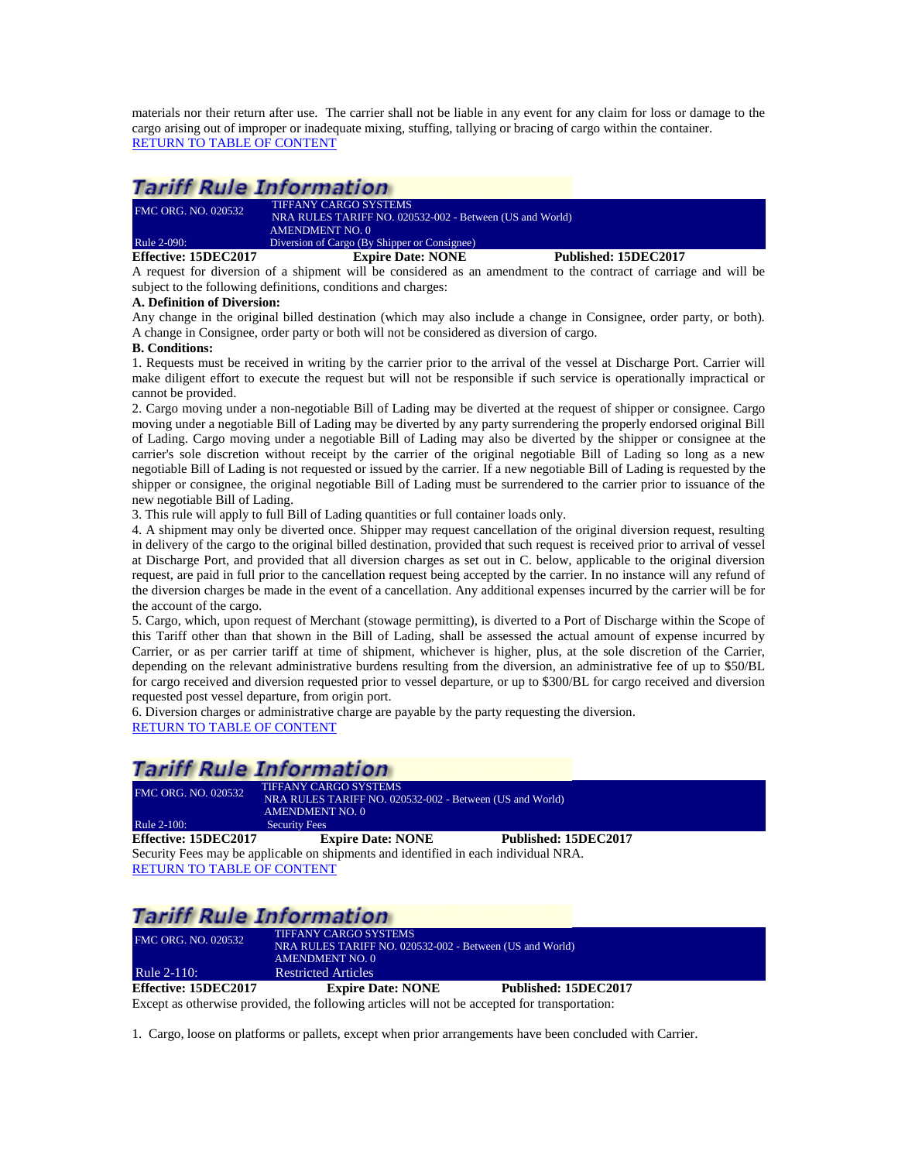materials nor their return after use. The carrier shall not be liable in any event for any claim for loss or damage to the cargo arising out of improper or inadequate mixing, stuffing, tallying or bracing of cargo within the container. [RETURN TO TABLE OF CONTENT](#page-2-0)

## **Tariff Rule Information**

| Effective: 15DEC2017       | <b>Expire Date: NONE</b>                                 | Published: 15DEC2017 |
|----------------------------|----------------------------------------------------------|----------------------|
| Rule 2-090:                | Diversion of Cargo (By Shipper or Consignee)             |                      |
|                            | <b>AMENDMENT NO. 0</b>                                   |                      |
|                            | NRA RULES TARIFF NO. 020532-002 - Between (US and World) |                      |
| <b>FMC ORG. NO. 020532</b> | <b>TIFFANY CARGO SYSTEMS</b>                             |                      |

<span id="page-11-0"></span>A request for diversion of a shipment will be considered as an amendment to the contract of carriage and will be subject to the following definitions, conditions and charges:

### **A. Definition of Diversion:**

Any change in the original billed destination (which may also include a change in Consignee, order party, or both). A change in Consignee, order party or both will not be considered as diversion of cargo.

### **B. Conditions:**

1. Requests must be received in writing by the carrier prior to the arrival of the vessel at Discharge Port. Carrier will make diligent effort to execute the request but will not be responsible if such service is operationally impractical or cannot be provided.

2. Cargo moving under a non-negotiable Bill of Lading may be diverted at the request of shipper or consignee. Cargo moving under a negotiable Bill of Lading may be diverted by any party surrendering the properly endorsed original Bill of Lading. Cargo moving under a negotiable Bill of Lading may also be diverted by the shipper or consignee at the carrier's sole discretion without receipt by the carrier of the original negotiable Bill of Lading so long as a new negotiable Bill of Lading is not requested or issued by the carrier. If a new negotiable Bill of Lading is requested by the shipper or consignee, the original negotiable Bill of Lading must be surrendered to the carrier prior to issuance of the new negotiable Bill of Lading.

3. This rule will apply to full Bill of Lading quantities or full container loads only.

4. A shipment may only be diverted once. Shipper may request cancellation of the original diversion request, resulting in delivery of the cargo to the original billed destination, provided that such request is received prior to arrival of vessel at Discharge Port, and provided that all diversion charges as set out in C. below, applicable to the original diversion request, are paid in full prior to the cancellation request being accepted by the carrier. In no instance will any refund of the diversion charges be made in the event of a cancellation. Any additional expenses incurred by the carrier will be for the account of the cargo.

5. Cargo, which, upon request of Merchant (stowage permitting), is diverted to a Port of Discharge within the Scope of this Tariff other than that shown in the Bill of Lading, shall be assessed the actual amount of expense incurred by Carrier, or as per carrier tariff at time of shipment, whichever is higher, plus, at the sole discretion of the Carrier, depending on the relevant administrative burdens resulting from the diversion, an administrative fee of up to \$50/BL for cargo received and diversion requested prior to vessel departure, or up to \$300/BL for cargo received and diversion requested post vessel departure, from origin port.

6. Diversion charges or administrative charge are payable by the party requesting the diversion. [RETURN TO TABLE OF CONTENT](#page-2-0)

# **Tariff Rule Information**

<span id="page-11-1"></span>

| <b>FMC ORG. NO. 020532</b>                                                          | <b>TIFFANY CARGO SYSTEMS</b><br>NRA RULES TARIFF NO. 020532-002 - Between (US and World)<br>AMENDMENT NO. 0 |                      |  |
|-------------------------------------------------------------------------------------|-------------------------------------------------------------------------------------------------------------|----------------------|--|
| Rule 2-100:                                                                         | <b>Security Fees</b>                                                                                        |                      |  |
| Effective: 15DEC2017                                                                | <b>Expire Date: NONE</b>                                                                                    | Published: 15DEC2017 |  |
| Security Fees may be applicable on shipments and identified in each individual NRA. |                                                                                                             |                      |  |
| <b>RETURN TO TABLE OF CONTENT</b>                                                   |                                                                                                             |                      |  |

# **Tariff Rule Information**

| Effective: 15DEC2017       | <b>Expire Date: NONE</b>                                 | Published: 15DEC2017 |  |
|----------------------------|----------------------------------------------------------|----------------------|--|
| <b>Rule 2-110:</b>         | <b>Restricted Articles</b>                               |                      |  |
|                            | AMENDMENT NO. 0                                          |                      |  |
| <b>FMC ORG. NO. 020532</b> | NRA RULES TARIFF NO. 020532-002 - Between (US and World) |                      |  |
|                            | <b>TIFFANY CARGO SYSTEMS</b>                             |                      |  |
|                            |                                                          |                      |  |

<span id="page-11-2"></span>Except as otherwise provided, the following articles will not be accepted for transportation:

1. Cargo, loose on platforms or pallets, except when prior arrangements have been concluded with Carrier.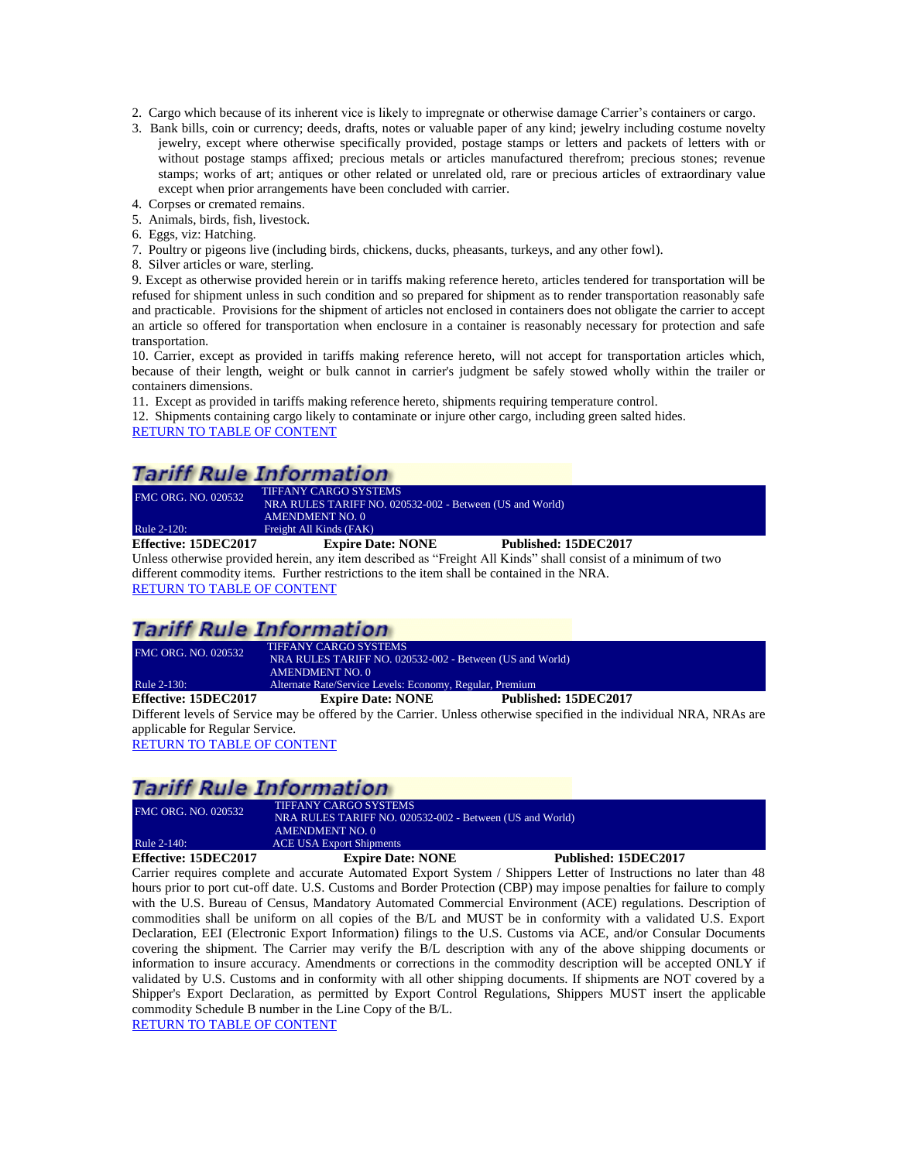- 2. Cargo which because of its inherent vice is likely to impregnate or otherwise damage Carrier's containers or cargo.
- 3. Bank bills, coin or currency; deeds, drafts, notes or valuable paper of any kind; jewelry including costume novelty jewelry, except where otherwise specifically provided, postage stamps or letters and packets of letters with or without postage stamps affixed; precious metals or articles manufactured therefrom; precious stones; revenue stamps; works of art; antiques or other related or unrelated old, rare or precious articles of extraordinary value except when prior arrangements have been concluded with carrier.
- 4. Corpses or cremated remains. 5. Animals, birds, fish, livestock.
- 6. Eggs, viz: Hatching.
- 7. Poultry or pigeons live (including birds, chickens, ducks, pheasants, turkeys, and any other fowl).
- 8. Silver articles or ware, sterling.

9. Except as otherwise provided herein or in tariffs making reference hereto, articles tendered for transportation will be refused for shipment unless in such condition and so prepared for shipment as to render transportation reasonably safe and practicable. Provisions for the shipment of articles not enclosed in containers does not obligate the carrier to accept an article so offered for transportation when enclosure in a container is reasonably necessary for protection and safe transportation.

10. Carrier, except as provided in tariffs making reference hereto, will not accept for transportation articles which, because of their length, weight or bulk cannot in carrier's judgment be safely stowed wholly within the trailer or containers dimensions.

11. Except as provided in tariffs making reference hereto, shipments requiring temperature control.

12. Shipments containing cargo likely to contaminate or injure other cargo, including green salted hides.

[RETURN TO TABLE OF CONTENT](#page-2-0)

# **Tariff Rule Information**

| <b>FMC ORG. NO. 020532</b><br>Rule 2-120: | <b>TIFFANY CARGO SYSTEMS</b><br>NRA RULES TARIFF NO. 020532-002 - Between (US and World)<br>AMENDMENT NO. 0<br>Freight All Kinds (FAK) |                                                                                                             |
|-------------------------------------------|----------------------------------------------------------------------------------------------------------------------------------------|-------------------------------------------------------------------------------------------------------------|
| Effective: 15DEC2017                      | <b>Expire Date: NONE</b>                                                                                                               | Published: 15DEC2017                                                                                        |
|                                           |                                                                                                                                        | Unlass otherwise provided began any item described as "Freight All Kinds" shall consist of a minimum of two |

<span id="page-12-0"></span>Unless otherwise provided herein, any item described as "Freight All Kinds" shall consist of a minimum of two different commodity items. Further restrictions to the item shall be contained in the NRA. [RETURN TO TABLE OF CONTENT](#page-2-0)

## **Tariff Rule Information**

| <b>FMC ORG. NO. 020532</b>                                                                                                                                                                                                                                                                                                                                                 | <b>TIFFANY CARGO SYSTEMS</b><br>NRA RULES TARIFF NO. 020532-002 - Between (US and World) |                                                                 |  |
|----------------------------------------------------------------------------------------------------------------------------------------------------------------------------------------------------------------------------------------------------------------------------------------------------------------------------------------------------------------------------|------------------------------------------------------------------------------------------|-----------------------------------------------------------------|--|
| Rule 2-130:                                                                                                                                                                                                                                                                                                                                                                | AMENDMENT NO. 0<br>Alternate Rate/Service Levels: Economy, Regular, Premium              |                                                                 |  |
| Effective: 15DEC2017                                                                                                                                                                                                                                                                                                                                                       | <b>Expire Date: NONE</b>                                                                 | Published: 15DEC2017                                            |  |
| $T^{\prime}$ $C^{\prime}$ $T^{\prime}$ $T^{\prime}$ $T^{\prime}$ $T^{\prime}$ $T^{\prime}$ $T^{\prime}$ $T^{\prime}$ $T^{\prime}$ $T^{\prime}$ $T^{\prime}$ $T^{\prime}$ $T^{\prime}$ $T^{\prime}$ $T^{\prime}$ $T^{\prime}$ $T^{\prime}$ $T^{\prime}$ $T^{\prime}$ $T^{\prime}$ $T^{\prime}$ $T^{\prime}$ $T^{\prime}$ $T^{\prime}$ $T^{\prime}$ $T^{\prime}$ $T^{\prime$ | $cc \rightarrow 11 \rightarrow C \rightarrow T1$                                         | $\mathbf{a}$ . The state $\mathbf{a}$ is the state $\mathbf{a}$ |  |

<span id="page-12-1"></span>Different levels of Service may be offered by the Carrier. Unless otherwise specified in the individual NRA, NRAs are applicable for Regular Service.

[RETURN TO TABLE OF CONTENT](#page-2-0)

### **Tariff Rule Information**

| Effective: 15DEC2017       | <b>Expire Date: NONE</b>                                 | Published: 15DEC2017 |  |
|----------------------------|----------------------------------------------------------|----------------------|--|
| Rule 2-140:                | <b>ACE USA Export Shipments</b>                          |                      |  |
|                            | <b>AMENDMENT NO. 0</b>                                   |                      |  |
| <b>FMC ORG. NO. 020532</b> | NRA RULES TARIFF NO. 020532-002 - Between (US and World) |                      |  |
|                            | <b>TIFFANY CARGO SYSTEMS</b>                             |                      |  |

<span id="page-12-2"></span>Carrier requires complete and accurate Automated Export System / Shippers Letter of Instructions no later than 48 hours prior to port cut-off date. U.S. Customs and Border Protection (CBP) may impose penalties for failure to comply with the U.S. Bureau of Census, Mandatory Automated Commercial Environment (ACE) regulations. Description of commodities shall be uniform on all copies of the B/L and MUST be in conformity with a validated U.S. Export Declaration, EEI (Electronic Export Information) filings to the U.S. Customs via ACE, and/or Consular Documents covering the shipment. The Carrier may verify the B/L description with any of the above shipping documents or information to insure accuracy. Amendments or corrections in the commodity description will be accepted ONLY if validated by U.S. Customs and in conformity with all other shipping documents. If shipments are NOT covered by a Shipper's Export Declaration, as permitted by Export Control Regulations, Shippers MUST insert the applicable commodity Schedule B number in the Line Copy of the B/L.

[RETURN TO TABLE OF CONTENT](#page-2-0)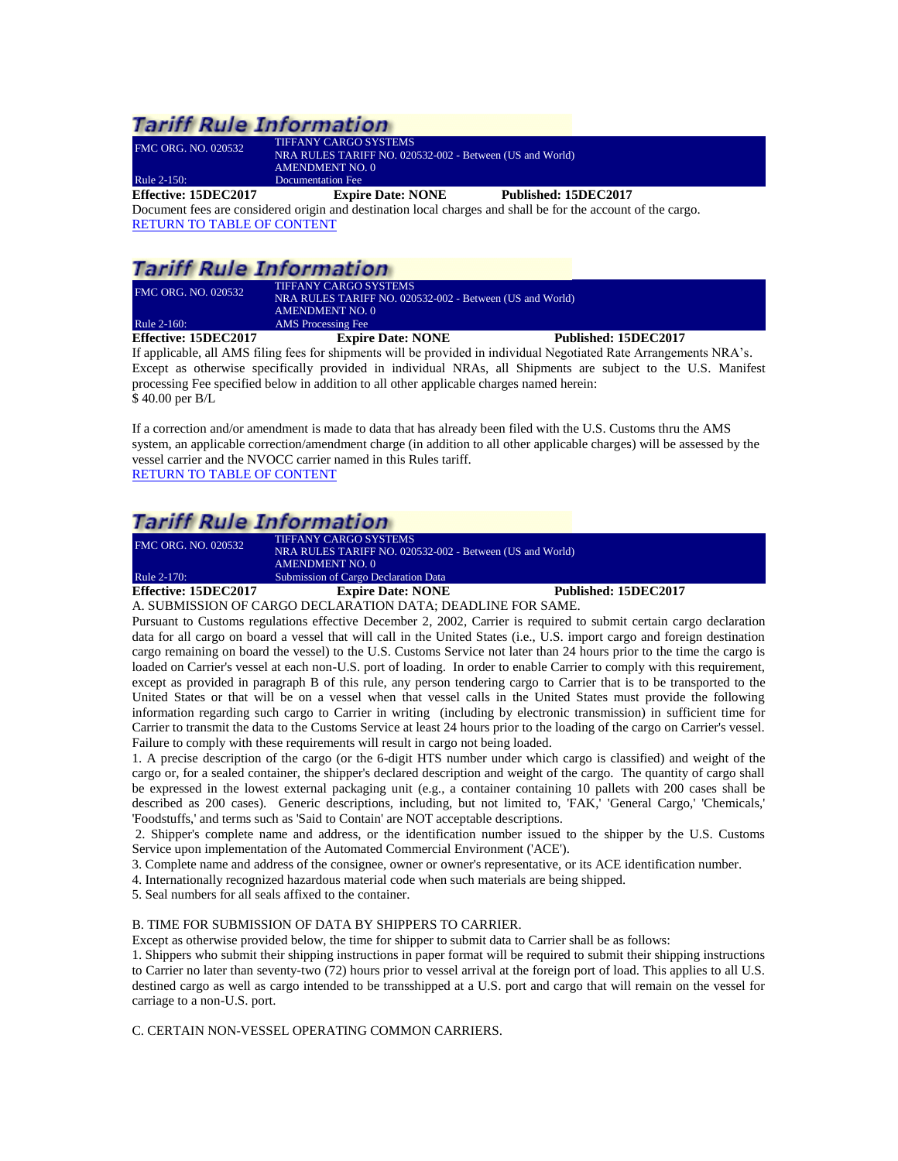## **Tariff Rule Information**

| Effective: 15DEC2017       | <b>Expire Date: NONE</b>                                 | Published: 15DEC2017 |  |
|----------------------------|----------------------------------------------------------|----------------------|--|
| Rule 2-150:                | Documentation Fee                                        |                      |  |
|                            | AMENDMENT NO. 0                                          |                      |  |
| <b>FMC ORG. NO. 020532</b> | NRA RULES TARIFF NO. 020532-002 - Between (US and World) |                      |  |
|                            | <b>TIFFANY CARGO SYSTEMS</b>                             |                      |  |

<span id="page-13-0"></span>Document fees are considered origin and destination local charges and shall be for the account of the cargo. [RETURN TO TABLE OF CONTENT](#page-2-0)

# **Tariff Rule Information**

| <b>FMC ORG. NO. 020532</b><br>Rule 2-160: | <b>TIFFANY CARGO SYSTEMS</b><br>NRA RULES TARIFF NO. 020532-002 - Between (US and World)<br>AMENDMENT NO. 0<br>AMS Processing Fee |                                                                                                                  |
|-------------------------------------------|-----------------------------------------------------------------------------------------------------------------------------------|------------------------------------------------------------------------------------------------------------------|
| Effective: 15DEC2017                      | <b>Expire Date: NONE</b>                                                                                                          | Published: 15DEC2017                                                                                             |
|                                           |                                                                                                                                   | If applicable all AMC filing face for chinmonts will be provided in individual Magatistad Data Arrangements NDA? |

<span id="page-13-1"></span>If applicable, all AMS filing fees for shipments will be provided in individual Negotiated Rate Arrangements NRA's. Except as otherwise specifically provided in individual NRAs, all Shipments are subject to the U.S. Manifest processing Fee specified below in addition to all other applicable charges named herein: \$ 40.00 per B/L

If a correction and/or amendment is made to data that has already been filed with the U.S. Customs thru the AMS system, an applicable correction/amendment charge (in addition to all other applicable charges) will be assessed by the vessel carrier and the NVOCC carrier named in this Rules tariff. [RETURN TO TABLE OF CONTENT](#page-2-0)

# **Tariff Rule Information**

| Rule 2-170:<br>Effective: 15DEC2017 | Submission of Cargo Declaration Data<br><b>Expire Date: NONE</b>                  | Published: 15DEC2017 |
|-------------------------------------|-----------------------------------------------------------------------------------|----------------------|
|                                     | <b>AMENDMENT NO. 0</b>                                                            |                      |
| <b>FMC ORG. NO. 020532</b>          | TIFFANY CARGO SYSTEMS<br>NRA RULES TARIFF NO. 020532-002 - Between (US and World) |                      |

<span id="page-13-2"></span>A. SUBMISSION OF CARGO DECLARATION DATA; DEADLINE FOR SAME.

Pursuant to Customs regulations effective December 2, 2002, Carrier is required to submit certain cargo declaration data for all cargo on board a vessel that will call in the United States (i.e., U.S. import cargo and foreign destination cargo remaining on board the vessel) to the U.S. Customs Service not later than 24 hours prior to the time the cargo is loaded on Carrier's vessel at each non-U.S. port of loading. In order to enable Carrier to comply with this requirement, except as provided in paragraph B of this rule, any person tendering cargo to Carrier that is to be transported to the United States or that will be on a vessel when that vessel calls in the United States must provide the following information regarding such cargo to Carrier in writing (including by electronic transmission) in sufficient time for Carrier to transmit the data to the Customs Service at least 24 hours prior to the loading of the cargo on Carrier's vessel. Failure to comply with these requirements will result in cargo not being loaded.

1. A precise description of the cargo (or the 6-digit HTS number under which cargo is classified) and weight of the cargo or, for a sealed container, the shipper's declared description and weight of the cargo. The quantity of cargo shall be expressed in the lowest external packaging unit (e.g., a container containing 10 pallets with 200 cases shall be described as 200 cases). Generic descriptions, including, but not limited to, 'FAK,' 'General Cargo,' 'Chemicals,' 'Foodstuffs,' and terms such as 'Said to Contain' are NOT acceptable descriptions.

2. Shipper's complete name and address, or the identification number issued to the shipper by the U.S. Customs Service upon implementation of the Automated Commercial Environment ('ACE').

3. Complete name and address of the consignee, owner or owner's representative, or its ACE identification number.

4. Internationally recognized hazardous material code when such materials are being shipped.

5. Seal numbers for all seals affixed to the container.

#### B. TIME FOR SUBMISSION OF DATA BY SHIPPERS TO CARRIER.

Except as otherwise provided below, the time for shipper to submit data to Carrier shall be as follows:

1. Shippers who submit their shipping instructions in paper format will be required to submit their shipping instructions to Carrier no later than seventy-two (72) hours prior to vessel arrival at the foreign port of load. This applies to all U.S. destined cargo as well as cargo intended to be transshipped at a U.S. port and cargo that will remain on the vessel for carriage to a non-U.S. port.

C. CERTAIN NON-VESSEL OPERATING COMMON CARRIERS.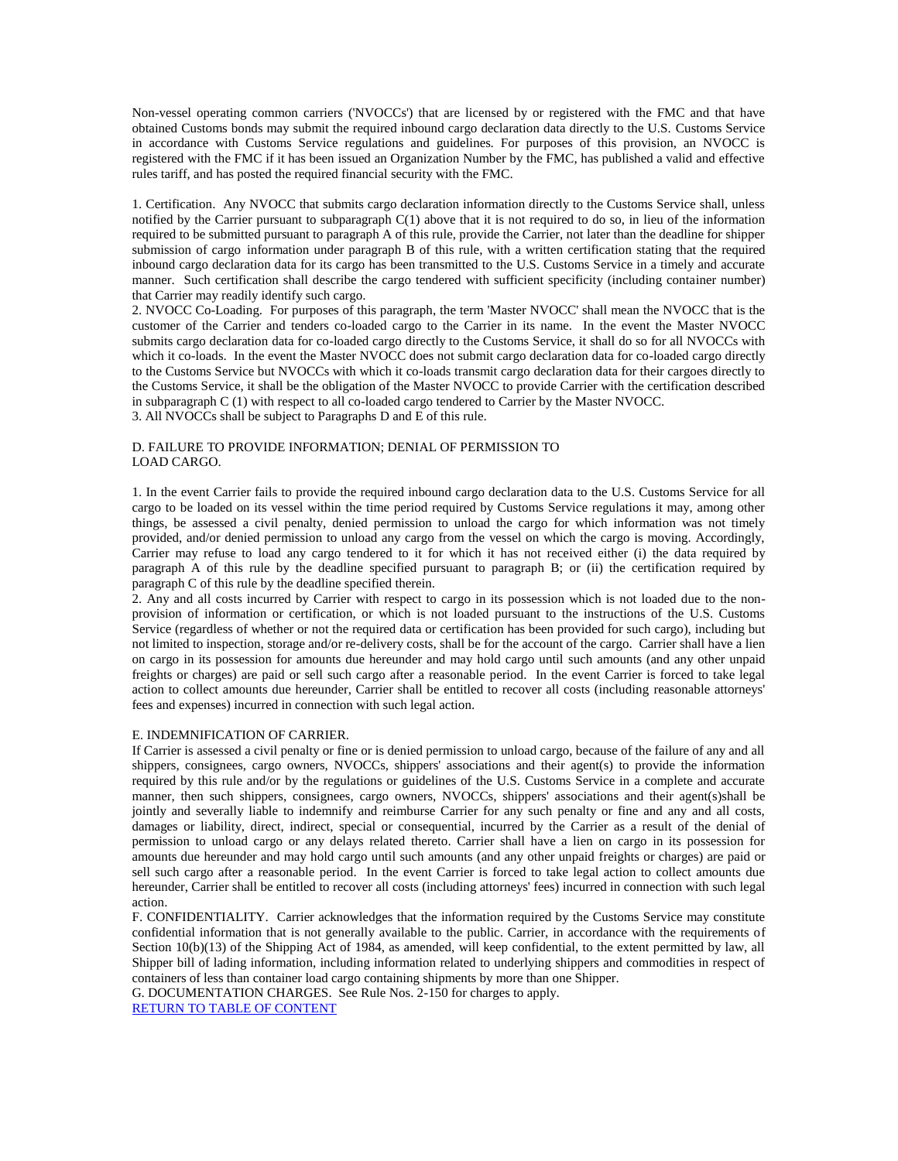Non-vessel operating common carriers ('NVOCCs') that are licensed by or registered with the FMC and that have obtained Customs bonds may submit the required inbound cargo declaration data directly to the U.S. Customs Service in accordance with Customs Service regulations and guidelines. For purposes of this provision, an NVOCC is registered with the FMC if it has been issued an Organization Number by the FMC, has published a valid and effective rules tariff, and has posted the required financial security with the FMC.

1. Certification. Any NVOCC that submits cargo declaration information directly to the Customs Service shall, unless notified by the Carrier pursuant to subparagraph  $C(1)$  above that it is not required to do so, in lieu of the information required to be submitted pursuant to paragraph A of this rule, provide the Carrier, not later than the deadline for shipper submission of cargo information under paragraph B of this rule, with a written certification stating that the required inbound cargo declaration data for its cargo has been transmitted to the U.S. Customs Service in a timely and accurate manner. Such certification shall describe the cargo tendered with sufficient specificity (including container number) that Carrier may readily identify such cargo.

2. NVOCC Co-Loading. For purposes of this paragraph, the term 'Master NVOCC' shall mean the NVOCC that is the customer of the Carrier and tenders co-loaded cargo to the Carrier in its name. In the event the Master NVOCC submits cargo declaration data for co-loaded cargo directly to the Customs Service, it shall do so for all NVOCCs with which it co-loads. In the event the Master NVOCC does not submit cargo declaration data for co-loaded cargo directly to the Customs Service but NVOCCs with which it co-loads transmit cargo declaration data for their cargoes directly to the Customs Service, it shall be the obligation of the Master NVOCC to provide Carrier with the certification described in subparagraph C (1) with respect to all co-loaded cargo tendered to Carrier by the Master NVOCC. 3. All NVOCCs shall be subject to Paragraphs D and E of this rule.

#### D. FAILURE TO PROVIDE INFORMATION; DENIAL OF PERMISSION TO LOAD CARGO.

1. In the event Carrier fails to provide the required inbound cargo declaration data to the U.S. Customs Service for all cargo to be loaded on its vessel within the time period required by Customs Service regulations it may, among other things, be assessed a civil penalty, denied permission to unload the cargo for which information was not timely provided, and/or denied permission to unload any cargo from the vessel on which the cargo is moving. Accordingly, Carrier may refuse to load any cargo tendered to it for which it has not received either (i) the data required by paragraph A of this rule by the deadline specified pursuant to paragraph B; or (ii) the certification required by paragraph C of this rule by the deadline specified therein.

2. Any and all costs incurred by Carrier with respect to cargo in its possession which is not loaded due to the nonprovision of information or certification, or which is not loaded pursuant to the instructions of the U.S. Customs Service (regardless of whether or not the required data or certification has been provided for such cargo), including but not limited to inspection, storage and/or re-delivery costs, shall be for the account of the cargo. Carrier shall have a lien on cargo in its possession for amounts due hereunder and may hold cargo until such amounts (and any other unpaid freights or charges) are paid or sell such cargo after a reasonable period. In the event Carrier is forced to take legal action to collect amounts due hereunder, Carrier shall be entitled to recover all costs (including reasonable attorneys' fees and expenses) incurred in connection with such legal action.

#### E. INDEMNIFICATION OF CARRIER.

If Carrier is assessed a civil penalty or fine or is denied permission to unload cargo, because of the failure of any and all shippers, consignees, cargo owners, NVOCCs, shippers' associations and their agent(s) to provide the information required by this rule and/or by the regulations or guidelines of the U.S. Customs Service in a complete and accurate manner, then such shippers, consignees, cargo owners, NVOCCs, shippers' associations and their agent(s)shall be jointly and severally liable to indemnify and reimburse Carrier for any such penalty or fine and any and all costs, damages or liability, direct, indirect, special or consequential, incurred by the Carrier as a result of the denial of permission to unload cargo or any delays related thereto. Carrier shall have a lien on cargo in its possession for amounts due hereunder and may hold cargo until such amounts (and any other unpaid freights or charges) are paid or sell such cargo after a reasonable period. In the event Carrier is forced to take legal action to collect amounts due hereunder, Carrier shall be entitled to recover all costs (including attorneys' fees) incurred in connection with such legal action.

F. CONFIDENTIALITY. Carrier acknowledges that the information required by the Customs Service may constitute confidential information that is not generally available to the public. Carrier, in accordance with the requirements of Section 10(b)(13) of the Shipping Act of 1984, as amended, will keep confidential, to the extent permitted by law, all Shipper bill of lading information, including information related to underlying shippers and commodities in respect of containers of less than container load cargo containing shipments by more than one Shipper.

G. DOCUMENTATION CHARGES. See Rule Nos. 2-150 for charges to apply.

[RETURN TO TABLE OF CONTENT](#page-2-0)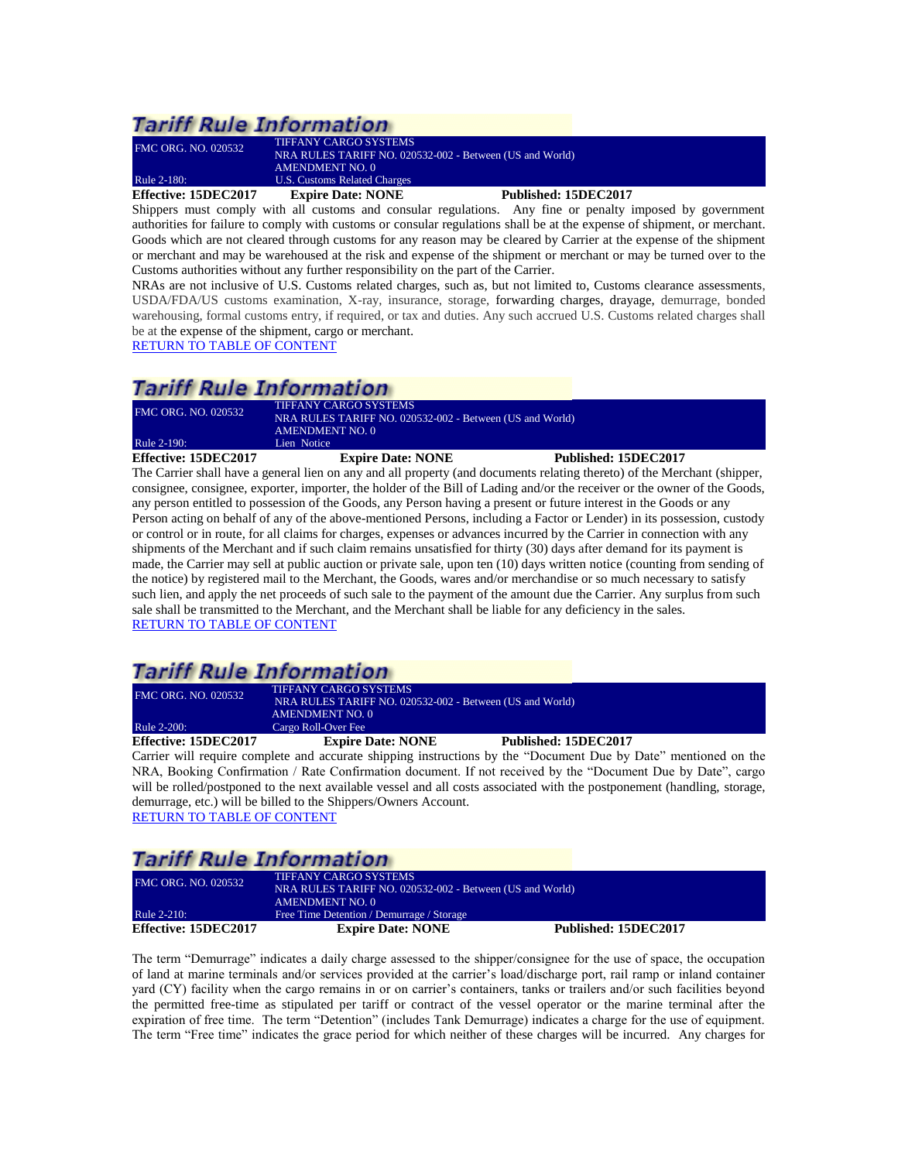# **Tariff Rule Information**

| <b>Effective: 15DEC2017</b> | <b>Expire Date: NONE</b>                                 | Published: 15DEC2017 |
|-----------------------------|----------------------------------------------------------|----------------------|
| Rule 2-180:                 | U.S. Customs Related Charges                             |                      |
|                             | AMENDMENT NO. 0                                          |                      |
|                             | NRA RULES TARIFF NO. 020532-002 - Between (US and World) |                      |
| <b>FMC ORG. NO. 020532</b>  | TIFFANY CARGO SYSTEMS                                    |                      |

<span id="page-15-0"></span>Shippers must comply with all customs and consular regulations. Any fine or penalty imposed by government authorities for failure to comply with customs or consular regulations shall be at the expense of shipment, or merchant. Goods which are not cleared through customs for any reason may be cleared by Carrier at the expense of the shipment or merchant and may be warehoused at the risk and expense of the shipment or merchant or may be turned over to the Customs authorities without any further responsibility on the part of the Carrier.

NRAs are not inclusive of U.S. Customs related charges, such as, but not limited to, Customs clearance assessments, USDA/FDA/US customs examination, X-ray, insurance, storage, forwarding charges, drayage, demurrage, bonded warehousing, formal customs entry, if required, or tax and duties. Any such accrued U.S. Customs related charges shall be at the expense of the shipment, cargo or merchant.

[RETURN TO TABLE OF CONTENT](#page-2-0)

# **Tariff Rule Information**

| Effective: 15DEC2017       | <b>Expire Date: NONE</b>                                 | Published: 15DEC2017 |  |
|----------------------------|----------------------------------------------------------|----------------------|--|
| <b>Rule 2-190:</b>         | Lien Notice                                              |                      |  |
|                            | <b>AMENDMENT NO. 0</b>                                   |                      |  |
| <b>FMC ORG. NO. 020532</b> | NRA RULES TARIFF NO. 020532-002 - Between (US and World) |                      |  |
|                            | TIFFANY CARGO SYSTEMS                                    |                      |  |

<span id="page-15-1"></span>The Carrier shall have a general lien on any and all property (and documents relating thereto) of the Merchant (shipper, consignee, consignee, exporter, importer, the holder of the Bill of Lading and/or the receiver or the owner of the Goods, any person entitled to possession of the Goods, any Person having a present or future interest in the Goods or any Person acting on behalf of any of the above-mentioned Persons, including a Factor or Lender) in its possession, custody or control or in route, for all claims for charges, expenses or advances incurred by the Carrier in connection with any shipments of the Merchant and if such claim remains unsatisfied for thirty (30) days after demand for its payment is made, the Carrier may sell at public auction or private sale, upon ten (10) days written notice (counting from sending of the notice) by registered mail to the Merchant, the Goods, wares and/or merchandise or so much necessary to satisfy such lien, and apply the net proceeds of such sale to the payment of the amount due the Carrier. Any surplus from such sale shall be transmitted to the Merchant, and the Merchant shall be liable for any deficiency in the sales. [RETURN TO TABLE OF CONTENT](#page-2-0)

# **Tariff Rule Information**

| Effective: 15DEC2017       | <b>Expire Date: NONE</b>                                 | Published: 15DEC2017 |  |
|----------------------------|----------------------------------------------------------|----------------------|--|
| Rule 2-200:                | Cargo Roll-Over Fee                                      |                      |  |
|                            | AMENDMENT NO. 0                                          |                      |  |
|                            | NRA RULES TARIFF NO. 020532-002 - Between (US and World) |                      |  |
| <b>FMC ORG. NO. 020532</b> | <b>TIFFANY CARGO SYSTEMS</b>                             |                      |  |
|                            |                                                          |                      |  |

<span id="page-15-2"></span>Carrier will require complete and accurate shipping instructions by the "Document Due by Date" mentioned on the NRA, Booking Confirmation / Rate Confirmation document. If not received by the "Document Due by Date", cargo will be rolled/postponed to the next available vessel and all costs associated with the postponement (handling, storage, demurrage, etc.) will be billed to the Shippers/Owners Account. [RETURN TO TABLE OF CONTENT](#page-2-0)

# **Tariff Rule Information**

<span id="page-15-3"></span>

| <b>FMC ORG. NO. 020532</b><br>Rule 2-210: | TIFFANY CARGO SYSTEMS<br>NRA RULES TARIFF NO. 020532-002 - Between (US and World)<br>AMENDMENT NO. 0<br>Free Time Detention / Demurrage / Storage |                      |
|-------------------------------------------|---------------------------------------------------------------------------------------------------------------------------------------------------|----------------------|
|                                           |                                                                                                                                                   |                      |
| Effective: 15DEC2017                      | <b>Expire Date: NONE</b>                                                                                                                          | Published: 15DEC2017 |

The term "Demurrage" indicates a daily charge assessed to the shipper/consignee for the use of space, the occupation of land at marine terminals and/or services provided at the carrier's load/discharge port, rail ramp or inland container yard (CY) facility when the cargo remains in or on carrier's containers, tanks or trailers and/or such facilities beyond the permitted free-time as stipulated per tariff or contract of the vessel operator or the marine terminal after the expiration of free time. The term "Detention" (includes Tank Demurrage) indicates a charge for the use of equipment. The term "Free time" indicates the grace period for which neither of these charges will be incurred. Any charges for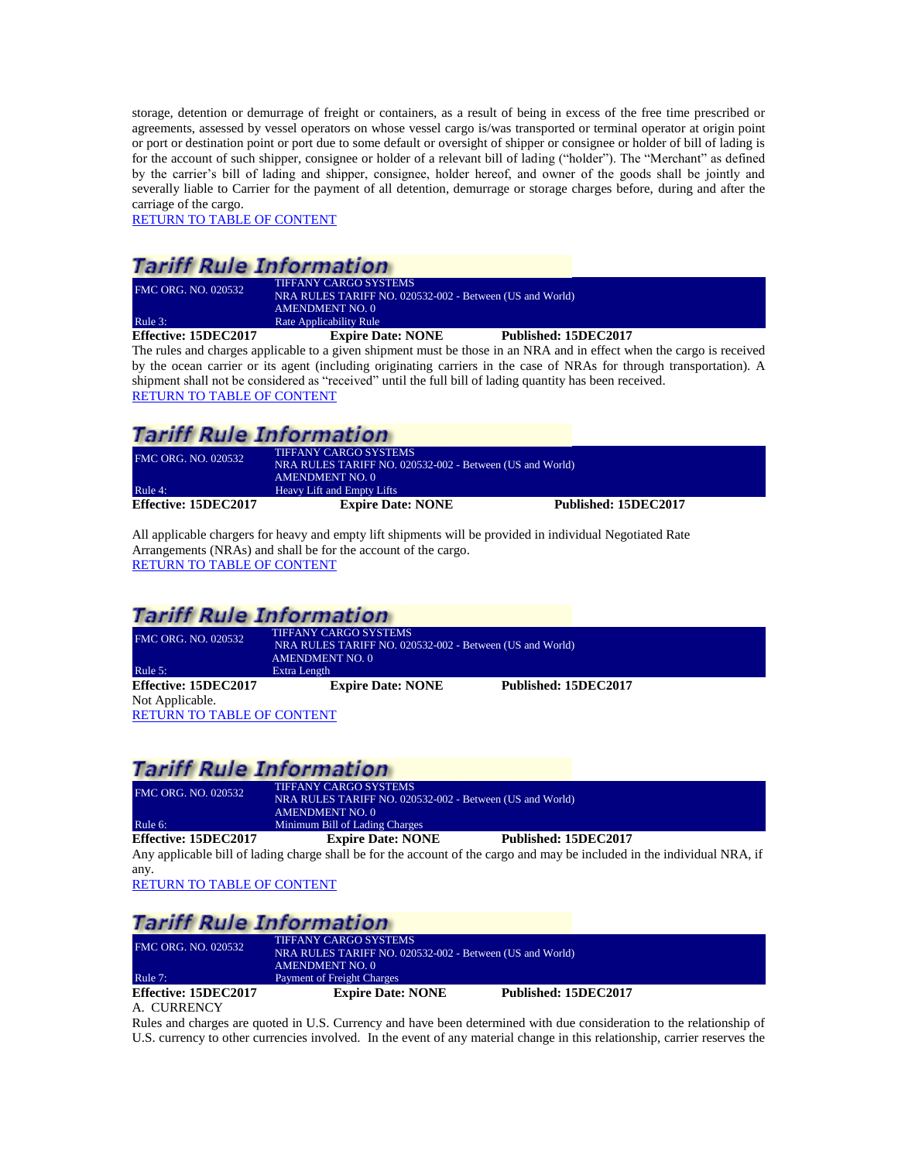storage, detention or demurrage of freight or containers, as a result of being in excess of the free time prescribed or agreements, assessed by vessel operators on whose vessel cargo is/was transported or terminal operator at origin point or port or destination point or port due to some default or oversight of shipper or consignee or holder of bill of lading is for the account of such shipper, consignee or holder of a relevant bill of lading ("holder"). The "Merchant" as defined by the carrier's bill of lading and shipper, consignee, holder hereof, and owner of the goods shall be jointly and severally liable to Carrier for the payment of all detention, demurrage or storage charges before, during and after the carriage of the cargo.

[RETURN TO TABLE OF CONTENT](#page-2-0)

## **Tariff Rule Information**

| <b>FMC ORG. NO. 020532</b> | <b>TIFFANY CARGO SYSTEMS</b><br>NRA RULES TARIFF NO. 020532-002 - Between (US and World)<br>AMENDMENT NO. 0 |                      |
|----------------------------|-------------------------------------------------------------------------------------------------------------|----------------------|
| Rule 3:                    | Rate Applicability Rule                                                                                     |                      |
| Effective: 15DEC2017       | <b>Expire Date: NONE</b>                                                                                    | Published: 15DEC2017 |

<span id="page-16-0"></span>The rules and charges applicable to a given shipment must be those in an NRA and in effect when the cargo is received by the ocean carrier or its agent (including originating carriers in the case of NRAs for through transportation). A shipment shall not be considered as "received" until the full bill of lading quantity has been received. [RETURN TO TABLE OF CONTENT](#page-2-0)

## **Tariff Rule Information**

<span id="page-16-1"></span>

| <b>FMC ORG. NO. 020532</b> | TIFFANY CARGO SYSTEMS                                    |                      |
|----------------------------|----------------------------------------------------------|----------------------|
|                            | NRA RULES TARIFF NO. 020532-002 - Between (US and World) |                      |
|                            | AMENDMENT NO. 0                                          |                      |
| Rule 4:                    | Heavy Lift and Empty Lifts                               |                      |
| Effective: 15DEC2017       | <b>Expire Date: NONE</b>                                 | Published: 15DEC2017 |

All applicable chargers for heavy and empty lift shipments will be provided in individual Negotiated Rate Arrangements (NRAs) and shall be for the account of the cargo. [RETURN TO TABLE OF CONTENT](#page-2-0)

### **Tariff Rule Information**

<span id="page-16-2"></span>

| FMC ORG. NO. 020532               | <b>TIFFANY CARGO SYSTEMS</b>                             |                      |  |
|-----------------------------------|----------------------------------------------------------|----------------------|--|
|                                   | NRA RULES TARIFF NO. 020532-002 - Between (US and World) |                      |  |
|                                   | <b>AMENDMENT NO. 0</b>                                   |                      |  |
| Rule 5:                           | Extra Length                                             |                      |  |
| Effective: 15DEC2017              | <b>Expire Date: NONE</b>                                 | Published: 15DEC2017 |  |
| Not Applicable.                   |                                                          |                      |  |
| <b>RETURN TO TABLE OF CONTENT</b> |                                                          |                      |  |

### **Tariff Rule Information**

| Effective: 15DEC2017       | <b>Expire Date: NONE</b>                                 | Published: 15DEC2017 |  |
|----------------------------|----------------------------------------------------------|----------------------|--|
| Rule 6:                    | Minimum Bill of Lading Charges                           |                      |  |
|                            | AMENDMENT NO. 0                                          |                      |  |
|                            | NRA RULES TARIFF NO. 020532-002 - Between (US and World) |                      |  |
| <b>FMC ORG. NO. 020532</b> | TIFFANY CARGO SYSTEMS                                    |                      |  |

<span id="page-16-3"></span>Any applicable bill of lading charge shall be for the account of the cargo and may be included in the individual NRA, if any.

[RETURN TO TABLE OF CONTENT](#page-2-0)

# **Tariff Rule Information**

<span id="page-16-4"></span>

| <b>FMC ORG. NO. 020532</b> | <b>TIFFANY CARGO SYSTEMS</b><br>NRA RULES TARIFF NO. 020532-002 - Between (US and World) |                      |  |
|----------------------------|------------------------------------------------------------------------------------------|----------------------|--|
| Rule $7:$                  | <b>AMENDMENT NO. 0</b><br>Payment of Freight Charges                                     |                      |  |
| Effective: 15DEC2017       | <b>Expire Date: NONE</b>                                                                 | Published: 15DEC2017 |  |
| A. CURRENCY                |                                                                                          |                      |  |

Rules and charges are quoted in U.S. Currency and have been determined with due consideration to the relationship of U.S. currency to other currencies involved. In the event of any material change in this relationship, carrier reserves the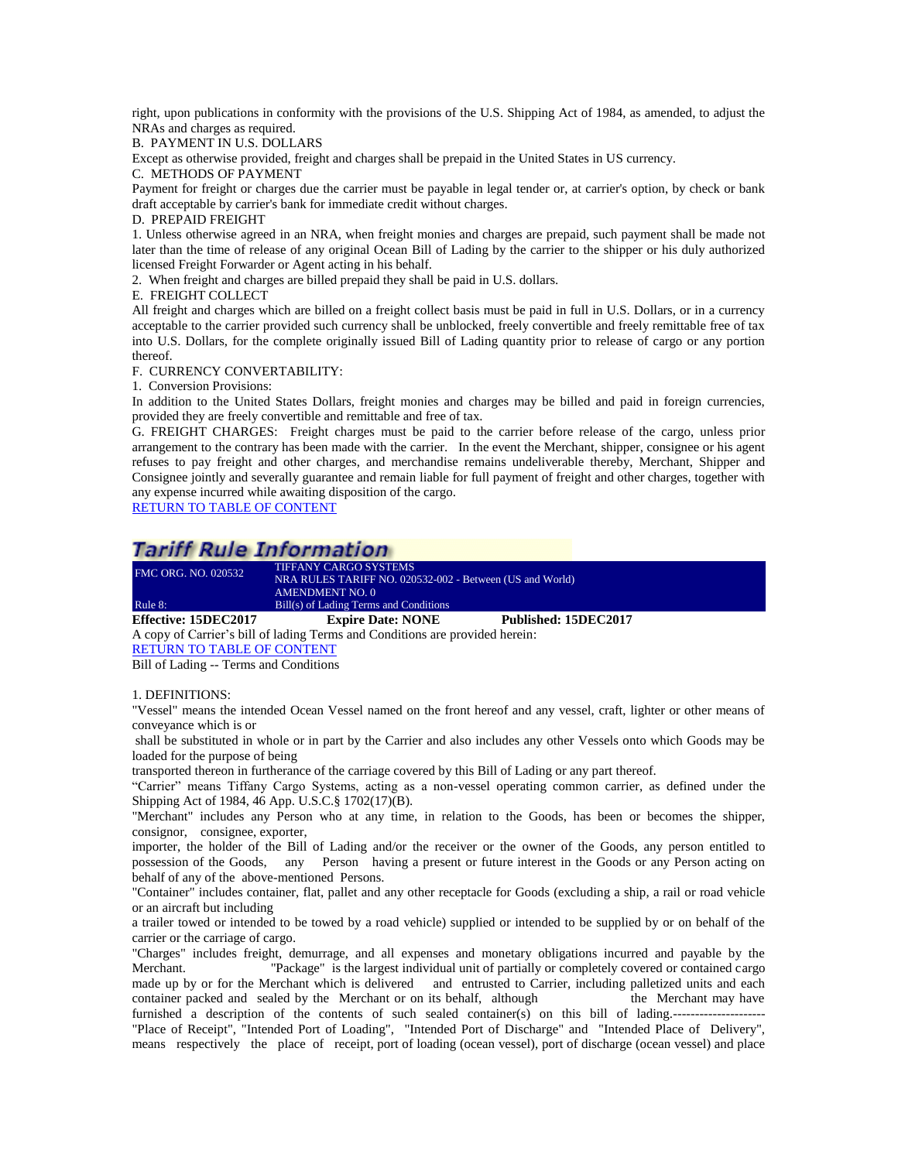right, upon publications in conformity with the provisions of the U.S. Shipping Act of 1984, as amended, to adjust the NRAs and charges as required.

B. PAYMENT IN U.S. DOLLARS

Except as otherwise provided, freight and charges shall be prepaid in the United States in US currency.

C. METHODS OF PAYMENT

Payment for freight or charges due the carrier must be payable in legal tender or, at carrier's option, by check or bank draft acceptable by carrier's bank for immediate credit without charges.

D. PREPAID FREIGHT

1. Unless otherwise agreed in an NRA, when freight monies and charges are prepaid, such payment shall be made not later than the time of release of any original Ocean Bill of Lading by the carrier to the shipper or his duly authorized licensed Freight Forwarder or Agent acting in his behalf.

2. When freight and charges are billed prepaid they shall be paid in U.S. dollars.

E. FREIGHT COLLECT

All freight and charges which are billed on a freight collect basis must be paid in full in U.S. Dollars, or in a currency acceptable to the carrier provided such currency shall be unblocked, freely convertible and freely remittable free of tax into U.S. Dollars, for the complete originally issued Bill of Lading quantity prior to release of cargo or any portion thereof.

F. CURRENCY CONVERTABILITY:

1. Conversion Provisions:

In addition to the United States Dollars, freight monies and charges may be billed and paid in foreign currencies, provided they are freely convertible and remittable and free of tax.

G. FREIGHT CHARGES: Freight charges must be paid to the carrier before release of the cargo, unless prior arrangement to the contrary has been made with the carrier. In the event the Merchant, shipper, consignee or his agent refuses to pay freight and other charges, and merchandise remains undeliverable thereby, Merchant, Shipper and Consignee jointly and severally guarantee and remain liable for full payment of freight and other charges, together with any expense incurred while awaiting disposition of the cargo.

[RETURN TO TABLE OF CONTENT](#page-2-0)

### **Tariff Rule Information**

| Effective: 15DEC2017       | <b>Expire Date: NONE</b>                                 | Published: 15DEC2017 |
|----------------------------|----------------------------------------------------------|----------------------|
| Rule 8:                    | Bill(s) of Lading Terms and Conditions                   |                      |
|                            | AMENDMENT NO. 0                                          |                      |
|                            | NRA RULES TARIFF NO. 020532-002 - Between (US and World) |                      |
| <b>FMC ORG. NO. 020532</b> | <b>TIFFANY CARGO SYSTEMS</b>                             |                      |

<span id="page-17-0"></span>A copy of Carrier's bill of lading Terms and Conditions are provided herein:

[RETURN TO TABLE OF CONTENT](#page-2-0)

Bill of Lading -- Terms and Conditions

#### 1. DEFINITIONS:

"Vessel" means the intended Ocean Vessel named on the front hereof and any vessel, craft, lighter or other means of conveyance which is or

shall be substituted in whole or in part by the Carrier and also includes any other Vessels onto which Goods may be loaded for the purpose of being

transported thereon in furtherance of the carriage covered by this Bill of Lading or any part thereof.

"Carrier" means Tiffany Cargo Systems, acting as a non-vessel operating common carrier, as defined under the Shipping Act of 1984, 46 App. U.S.C.§ 1702(17)(B).

"Merchant" includes any Person who at any time, in relation to the Goods, has been or becomes the shipper, consignor, consignee, exporter,

importer, the holder of the Bill of Lading and/or the receiver or the owner of the Goods, any person entitled to possession of the Goods, any Person having a present or future interest in the Goods or any Person acting on behalf of any of the above-mentioned Persons.

"Container" includes container, flat, pallet and any other receptacle for Goods (excluding a ship, a rail or road vehicle or an aircraft but including

a trailer towed or intended to be towed by a road vehicle) supplied or intended to be supplied by or on behalf of the carrier or the carriage of cargo.

"Charges" includes freight, demurrage, and all expenses and monetary obligations incurred and payable by the Merchant. "Package" is the largest individual unit of partially or completely covered or contained cargo made up by or for the Merchant which is delivered and entrusted to Carrier, including palletized units and each container packed and sealed by the Merchant or on its behalf, although the Merchant may have furnished a description of the contents of such sealed container(s) on this bill of lading.----------------------

"Place of Receipt", "Intended Port of Loading", "Intended Port of Discharge" and "Intended Place of Delivery", means respectively the place of receipt, port of loading (ocean vessel), port of discharge (ocean vessel) and place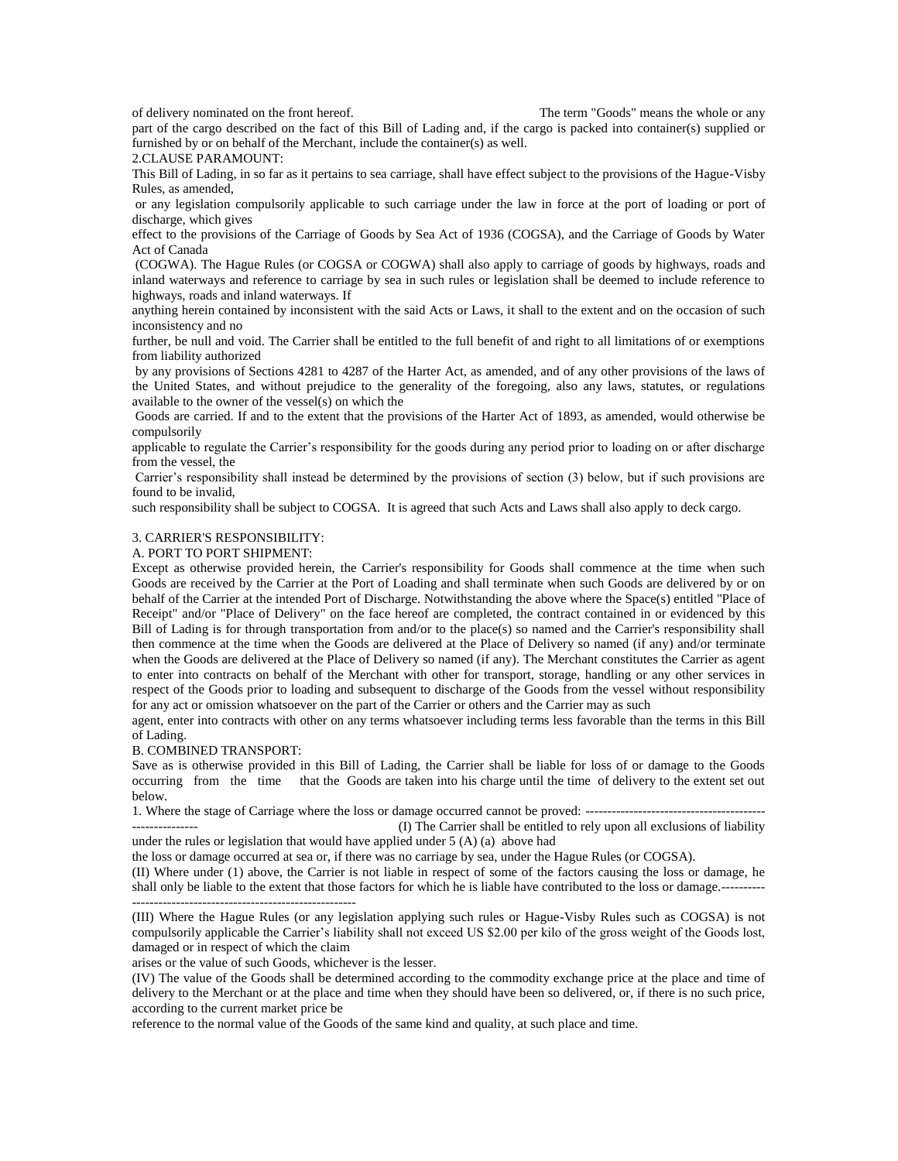of delivery nominated on the front hereof. The term "Goods" means the whole or any

part of the cargo described on the fact of this Bill of Lading and, if the cargo is packed into container(s) supplied or furnished by or on behalf of the Merchant, include the container(s) as well.

2.CLAUSE PARAMOUNT:

This Bill of Lading, in so far as it pertains to sea carriage, shall have effect subject to the provisions of the Hague-Visby Rules, as amended,

or any legislation compulsorily applicable to such carriage under the law in force at the port of loading or port of discharge, which gives

effect to the provisions of the Carriage of Goods by Sea Act of 1936 (COGSA), and the Carriage of Goods by Water Act of Canada

(COGWA). The Hague Rules (or COGSA or COGWA) shall also apply to carriage of goods by highways, roads and inland waterways and reference to carriage by sea in such rules or legislation shall be deemed to include reference to highways, roads and inland waterways. If

anything herein contained by inconsistent with the said Acts or Laws, it shall to the extent and on the occasion of such inconsistency and no

further, be null and void. The Carrier shall be entitled to the full benefit of and right to all limitations of or exemptions from liability authorized

by any provisions of Sections 4281 to 4287 of the Harter Act, as amended, and of any other provisions of the laws of the United States, and without prejudice to the generality of the foregoing, also any laws, statutes, or regulations available to the owner of the vessel(s) on which the

Goods are carried. If and to the extent that the provisions of the Harter Act of 1893, as amended, would otherwise be compulsorily

applicable to regulate the Carrier's responsibility for the goods during any period prior to loading on or after discharge from the vessel, the

Carrier's responsibility shall instead be determined by the provisions of section (3) below, but if such provisions are found to be invalid,

such responsibility shall be subject to COGSA. It is agreed that such Acts and Laws shall also apply to deck cargo.

#### 3. CARRIER'S RESPONSIBILITY:

#### A. PORT TO PORT SHIPMENT:

Except as otherwise provided herein, the Carrier's responsibility for Goods shall commence at the time when such Goods are received by the Carrier at the Port of Loading and shall terminate when such Goods are delivered by or on behalf of the Carrier at the intended Port of Discharge. Notwithstanding the above where the Space(s) entitled "Place of Receipt" and/or "Place of Delivery" on the face hereof are completed, the contract contained in or evidenced by this Bill of Lading is for through transportation from and/or to the place(s) so named and the Carrier's responsibility shall then commence at the time when the Goods are delivered at the Place of Delivery so named (if any) and/or terminate when the Goods are delivered at the Place of Delivery so named (if any). The Merchant constitutes the Carrier as agent to enter into contracts on behalf of the Merchant with other for transport, storage, handling or any other services in respect of the Goods prior to loading and subsequent to discharge of the Goods from the vessel without responsibility for any act or omission whatsoever on the part of the Carrier or others and the Carrier may as such

agent, enter into contracts with other on any terms whatsoever including terms less favorable than the terms in this Bill of Lading.

#### B. COMBINED TRANSPORT:

Save as is otherwise provided in this Bill of Lading, the Carrier shall be liable for loss of or damage to the Goods occurring from the time that the Goods are taken into his charge until the time of delivery to the extent set out below.

1. Where the stage of Carriage where the loss or damage occurred cannot be proved: ----------------------------------------- (I) The Carrier shall be entitled to rely upon all exclusions of liability under the rules or legislation that would have applied under 5 (A) (a) above had

the loss or damage occurred at sea or, if there was no carriage by sea, under the Hague Rules (or COGSA).

(II) Where under (1) above, the Carrier is not liable in respect of some of the factors causing the loss or damage, he shall only be liable to the extent that those factors for which he is liable have contributed to the loss or damage.----------

---------------------------------------------------

(III) Where the Hague Rules (or any legislation applying such rules or Hague-Visby Rules such as COGSA) is not compulsorily applicable the Carrier's liability shall not exceed US \$2.00 per kilo of the gross weight of the Goods lost, damaged or in respect of which the claim

arises or the value of such Goods, whichever is the lesser.

(IV) The value of the Goods shall be determined according to the commodity exchange price at the place and time of delivery to the Merchant or at the place and time when they should have been so delivered, or, if there is no such price, according to the current market price be

reference to the normal value of the Goods of the same kind and quality, at such place and time.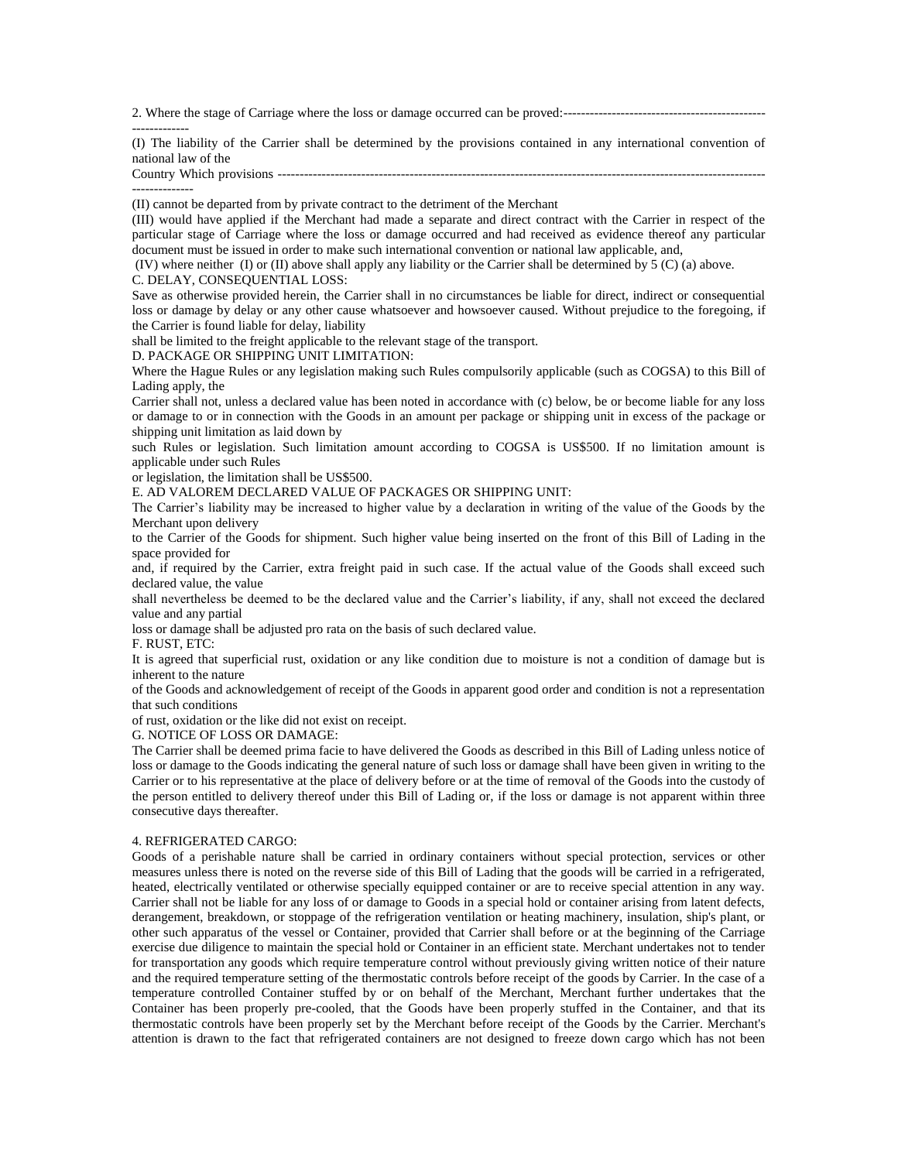2. Where the stage of Carriage where the loss or damage occurred can be proved:----------------------------------------------

------------- (I) The liability of the Carrier shall be determined by the provisions contained in any international convention of national law of the

Country Which provisions --------------------------------------------------------------------------------------------------------------- --------------

(II) cannot be departed from by private contract to the detriment of the Merchant

(III) would have applied if the Merchant had made a separate and direct contract with the Carrier in respect of the particular stage of Carriage where the loss or damage occurred and had received as evidence thereof any particular document must be issued in order to make such international convention or national law applicable, and,

(IV) where neither (I) or (II) above shall apply any liability or the Carrier shall be determined by 5 (C) (a) above.

#### C. DELAY, CONSEQUENTIAL LOSS:

Save as otherwise provided herein, the Carrier shall in no circumstances be liable for direct, indirect or consequential loss or damage by delay or any other cause whatsoever and howsoever caused. Without prejudice to the foregoing, if the Carrier is found liable for delay, liability

shall be limited to the freight applicable to the relevant stage of the transport.

D. PACKAGE OR SHIPPING UNIT LIMITATION:

Where the Hague Rules or any legislation making such Rules compulsorily applicable (such as COGSA) to this Bill of Lading apply, the

Carrier shall not, unless a declared value has been noted in accordance with (c) below, be or become liable for any loss or damage to or in connection with the Goods in an amount per package or shipping unit in excess of the package or shipping unit limitation as laid down by

such Rules or legislation. Such limitation amount according to COGSA is US\$500. If no limitation amount is applicable under such Rules

or legislation, the limitation shall be US\$500.

E. AD VALOREM DECLARED VALUE OF PACKAGES OR SHIPPING UNIT:

The Carrier's liability may be increased to higher value by a declaration in writing of the value of the Goods by the Merchant upon delivery

to the Carrier of the Goods for shipment. Such higher value being inserted on the front of this Bill of Lading in the space provided for

and, if required by the Carrier, extra freight paid in such case. If the actual value of the Goods shall exceed such declared value, the value

shall nevertheless be deemed to be the declared value and the Carrier's liability, if any, shall not exceed the declared value and any partial

loss or damage shall be adjusted pro rata on the basis of such declared value.

F. RUST, ETC:

It is agreed that superficial rust, oxidation or any like condition due to moisture is not a condition of damage but is inherent to the nature

of the Goods and acknowledgement of receipt of the Goods in apparent good order and condition is not a representation that such conditions

of rust, oxidation or the like did not exist on receipt.

G. NOTICE OF LOSS OR DAMAGE:

The Carrier shall be deemed prima facie to have delivered the Goods as described in this Bill of Lading unless notice of loss or damage to the Goods indicating the general nature of such loss or damage shall have been given in writing to the Carrier or to his representative at the place of delivery before or at the time of removal of the Goods into the custody of the person entitled to delivery thereof under this Bill of Lading or, if the loss or damage is not apparent within three consecutive days thereafter.

#### 4. REFRIGERATED CARGO:

Goods of a perishable nature shall be carried in ordinary containers without special protection, services or other measures unless there is noted on the reverse side of this Bill of Lading that the goods will be carried in a refrigerated, heated, electrically ventilated or otherwise specially equipped container or are to receive special attention in any way. Carrier shall not be liable for any loss of or damage to Goods in a special hold or container arising from latent defects, derangement, breakdown, or stoppage of the refrigeration ventilation or heating machinery, insulation, ship's plant, or other such apparatus of the vessel or Container, provided that Carrier shall before or at the beginning of the Carriage exercise due diligence to maintain the special hold or Container in an efficient state. Merchant undertakes not to tender for transportation any goods which require temperature control without previously giving written notice of their nature and the required temperature setting of the thermostatic controls before receipt of the goods by Carrier. In the case of a temperature controlled Container stuffed by or on behalf of the Merchant, Merchant further undertakes that the Container has been properly pre-cooled, that the Goods have been properly stuffed in the Container, and that its thermostatic controls have been properly set by the Merchant before receipt of the Goods by the Carrier. Merchant's attention is drawn to the fact that refrigerated containers are not designed to freeze down cargo which has not been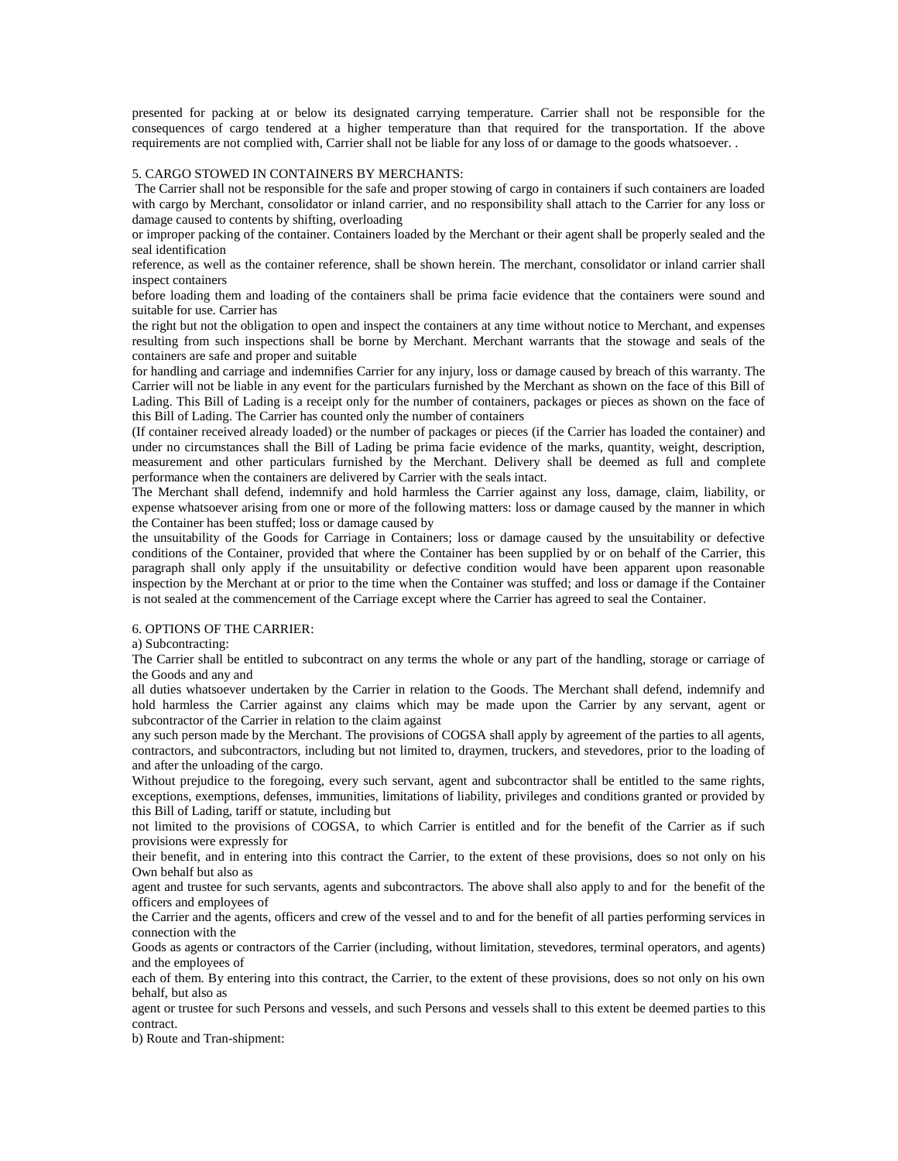presented for packing at or below its designated carrying temperature. Carrier shall not be responsible for the consequences of cargo tendered at a higher temperature than that required for the transportation. If the above requirements are not complied with, Carrier shall not be liable for any loss of or damage to the goods whatsoever. .

#### 5. CARGO STOWED IN CONTAINERS BY MERCHANTS:

The Carrier shall not be responsible for the safe and proper stowing of cargo in containers if such containers are loaded with cargo by Merchant, consolidator or inland carrier, and no responsibility shall attach to the Carrier for any loss or damage caused to contents by shifting, overloading

or improper packing of the container. Containers loaded by the Merchant or their agent shall be properly sealed and the seal identification

reference, as well as the container reference, shall be shown herein. The merchant, consolidator or inland carrier shall inspect containers

before loading them and loading of the containers shall be prima facie evidence that the containers were sound and suitable for use. Carrier has

the right but not the obligation to open and inspect the containers at any time without notice to Merchant, and expenses resulting from such inspections shall be borne by Merchant. Merchant warrants that the stowage and seals of the containers are safe and proper and suitable

for handling and carriage and indemnifies Carrier for any injury, loss or damage caused by breach of this warranty. The Carrier will not be liable in any event for the particulars furnished by the Merchant as shown on the face of this Bill of Lading. This Bill of Lading is a receipt only for the number of containers, packages or pieces as shown on the face of this Bill of Lading. The Carrier has counted only the number of containers

(If container received already loaded) or the number of packages or pieces (if the Carrier has loaded the container) and under no circumstances shall the Bill of Lading be prima facie evidence of the marks, quantity, weight, description, measurement and other particulars furnished by the Merchant. Delivery shall be deemed as full and complete performance when the containers are delivered by Carrier with the seals intact.

The Merchant shall defend, indemnify and hold harmless the Carrier against any loss, damage, claim, liability, or expense whatsoever arising from one or more of the following matters: loss or damage caused by the manner in which the Container has been stuffed; loss or damage caused by

the unsuitability of the Goods for Carriage in Containers; loss or damage caused by the unsuitability or defective conditions of the Container, provided that where the Container has been supplied by or on behalf of the Carrier, this paragraph shall only apply if the unsuitability or defective condition would have been apparent upon reasonable inspection by the Merchant at or prior to the time when the Container was stuffed; and loss or damage if the Container is not sealed at the commencement of the Carriage except where the Carrier has agreed to seal the Container.

#### 6. OPTIONS OF THE CARRIER:

a) Subcontracting:

The Carrier shall be entitled to subcontract on any terms the whole or any part of the handling, storage or carriage of the Goods and any and

all duties whatsoever undertaken by the Carrier in relation to the Goods. The Merchant shall defend, indemnify and hold harmless the Carrier against any claims which may be made upon the Carrier by any servant, agent or subcontractor of the Carrier in relation to the claim against

any such person made by the Merchant. The provisions of COGSA shall apply by agreement of the parties to all agents, contractors, and subcontractors, including but not limited to, draymen, truckers, and stevedores, prior to the loading of and after the unloading of the cargo.

Without prejudice to the foregoing, every such servant, agent and subcontractor shall be entitled to the same rights, exceptions, exemptions, defenses, immunities, limitations of liability, privileges and conditions granted or provided by this Bill of Lading, tariff or statute, including but

not limited to the provisions of COGSA, to which Carrier is entitled and for the benefit of the Carrier as if such provisions were expressly for

their benefit, and in entering into this contract the Carrier, to the extent of these provisions, does so not only on his Own behalf but also as

agent and trustee for such servants, agents and subcontractors. The above shall also apply to and for the benefit of the officers and employees of

the Carrier and the agents, officers and crew of the vessel and to and for the benefit of all parties performing services in connection with the

Goods as agents or contractors of the Carrier (including, without limitation, stevedores, terminal operators, and agents) and the employees of

each of them. By entering into this contract, the Carrier, to the extent of these provisions, does so not only on his own behalf, but also as

agent or trustee for such Persons and vessels, and such Persons and vessels shall to this extent be deemed parties to this contract.

b) Route and Tran-shipment: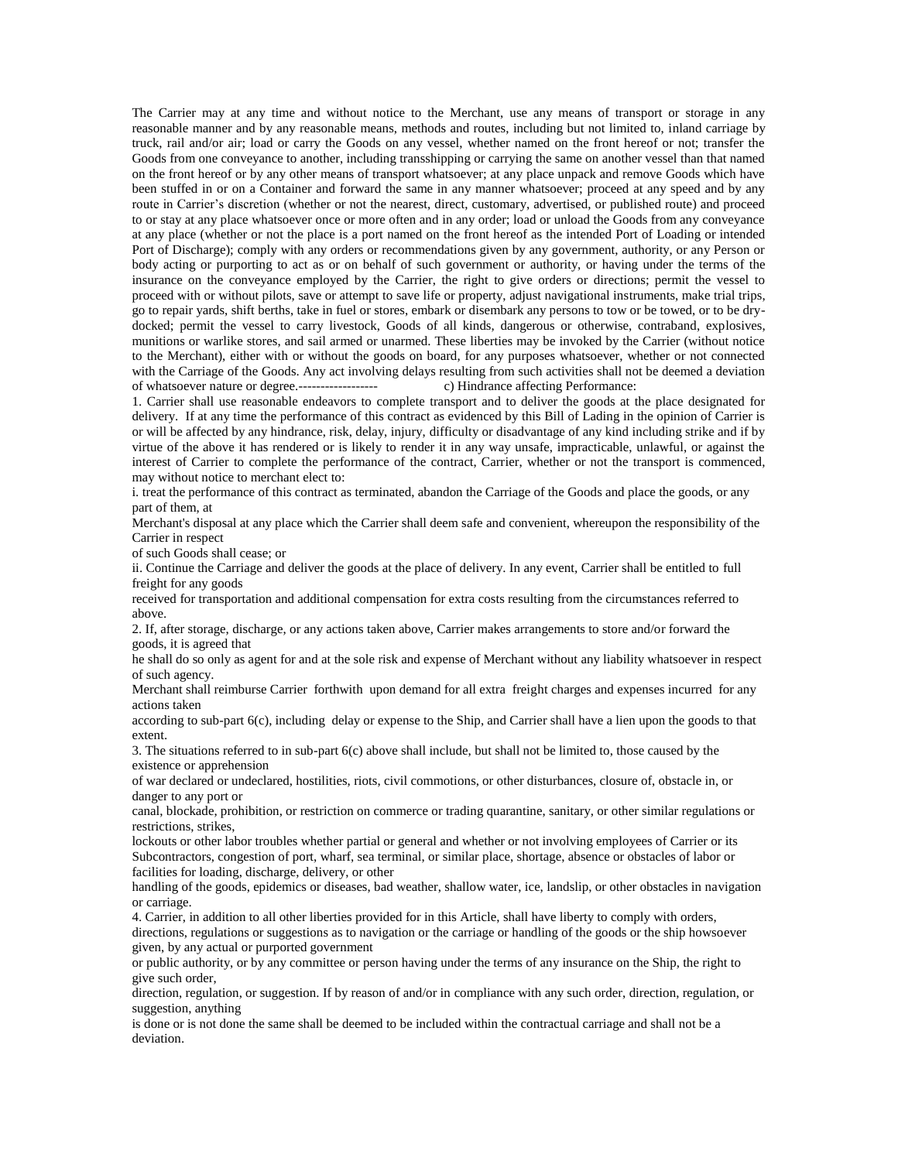The Carrier may at any time and without notice to the Merchant, use any means of transport or storage in any reasonable manner and by any reasonable means, methods and routes, including but not limited to, inland carriage by truck, rail and/or air; load or carry the Goods on any vessel, whether named on the front hereof or not; transfer the Goods from one conveyance to another, including transshipping or carrying the same on another vessel than that named on the front hereof or by any other means of transport whatsoever; at any place unpack and remove Goods which have been stuffed in or on a Container and forward the same in any manner whatsoever; proceed at any speed and by any route in Carrier's discretion (whether or not the nearest, direct, customary, advertised, or published route) and proceed to or stay at any place whatsoever once or more often and in any order; load or unload the Goods from any conveyance at any place (whether or not the place is a port named on the front hereof as the intended Port of Loading or intended Port of Discharge); comply with any orders or recommendations given by any government, authority, or any Person or body acting or purporting to act as or on behalf of such government or authority, or having under the terms of the insurance on the conveyance employed by the Carrier, the right to give orders or directions; permit the vessel to proceed with or without pilots, save or attempt to save life or property, adjust navigational instruments, make trial trips, go to repair yards, shift berths, take in fuel or stores, embark or disembark any persons to tow or be towed, or to be drydocked; permit the vessel to carry livestock, Goods of all kinds, dangerous or otherwise, contraband, explosives, munitions or warlike stores, and sail armed or unarmed. These liberties may be invoked by the Carrier (without notice to the Merchant), either with or without the goods on board, for any purposes whatsoever, whether or not connected with the Carriage of the Goods. Any act involving delays resulting from such activities shall not be deemed a deviation of whatsoever nature or degree.------------------ c) Hindrance affecting Performance:

1. Carrier shall use reasonable endeavors to complete transport and to deliver the goods at the place designated for delivery. If at any time the performance of this contract as evidenced by this Bill of Lading in the opinion of Carrier is or will be affected by any hindrance, risk, delay, injury, difficulty or disadvantage of any kind including strike and if by virtue of the above it has rendered or is likely to render it in any way unsafe, impracticable, unlawful, or against the interest of Carrier to complete the performance of the contract, Carrier, whether or not the transport is commenced, may without notice to merchant elect to:

i. treat the performance of this contract as terminated, abandon the Carriage of the Goods and place the goods, or any part of them, at

Merchant's disposal at any place which the Carrier shall deem safe and convenient, whereupon the responsibility of the Carrier in respect

of such Goods shall cease; or

ii. Continue the Carriage and deliver the goods at the place of delivery. In any event, Carrier shall be entitled to full freight for any goods

received for transportation and additional compensation for extra costs resulting from the circumstances referred to above.

2. If, after storage, discharge, or any actions taken above, Carrier makes arrangements to store and/or forward the goods, it is agreed that

he shall do so only as agent for and at the sole risk and expense of Merchant without any liability whatsoever in respect of such agency.

Merchant shall reimburse Carrier forthwith upon demand for all extra freight charges and expenses incurred for any actions taken

according to sub-part  $6(c)$ , including delay or expense to the Ship, and Carrier shall have a lien upon the goods to that extent.

3. The situations referred to in sub-part 6(c) above shall include, but shall not be limited to, those caused by the existence or apprehension

of war declared or undeclared, hostilities, riots, civil commotions, or other disturbances, closure of, obstacle in, or danger to any port or

canal, blockade, prohibition, or restriction on commerce or trading quarantine, sanitary, or other similar regulations or restrictions, strikes,

lockouts or other labor troubles whether partial or general and whether or not involving employees of Carrier or its Subcontractors, congestion of port, wharf, sea terminal, or similar place, shortage, absence or obstacles of labor or facilities for loading, discharge, delivery, or other

handling of the goods, epidemics or diseases, bad weather, shallow water, ice, landslip, or other obstacles in navigation or carriage.

4. Carrier, in addition to all other liberties provided for in this Article, shall have liberty to comply with orders, directions, regulations or suggestions as to navigation or the carriage or handling of the goods or the ship howsoever given, by any actual or purported government

or public authority, or by any committee or person having under the terms of any insurance on the Ship, the right to give such order,

direction, regulation, or suggestion. If by reason of and/or in compliance with any such order, direction, regulation, or suggestion, anything

is done or is not done the same shall be deemed to be included within the contractual carriage and shall not be a deviation.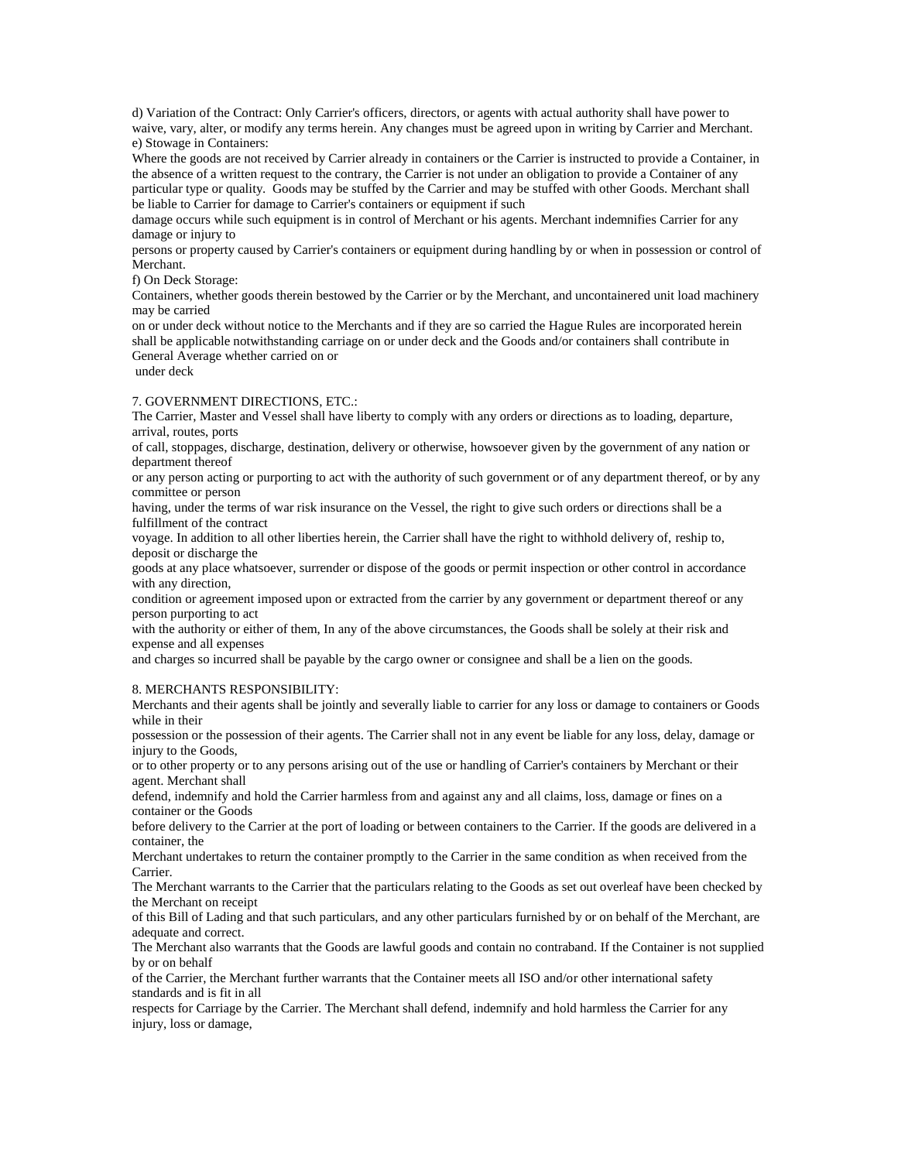d) Variation of the Contract: Only Carrier's officers, directors, or agents with actual authority shall have power to waive, vary, alter, or modify any terms herein. Any changes must be agreed upon in writing by Carrier and Merchant. e) Stowage in Containers:

Where the goods are not received by Carrier already in containers or the Carrier is instructed to provide a Container, in the absence of a written request to the contrary, the Carrier is not under an obligation to provide a Container of any particular type or quality. Goods may be stuffed by the Carrier and may be stuffed with other Goods. Merchant shall be liable to Carrier for damage to Carrier's containers or equipment if such

damage occurs while such equipment is in control of Merchant or his agents. Merchant indemnifies Carrier for any damage or injury to

persons or property caused by Carrier's containers or equipment during handling by or when in possession or control of Merchant.

f) On Deck Storage:

Containers, whether goods therein bestowed by the Carrier or by the Merchant, and uncontainered unit load machinery may be carried

on or under deck without notice to the Merchants and if they are so carried the Hague Rules are incorporated herein shall be applicable notwithstanding carriage on or under deck and the Goods and/or containers shall contribute in General Average whether carried on or

under deck

#### 7. GOVERNMENT DIRECTIONS, ETC.:

The Carrier, Master and Vessel shall have liberty to comply with any orders or directions as to loading, departure, arrival, routes, ports

of call, stoppages, discharge, destination, delivery or otherwise, howsoever given by the government of any nation or department thereof

or any person acting or purporting to act with the authority of such government or of any department thereof, or by any committee or person

having, under the terms of war risk insurance on the Vessel, the right to give such orders or directions shall be a fulfillment of the contract

voyage. In addition to all other liberties herein, the Carrier shall have the right to withhold delivery of, reship to, deposit or discharge the

goods at any place whatsoever, surrender or dispose of the goods or permit inspection or other control in accordance with any direction,

condition or agreement imposed upon or extracted from the carrier by any government or department thereof or any person purporting to act

with the authority or either of them, In any of the above circumstances, the Goods shall be solely at their risk and expense and all expenses

and charges so incurred shall be payable by the cargo owner or consignee and shall be a lien on the goods.

#### 8. MERCHANTS RESPONSIBILITY:

Merchants and their agents shall be jointly and severally liable to carrier for any loss or damage to containers or Goods while in their

possession or the possession of their agents. The Carrier shall not in any event be liable for any loss, delay, damage or injury to the Goods,

or to other property or to any persons arising out of the use or handling of Carrier's containers by Merchant or their agent. Merchant shall

defend, indemnify and hold the Carrier harmless from and against any and all claims, loss, damage or fines on a container or the Goods

before delivery to the Carrier at the port of loading or between containers to the Carrier. If the goods are delivered in a container, the

Merchant undertakes to return the container promptly to the Carrier in the same condition as when received from the Carrier.

The Merchant warrants to the Carrier that the particulars relating to the Goods as set out overleaf have been checked by the Merchant on receipt

of this Bill of Lading and that such particulars, and any other particulars furnished by or on behalf of the Merchant, are adequate and correct.

The Merchant also warrants that the Goods are lawful goods and contain no contraband. If the Container is not supplied by or on behalf

of the Carrier, the Merchant further warrants that the Container meets all ISO and/or other international safety standards and is fit in all

respects for Carriage by the Carrier. The Merchant shall defend, indemnify and hold harmless the Carrier for any injury, loss or damage,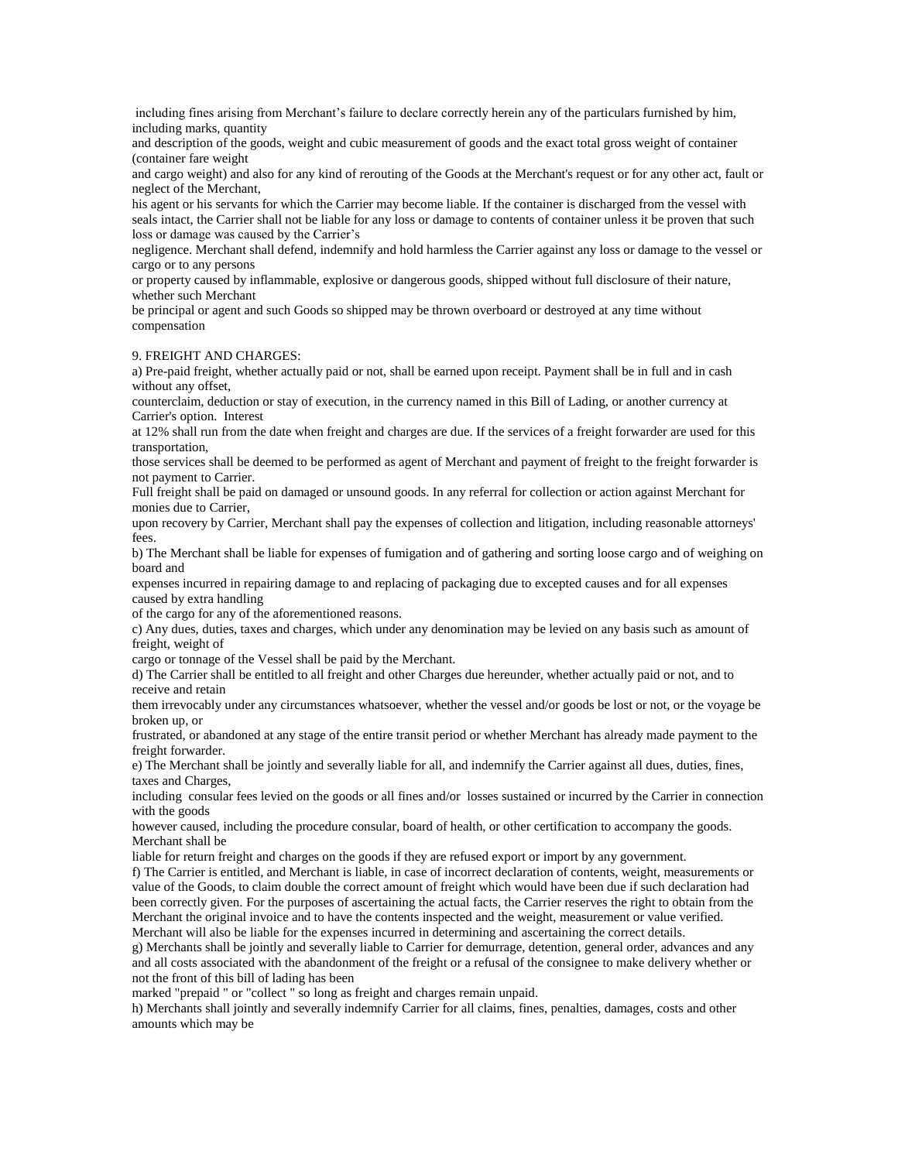including fines arising from Merchant's failure to declare correctly herein any of the particulars furnished by him, including marks, quantity

and description of the goods, weight and cubic measurement of goods and the exact total gross weight of container (container fare weight

and cargo weight) and also for any kind of rerouting of the Goods at the Merchant's request or for any other act, fault or neglect of the Merchant,

his agent or his servants for which the Carrier may become liable. If the container is discharged from the vessel with seals intact, the Carrier shall not be liable for any loss or damage to contents of container unless it be proven that such loss or damage was caused by the Carrier's

negligence. Merchant shall defend, indemnify and hold harmless the Carrier against any loss or damage to the vessel or cargo or to any persons

or property caused by inflammable, explosive or dangerous goods, shipped without full disclosure of their nature, whether such Merchant

be principal or agent and such Goods so shipped may be thrown overboard or destroyed at any time without compensation

#### 9. FREIGHT AND CHARGES:

a) Pre-paid freight, whether actually paid or not, shall be earned upon receipt. Payment shall be in full and in cash without any offset,

counterclaim, deduction or stay of execution, in the currency named in this Bill of Lading, or another currency at Carrier's option. Interest

at 12% shall run from the date when freight and charges are due. If the services of a freight forwarder are used for this transportation,

those services shall be deemed to be performed as agent of Merchant and payment of freight to the freight forwarder is not payment to Carrier.

Full freight shall be paid on damaged or unsound goods. In any referral for collection or action against Merchant for monies due to Carrier,

upon recovery by Carrier, Merchant shall pay the expenses of collection and litigation, including reasonable attorneys' fees.

b) The Merchant shall be liable for expenses of fumigation and of gathering and sorting loose cargo and of weighing on board and

expenses incurred in repairing damage to and replacing of packaging due to excepted causes and for all expenses caused by extra handling

of the cargo for any of the aforementioned reasons.

c) Any dues, duties, taxes and charges, which under any denomination may be levied on any basis such as amount of freight, weight of

cargo or tonnage of the Vessel shall be paid by the Merchant.

d) The Carrier shall be entitled to all freight and other Charges due hereunder, whether actually paid or not, and to receive and retain

them irrevocably under any circumstances whatsoever, whether the vessel and/or goods be lost or not, or the voyage be broken up, or

frustrated, or abandoned at any stage of the entire transit period or whether Merchant has already made payment to the freight forwarder.

e) The Merchant shall be jointly and severally liable for all, and indemnify the Carrier against all dues, duties, fines, taxes and Charges,

including consular fees levied on the goods or all fines and/or losses sustained or incurred by the Carrier in connection with the goods

however caused, including the procedure consular, board of health, or other certification to accompany the goods. Merchant shall be

liable for return freight and charges on the goods if they are refused export or import by any government.

f) The Carrier is entitled, and Merchant is liable, in case of incorrect declaration of contents, weight, measurements or value of the Goods, to claim double the correct amount of freight which would have been due if such declaration had been correctly given. For the purposes of ascertaining the actual facts, the Carrier reserves the right to obtain from the Merchant the original invoice and to have the contents inspected and the weight, measurement or value verified. Merchant will also be liable for the expenses incurred in determining and ascertaining the correct details.

g) Merchants shall be jointly and severally liable to Carrier for demurrage, detention, general order, advances and any and all costs associated with the abandonment of the freight or a refusal of the consignee to make delivery whether or not the front of this bill of lading has been

marked "prepaid " or "collect " so long as freight and charges remain unpaid.

h) Merchants shall jointly and severally indemnify Carrier for all claims, fines, penalties, damages, costs and other amounts which may be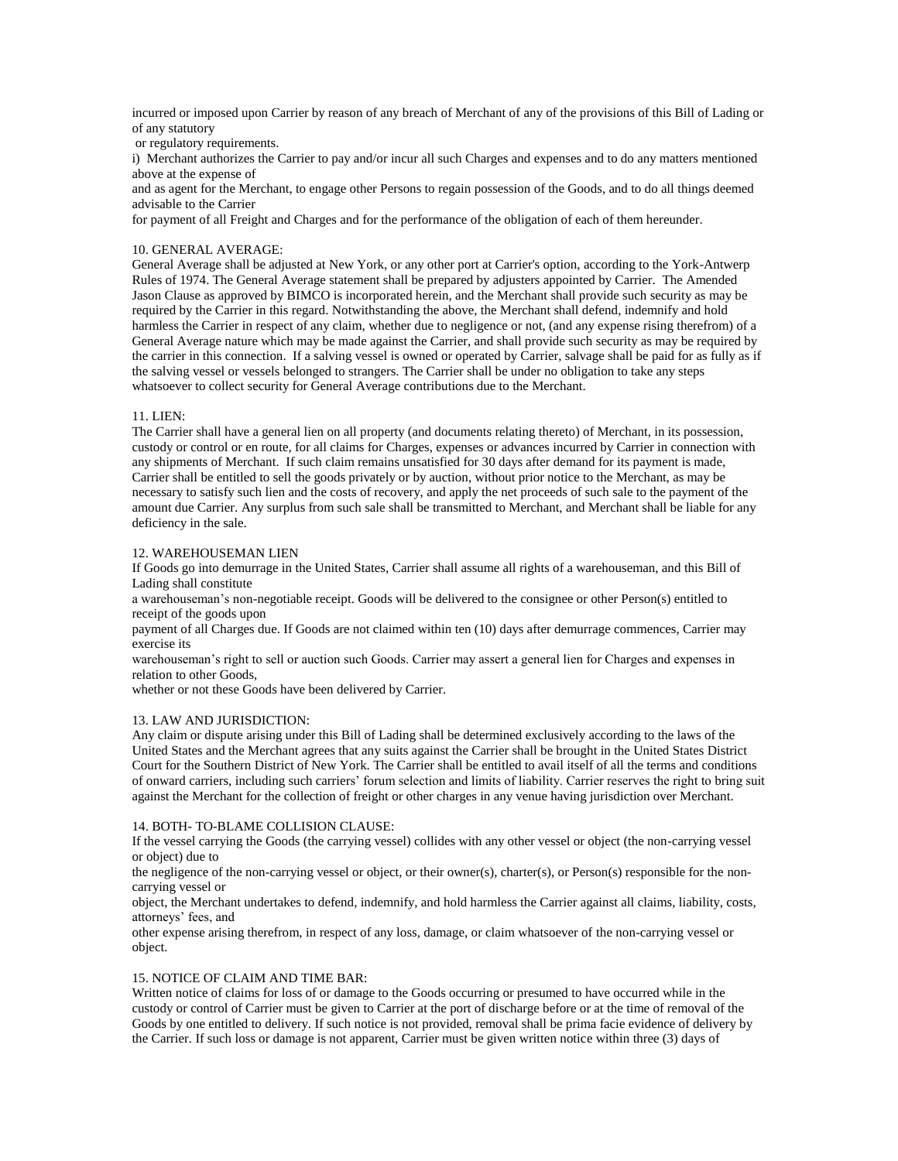incurred or imposed upon Carrier by reason of any breach of Merchant of any of the provisions of this Bill of Lading or of any statutory

or regulatory requirements.

i) Merchant authorizes the Carrier to pay and/or incur all such Charges and expenses and to do any matters mentioned above at the expense of

and as agent for the Merchant, to engage other Persons to regain possession of the Goods, and to do all things deemed advisable to the Carrier

for payment of all Freight and Charges and for the performance of the obligation of each of them hereunder.

#### 10. GENERAL AVERAGE:

General Average shall be adjusted at New York, or any other port at Carrier's option, according to the York-Antwerp Rules of 1974. The General Average statement shall be prepared by adjusters appointed by Carrier. The Amended Jason Clause as approved by BIMCO is incorporated herein, and the Merchant shall provide such security as may be required by the Carrier in this regard. Notwithstanding the above, the Merchant shall defend, indemnify and hold harmless the Carrier in respect of any claim, whether due to negligence or not, (and any expense rising therefrom) of a General Average nature which may be made against the Carrier, and shall provide such security as may be required by the carrier in this connection. If a salving vessel is owned or operated by Carrier, salvage shall be paid for as fully as if the salving vessel or vessels belonged to strangers. The Carrier shall be under no obligation to take any steps whatsoever to collect security for General Average contributions due to the Merchant.

#### 11. LIEN:

The Carrier shall have a general lien on all property (and documents relating thereto) of Merchant, in its possession, custody or control or en route, for all claims for Charges, expenses or advances incurred by Carrier in connection with any shipments of Merchant. If such claim remains unsatisfied for 30 days after demand for its payment is made, Carrier shall be entitled to sell the goods privately or by auction, without prior notice to the Merchant, as may be necessary to satisfy such lien and the costs of recovery, and apply the net proceeds of such sale to the payment of the amount due Carrier. Any surplus from such sale shall be transmitted to Merchant, and Merchant shall be liable for any deficiency in the sale.

#### 12. WAREHOUSEMAN LIEN

If Goods go into demurrage in the United States, Carrier shall assume all rights of a warehouseman, and this Bill of Lading shall constitute

a warehouseman's non-negotiable receipt. Goods will be delivered to the consignee or other Person(s) entitled to receipt of the goods upon

payment of all Charges due. If Goods are not claimed within ten (10) days after demurrage commences, Carrier may exercise its

warehouseman's right to sell or auction such Goods. Carrier may assert a general lien for Charges and expenses in relation to other Goods,

whether or not these Goods have been delivered by Carrier.

#### 13. LAW AND JURISDICTION:

Any claim or dispute arising under this Bill of Lading shall be determined exclusively according to the laws of the United States and the Merchant agrees that any suits against the Carrier shall be brought in the United States District Court for the Southern District of New York. The Carrier shall be entitled to avail itself of all the terms and conditions of onward carriers, including such carriers' forum selection and limits of liability. Carrier reserves the right to bring suit against the Merchant for the collection of freight or other charges in any venue having jurisdiction over Merchant.

#### 14. BOTH- TO-BLAME COLLISION CLAUSE:

If the vessel carrying the Goods (the carrying vessel) collides with any other vessel or object (the non-carrying vessel or object) due to

the negligence of the non-carrying vessel or object, or their owner(s), charter(s), or Person(s) responsible for the noncarrying vessel or

object, the Merchant undertakes to defend, indemnify, and hold harmless the Carrier against all claims, liability, costs, attorneys' fees, and

other expense arising therefrom, in respect of any loss, damage, or claim whatsoever of the non-carrying vessel or object.

#### 15. NOTICE OF CLAIM AND TIME BAR:

Written notice of claims for loss of or damage to the Goods occurring or presumed to have occurred while in the custody or control of Carrier must be given to Carrier at the port of discharge before or at the time of removal of the Goods by one entitled to delivery. If such notice is not provided, removal shall be prima facie evidence of delivery by the Carrier. If such loss or damage is not apparent, Carrier must be given written notice within three (3) days of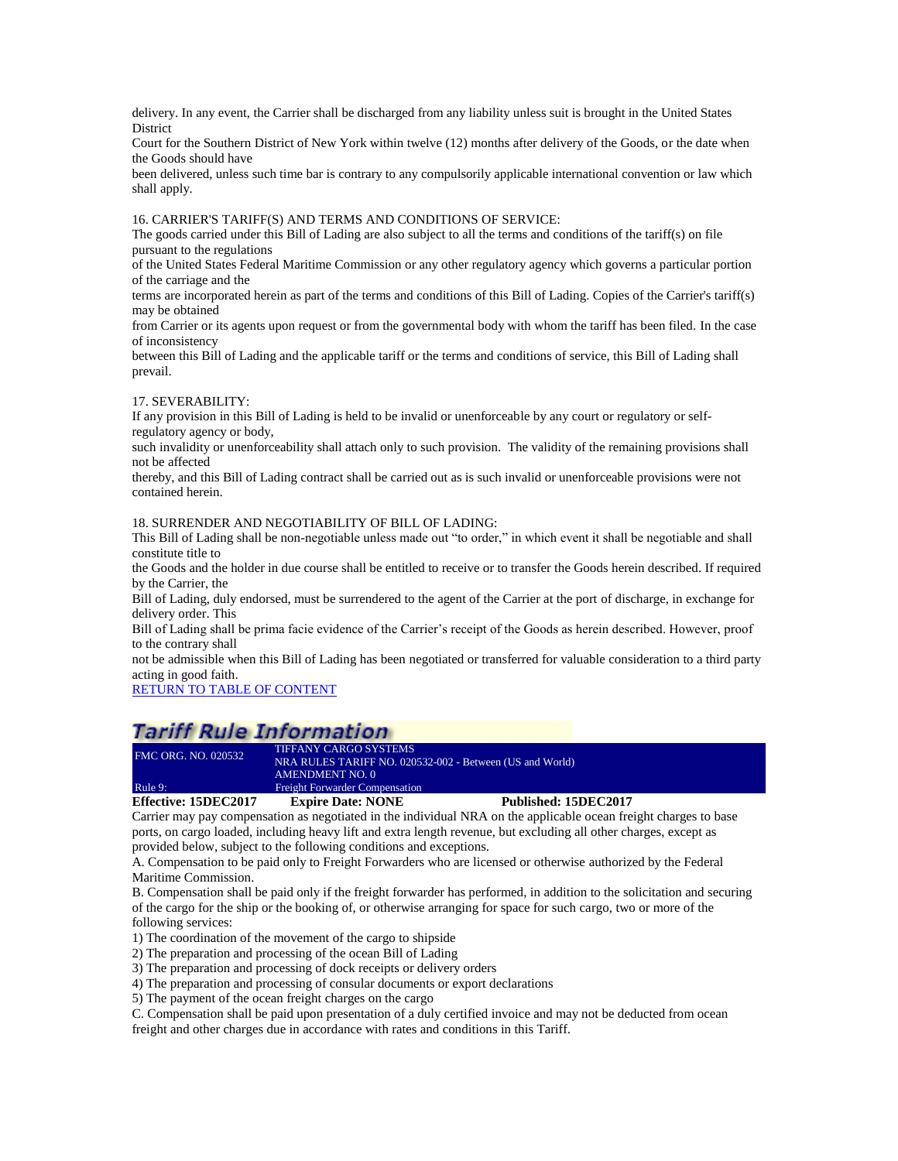delivery. In any event, the Carrier shall be discharged from any liability unless suit is brought in the United States District

Court for the Southern District of New York within twelve (12) months after delivery of the Goods, or the date when the Goods should have

been delivered, unless such time bar is contrary to any compulsorily applicable international convention or law which shall apply.

16. CARRIER'S TARIFF(S) AND TERMS AND CONDITIONS OF SERVICE:

The goods carried under this Bill of Lading are also subject to all the terms and conditions of the tariff(s) on file pursuant to the regulations

of the United States Federal Maritime Commission or any other regulatory agency which governs a particular portion of the carriage and the

terms are incorporated herein as part of the terms and conditions of this Bill of Lading. Copies of the Carrier's tariff(s) may be obtained

from Carrier or its agents upon request or from the governmental body with whom the tariff has been filed. In the case of inconsistency

between this Bill of Lading and the applicable tariff or the terms and conditions of service, this Bill of Lading shall prevail.

#### 17. SEVERABILITY:

If any provision in this Bill of Lading is held to be invalid or unenforceable by any court or regulatory or selfregulatory agency or body,

such invalidity or unenforceability shall attach only to such provision. The validity of the remaining provisions shall not be affected

thereby, and this Bill of Lading contract shall be carried out as is such invalid or unenforceable provisions were not contained herein.

#### 18. SURRENDER AND NEGOTIABILITY OF BILL OF LADING:

This Bill of Lading shall be non-negotiable unless made out "to order," in which event it shall be negotiable and shall constitute title to

the Goods and the holder in due course shall be entitled to receive or to transfer the Goods herein described. If required by the Carrier, the

Bill of Lading, duly endorsed, must be surrendered to the agent of the Carrier at the port of discharge, in exchange for delivery order. This

Bill of Lading shall be prima facie evidence of the Carrier's receipt of the Goods as herein described. However, proof to the contrary shall

not be admissible when this Bill of Lading has been negotiated or transferred for valuable consideration to a third party acting in good faith.

[RETURN TO TABLE OF CONTENT](#page-2-0)

### **Tariff Rule Information**

| Effective: 15DEC2017       | <b>Expire Date: NONE</b>                                 | Published: 15DEC2017 |  |
|----------------------------|----------------------------------------------------------|----------------------|--|
| Rule 9:                    | <b>Freight Forwarder Compensation</b>                    |                      |  |
|                            | AMENDMENT NO. 0                                          |                      |  |
|                            | NRA RULES TARIFF NO. 020532-002 - Between (US and World) |                      |  |
| <b>FMC ORG. NO. 020532</b> | TIFFANY CARGO SYSTEMS                                    |                      |  |

<span id="page-25-0"></span>Carrier may pay compensation as negotiated in the individual NRA on the applicable ocean freight charges to base ports, on cargo loaded, including heavy lift and extra length revenue, but excluding all other charges, except as provided below, subject to the following conditions and exceptions.

A. Compensation to be paid only to Freight Forwarders who are licensed or otherwise authorized by the Federal Maritime Commission.

B. Compensation shall be paid only if the freight forwarder has performed, in addition to the solicitation and securing of the cargo for the ship or the booking of, or otherwise arranging for space for such cargo, two or more of the following services:

1) The coordination of the movement of the cargo to shipside

2) The preparation and processing of the ocean Bill of Lading

3) The preparation and processing of dock receipts or delivery orders

4) The preparation and processing of consular documents or export declarations

5) The payment of the ocean freight charges on the cargo

C. Compensation shall be paid upon presentation of a duly certified invoice and may not be deducted from ocean freight and other charges due in accordance with rates and conditions in this Tariff.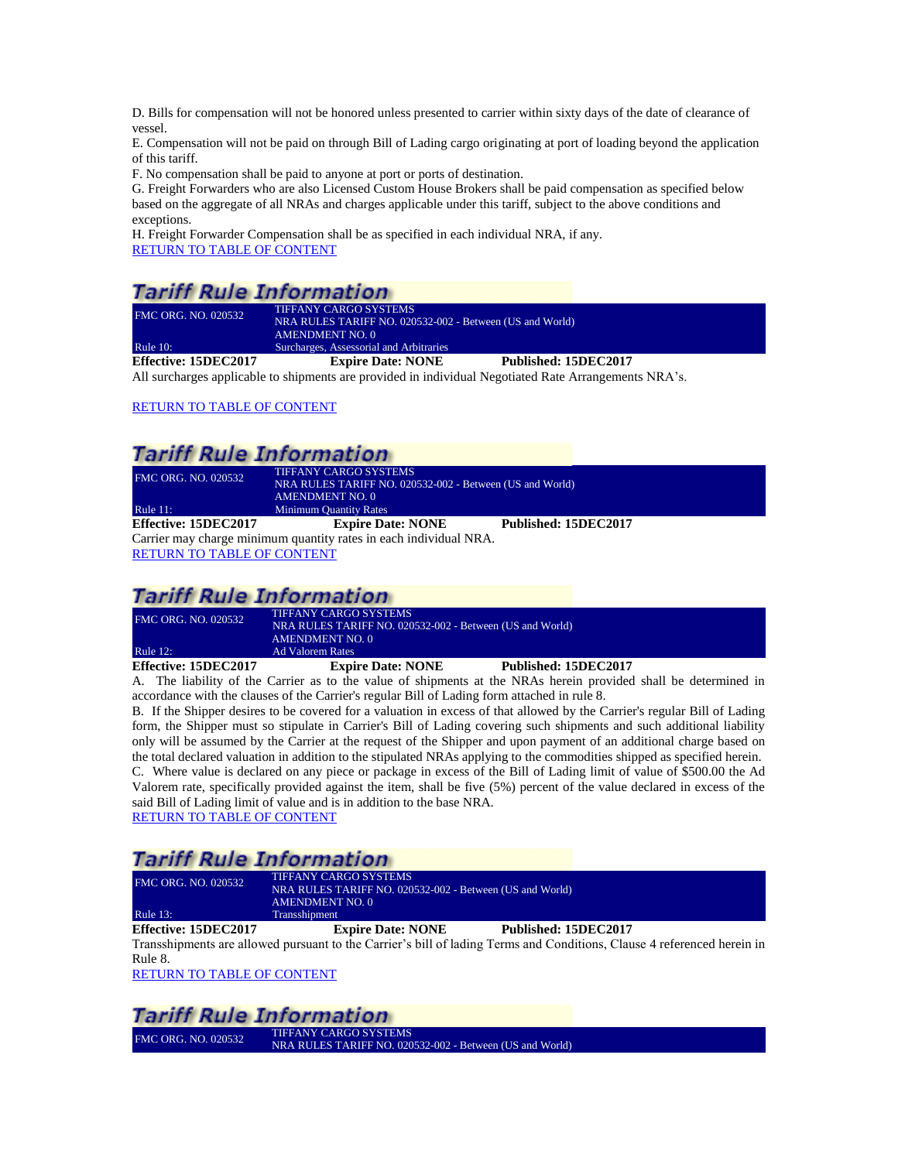D. Bills for compensation will not be honored unless presented to carrier within sixty days of the date of clearance of vessel.

E. Compensation will not be paid on through Bill of Lading cargo originating at port of loading beyond the application of this tariff.

F. No compensation shall be paid to anyone at port or ports of destination.

G. Freight Forwarders who are also Licensed Custom House Brokers shall be paid compensation as specified below based on the aggregate of all NRAs and charges applicable under this tariff, subject to the above conditions and exceptions.

H. Freight Forwarder Compensation shall be as specified in each individual NRA, if any. [RETURN TO TABLE OF CONTENT](#page-2-0)

# **Tariff Rule Information**

| $\Gamma$ ffootivo: 15D $\Gamma$ C2017 | <b>Evoire Dote: NONE</b>                                 | Dubliched, 15DEC2017 |  |
|---------------------------------------|----------------------------------------------------------|----------------------|--|
| Rule $10$ :                           | Surcharges, Assessorial and Arbitraries                  |                      |  |
|                                       | <b>AMENDMENT NO. 0</b>                                   |                      |  |
|                                       | NRA RULES TARIFF NO. 020532-002 - Between (US and World) |                      |  |
| <b>FMC ORG. NO. 020532</b>            | <b>TIFFANY CARGO SYSTEMS</b>                             |                      |  |

<span id="page-26-0"></span>**Effective: 15DEC2017 Expire Date: NONE Published: 15DEC2017** All surcharges applicable to shipments are provided in individual Negotiated Rate Arrangements NRA's.

### [RETURN TO TABLE OF CONTENT](#page-2-0)

# **Tariff Rule Information**

<span id="page-26-1"></span>

| <b>FMC ORG. NO. 020532</b>    | <b>TIFFANY CARGO SYSTEMS</b>                                      |                      |
|-------------------------------|-------------------------------------------------------------------|----------------------|
|                               | NRA RULES TARIFF NO. 020532-002 - Between (US and World)          |                      |
|                               | AMENDMENT NO. 0                                                   |                      |
| Rule $11$ :                   | <b>Minimum Quantity Rates</b>                                     |                      |
| Effective: 15DEC2017          | <b>Expire Date: NONE</b>                                          | Published: 15DEC2017 |
|                               | Carrier may charge minimum quantity rates in each individual NRA. |                      |
| DETUDM TO TA DI E OE COMTENIT |                                                                   |                      |

RETURN [TO TABLE OF CONTENT](#page-2-0)

### **Tariff Rule Information**

| Effective: 15DEC2017       | <b>Expire Date: NONE</b>                                 | Published: 15DEC2017 |  |
|----------------------------|----------------------------------------------------------|----------------------|--|
| Rule $12$ :                | Ad Valorem Rates                                         |                      |  |
|                            | <b>AMENDMENT NO. 0</b>                                   |                      |  |
|                            | NRA RULES TARIFF NO. 020532-002 - Between (US and World) |                      |  |
| <b>FMC ORG. NO. 020532</b> | <b>TIFFANY CARGO SYSTEMS</b>                             |                      |  |

<span id="page-26-2"></span>A. The liability of the Carrier as to the value of shipments at the NRAs herein provided shall be determined in accordance with the clauses of the Carrier's regular Bill of Lading form attached in rule 8.

B. If the Shipper desires to be covered for a valuation in excess of that allowed by the Carrier's regular Bill of Lading form, the Shipper must so stipulate in Carrier's Bill of Lading covering such shipments and such additional liability only will be assumed by the Carrier at the request of the Shipper and upon payment of an additional charge based on the total declared valuation in addition to the stipulated NRAs applying to the commodities shipped as specified herein.

C. Where value is declared on any piece or package in excess of the Bill of Lading limit of value of \$500.00 the Ad Valorem rate, specifically provided against the item, shall be five (5%) percent of the value declared in excess of the said Bill of Lading limit of value and is in addition to the base NRA.

[RETURN TO TABLE OF CONTENT](#page-2-0)

# **Tariff Rule Information**

| Effective: 15DEC2017       | <b>Expire Date: NONE</b>                                 | Published: 15DEC2017 |  |
|----------------------------|----------------------------------------------------------|----------------------|--|
| Rule $13$ :                | <b>Transshipment</b>                                     |                      |  |
|                            | AMENDMENT NO. 0                                          |                      |  |
|                            | NRA RULES TARIFF NO. 020532-002 - Between (US and World) |                      |  |
| <b>FMC ORG. NO. 020532</b> | <b>TIFFANY CARGO SYSTEMS</b>                             |                      |  |

<span id="page-26-3"></span>Transshipments are allowed pursuant to the Carrier's bill of lading Terms and Conditions, Clause 4 referenced herein in Rule 8.

[RETURN TO TABLE OF CONTENT](#page-2-0)

### **Tariff Rule Information**

FMC ORG. NO. 020532 TIFFANY CARGO SYSTEMS NRA RULES TARIFF NO. 020532-002 - Between (US and World)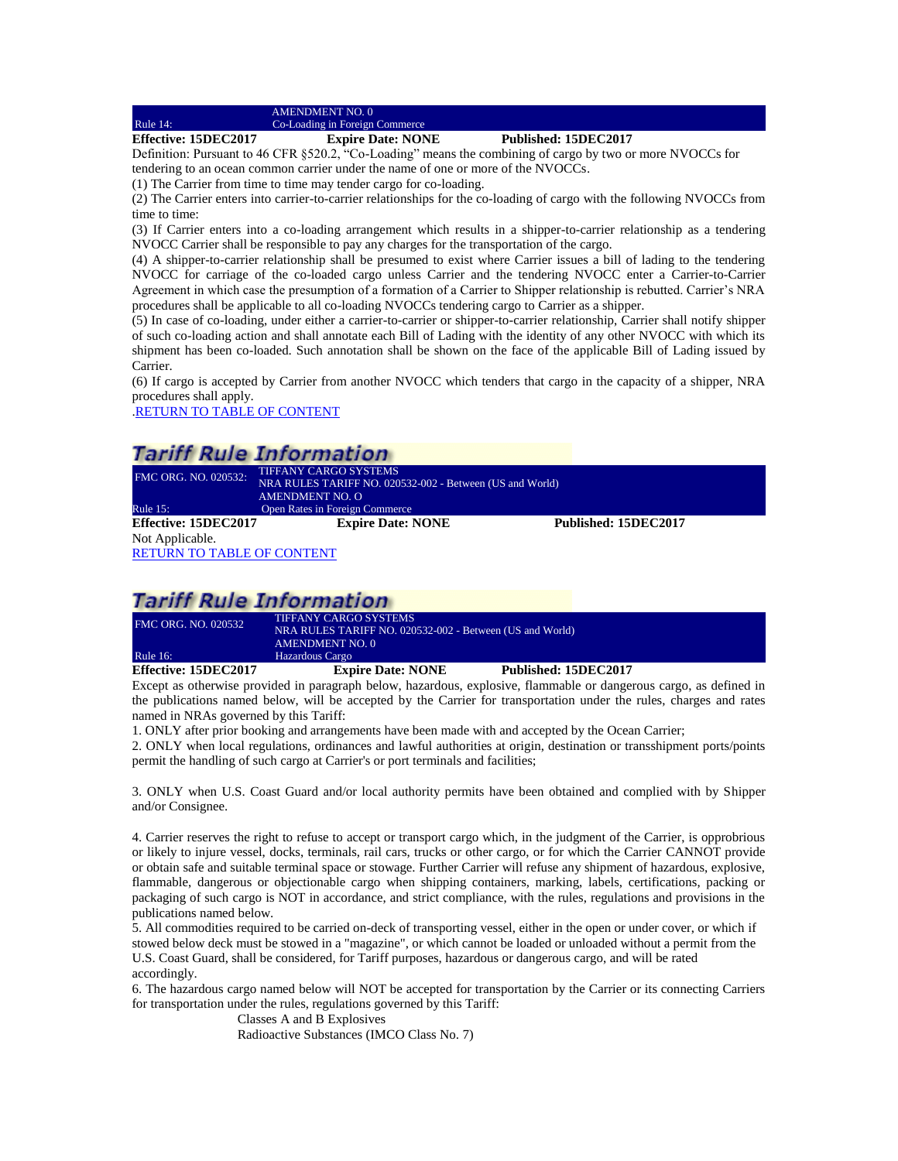AMENDMENT NO. 0

<span id="page-27-0"></span>Rule 14: Co-Loading in Foreign Commerce

**Effective: 15DEC2017 Expire Date: NONE Published: 15DEC2017**

Definition: Pursuant to 46 CFR §520.2, "Co-Loading" means the combining of cargo by two or more NVOCCs for tendering to an ocean common carrier under the name of one or more of the NVOCCs.

(1) The Carrier from time to time may tender cargo for co-loading.

(2) The Carrier enters into carrier-to-carrier relationships for the co-loading of cargo with the following NVOCCs from time to time:

(3) If Carrier enters into a co-loading arrangement which results in a shipper-to-carrier relationship as a tendering NVOCC Carrier shall be responsible to pay any charges for the transportation of the cargo.

(4) A shipper-to-carrier relationship shall be presumed to exist where Carrier issues a bill of lading to the tendering NVOCC for carriage of the co-loaded cargo unless Carrier and the tendering NVOCC enter a Carrier-to-Carrier Agreement in which case the presumption of a formation of a Carrier to Shipper relationship is rebutted. Carrier's NRA procedures shall be applicable to all co-loading NVOCCs tendering cargo to Carrier as a shipper.

(5) In case of co-loading, under either a carrier-to-carrier or shipper-to-carrier relationship, Carrier shall notify shipper of such co-loading action and shall annotate each Bill of Lading with the identity of any other NVOCC with which its shipment has been co-loaded. Such annotation shall be shown on the face of the applicable Bill of Lading issued by Carrier.

(6) If cargo is accepted by Carrier from another NVOCC which tenders that cargo in the capacity of a shipper, NRA procedures shall apply.

[.RETURN TO TABLE OF CONTENT](#page-2-0)

### **Tariff Rule Information**

<span id="page-27-1"></span>

| FMC ORG. NO. 020532:              | <b>TIFFANY CARGO SYSTEMS</b>                             |                      |
|-----------------------------------|----------------------------------------------------------|----------------------|
|                                   | NRA RULES TARIFF NO. 020532-002 - Between (US and World) |                      |
|                                   | <b>AMENDMENT NO. O</b>                                   |                      |
| Rule $15$ :                       | <b>Open Rates in Foreign Commerce</b>                    |                      |
| Effective: 15DEC2017              | <b>Expire Date: NONE</b>                                 | Published: 15DEC2017 |
| Not Applicable.                   |                                                          |                      |
| <b>RETURN TO TABLE OF CONTENT</b> |                                                          |                      |

### **Tariff Rule Information**

| Effective: 15DEC2017       | <b>Expire Date: NONE</b>                                 | Published: 15DEC2017 |  |
|----------------------------|----------------------------------------------------------|----------------------|--|
| <b>Rule 16:</b>            | Hazardous Cargo                                          |                      |  |
|                            | <b>AMENDMENT NO. 0</b>                                   |                      |  |
|                            | NRA RULES TARIFF NO. 020532-002 - Between (US and World) |                      |  |
| <b>FMC ORG. NO. 020532</b> | <b>TIFFANY CARGO SYSTEMS</b>                             |                      |  |

<span id="page-27-2"></span>Except as otherwise provided in paragraph below, hazardous, explosive, flammable or dangerous cargo, as defined in the publications named below, will be accepted by the Carrier for transportation under the rules, charges and rates named in NRAs governed by this Tariff:

1. ONLY after prior booking and arrangements have been made with and accepted by the Ocean Carrier;

2. ONLY when local regulations, ordinances and lawful authorities at origin, destination or transshipment ports/points permit the handling of such cargo at Carrier's or port terminals and facilities;

3. ONLY when U.S. Coast Guard and/or local authority permits have been obtained and complied with by Shipper and/or Consignee.

4. Carrier reserves the right to refuse to accept or transport cargo which, in the judgment of the Carrier, is opprobrious or likely to injure vessel, docks, terminals, rail cars, trucks or other cargo, or for which the Carrier CANNOT provide or obtain safe and suitable terminal space or stowage. Further Carrier will refuse any shipment of hazardous, explosive, flammable, dangerous or objectionable cargo when shipping containers, marking, labels, certifications, packing or packaging of such cargo is NOT in accordance, and strict compliance, with the rules, regulations and provisions in the publications named below.

5. All commodities required to be carried on-deck of transporting vessel, either in the open or under cover, or which if stowed below deck must be stowed in a "magazine", or which cannot be loaded or unloaded without a permit from the U.S. Coast Guard, shall be considered, for Tariff purposes, hazardous or dangerous cargo, and will be rated accordingly.

6. The hazardous cargo named below will NOT be accepted for transportation by the Carrier or its connecting Carriers for transportation under the rules, regulations governed by this Tariff:

> Classes A and B Explosives Radioactive Substances (IMCO Class No. 7)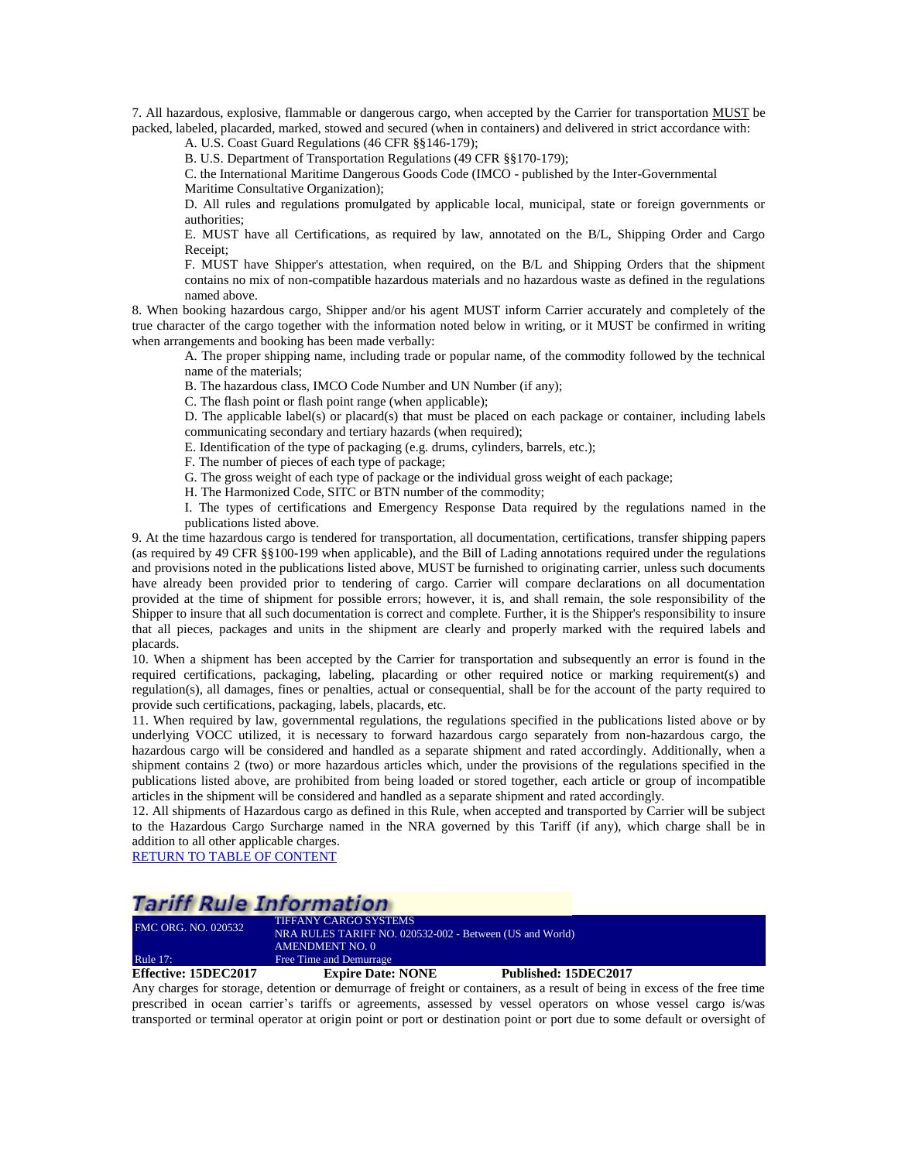7. All hazardous, explosive, flammable or dangerous cargo, when accepted by the Carrier for transportation MUST be packed, labeled, placarded, marked, stowed and secured (when in containers) and delivered in strict accordance with:

A. U.S. Coast Guard Regulations (46 CFR §§146-179);

B. U.S. Department of Transportation Regulations (49 CFR §§170-179);

C. the International Maritime Dangerous Goods Code (IMCO - published by the Inter-Governmental Maritime Consultative Organization);

D. All rules and regulations promulgated by applicable local, municipal, state or foreign governments or authorities;

E. MUST have all Certifications, as required by law, annotated on the B/L, Shipping Order and Cargo Receipt;

F. MUST have Shipper's attestation, when required, on the B/L and Shipping Orders that the shipment contains no mix of non-compatible hazardous materials and no hazardous waste as defined in the regulations named above.

8. When booking hazardous cargo, Shipper and/or his agent MUST inform Carrier accurately and completely of the true character of the cargo together with the information noted below in writing, or it MUST be confirmed in writing when arrangements and booking has been made verbally:

A. The proper shipping name, including trade or popular name, of the commodity followed by the technical name of the materials;

B. The hazardous class, IMCO Code Number and UN Number (if any);

C. The flash point or flash point range (when applicable);

D. The applicable label(s) or placard(s) that must be placed on each package or container, including labels communicating secondary and tertiary hazards (when required);

E. Identification of the type of packaging (e.g. drums, cylinders, barrels, etc.);

F. The number of pieces of each type of package;

G. The gross weight of each type of package or the individual gross weight of each package;

H. The Harmonized Code, SITC or BTN number of the commodity;

I. The types of certifications and Emergency Response Data required by the regulations named in the publications listed above.

9. At the time hazardous cargo is tendered for transportation, all documentation, certifications, transfer shipping papers (as required by 49 CFR §§100-199 when applicable), and the Bill of Lading annotations required under the regulations and provisions noted in the publications listed above, MUST be furnished to originating carrier, unless such documents have already been provided prior to tendering of cargo. Carrier will compare declarations on all documentation provided at the time of shipment for possible errors; however, it is, and shall remain, the sole responsibility of the Shipper to insure that all such documentation is correct and complete. Further, it is the Shipper's responsibility to insure that all pieces, packages and units in the shipment are clearly and properly marked with the required labels and placards.

10. When a shipment has been accepted by the Carrier for transportation and subsequently an error is found in the required certifications, packaging, labeling, placarding or other required notice or marking requirement(s) and regulation(s), all damages, fines or penalties, actual or consequential, shall be for the account of the party required to provide such certifications, packaging, labels, placards, etc.

11. When required by law, governmental regulations, the regulations specified in the publications listed above or by underlying VOCC utilized, it is necessary to forward hazardous cargo separately from non-hazardous cargo, the hazardous cargo will be considered and handled as a separate shipment and rated accordingly. Additionally, when a shipment contains 2 (two) or more hazardous articles which, under the provisions of the regulations specified in the publications listed above, are prohibited from being loaded or stored together, each article or group of incompatible articles in the shipment will be considered and handled as a separate shipment and rated accordingly.

12. All shipments of Hazardous cargo as defined in this Rule, when accepted and transported by Carrier will be subject to the Hazardous Cargo Surcharge named in the NRA governed by this Tariff (if any), which charge shall be in addition to all other applicable charges.

[RETURN TO TABLE OF CONTENT](#page-2-0)

### **Tariff Rule Information**

| <b>Effective: 15DEC2017</b> | <b>Expire Date: NONE</b>                                 | Published: 15DEC2017 |  |
|-----------------------------|----------------------------------------------------------|----------------------|--|
| Rule $17:$                  | Free Time and Demurrage                                  |                      |  |
|                             | <b>AMENDMENT NO. 0</b>                                   |                      |  |
|                             | NRA RULES TARIFF NO. 020532-002 - Between (US and World) |                      |  |
| <b>FMC ORG. NO. 020532</b>  | <b>TIFFANY CARGO SYSTEMS</b>                             |                      |  |

<span id="page-28-0"></span>Any charges for storage, detention or demurrage of freight or containers, as a result of being in excess of the free time prescribed in ocean carrier's tariffs or agreements, assessed by vessel operators on whose vessel cargo is/was transported or terminal operator at origin point or port or destination point or port due to some default or oversight of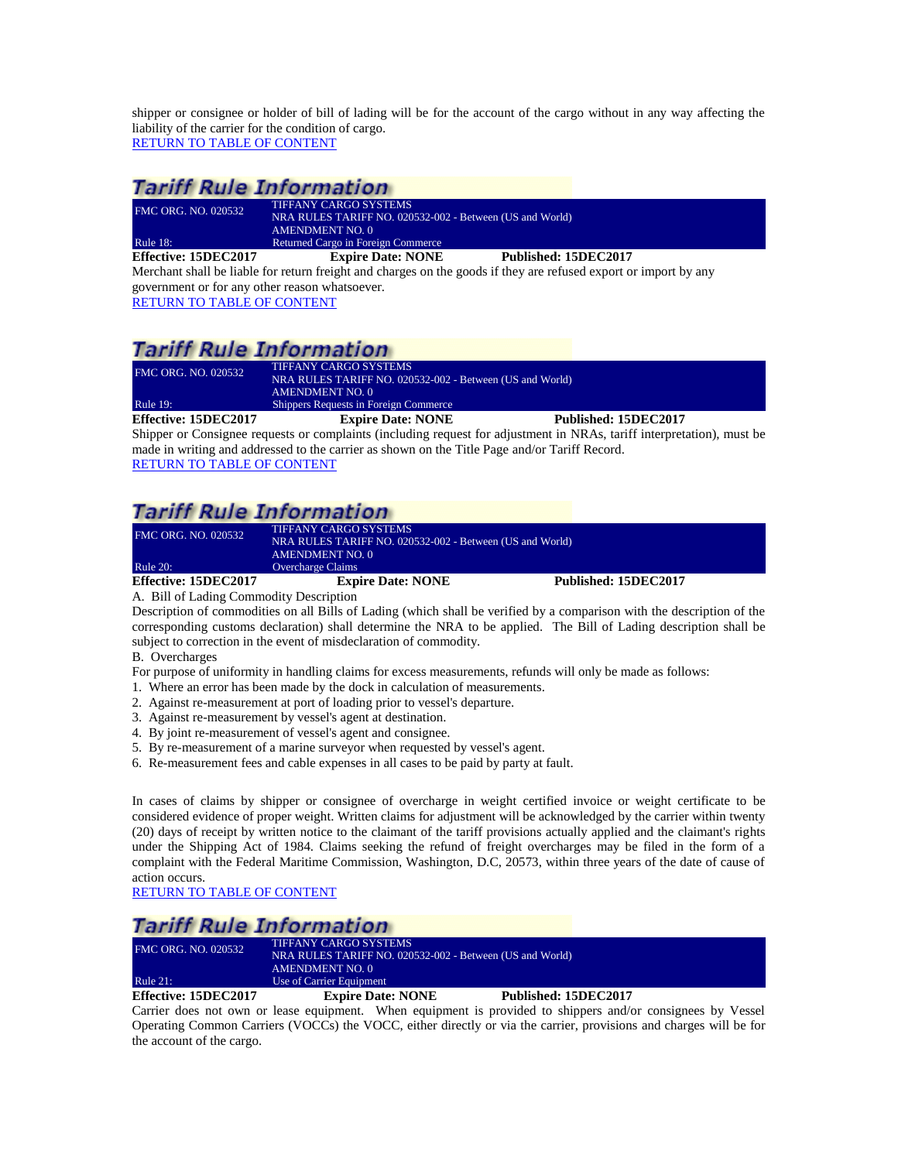shipper or consignee or holder of bill of lading will be for the account of the cargo without in any way affecting the liability of the carrier for the condition of cargo. [RETURN TO TABLE OF CONTENT](#page-2-0)

### **Tariff Rule Information**

| Effective: 15DEC2017       | <b>Expire Date: NONE</b>                                 | Published: 15DEC2017 |  |
|----------------------------|----------------------------------------------------------|----------------------|--|
| Rule 18:                   | Returned Cargo in Foreign Commerce                       |                      |  |
|                            | AMENDMENT NO. 0                                          |                      |  |
|                            | NRA RULES TARIFF NO. 020532-002 - Between (US and World) |                      |  |
| <b>FMC ORG. NO. 020532</b> | <b>TIFFANY CARGO SYSTEMS</b>                             |                      |  |
|                            |                                                          |                      |  |

<span id="page-29-0"></span>Merchant shall be liable for return freight and charges on the goods if they are refused export or import by any government or for any other reason whatsoever. [RETURN TO TABLE OF CONTENT](#page-2-0)

### **Tariff Rule Information**

| Effective: 15DEC2017       | <b>Expire Date: NONE</b>                                                                 | Published: 15DEC2017 |
|----------------------------|------------------------------------------------------------------------------------------|----------------------|
| <b>Rule 19:</b>            | AMENDMENT NO. 0<br><b>Shippers Requests in Foreign Commerce</b>                          |                      |
| <b>FMC ORG. NO. 020532</b> | <b>TIFFANY CARGO SYSTEMS</b><br>NRA RULES TARIFF NO. 020532-002 - Between (US and World) |                      |

<span id="page-29-1"></span>Shipper or Consignee requests or complaints (including request for adjustment in NRAs, tariff interpretation), must be made in writing and addressed to the carrier as shown on the Title Page and/or Tariff Record. [RETURN TO TABLE OF CONTENT](#page-2-0)

## **Tariff Rule Information**

| <b>FMC ORG. NO. 020532</b>                                  | <b>TIFFANY CARGO SYSTEMS</b><br>NRA RULES TARIFF NO. 020532-002 - Between (US and World)<br><b>AMENDMENT NO. 0</b> |                      |
|-------------------------------------------------------------|--------------------------------------------------------------------------------------------------------------------|----------------------|
| <b>Rule 20:</b>                                             | <b>Overcharge Claims</b>                                                                                           |                      |
| Effective: 15DEC2017<br>$\cdots$ $\cdots$ $\cdots$ $\cdots$ | <b>Expire Date: NONE</b>                                                                                           | Published: 15DEC2017 |

<span id="page-29-2"></span>A. Bill of Lading Commodity Description

Description of commodities on all Bills of Lading (which shall be verified by a comparison with the description of the corresponding customs declaration) shall determine the NRA to be applied. The Bill of Lading description shall be subject to correction in the event of misdeclaration of commodity.

B. Overcharges

- For purpose of uniformity in handling claims for excess measurements, refunds will only be made as follows:
- 1. Where an error has been made by the dock in calculation of measurements.
- 2. Against re-measurement at port of loading prior to vessel's departure.
- 3. Against re-measurement by vessel's agent at destination.
- 4. By joint re-measurement of vessel's agent and consignee.
- 5. By re-measurement of a marine surveyor when requested by vessel's agent.
- 6. Re-measurement fees and cable expenses in all cases to be paid by party at fault.

In cases of claims by shipper or consignee of overcharge in weight certified invoice or weight certificate to be considered evidence of proper weight. Written claims for adjustment will be acknowledged by the carrier within twenty (20) days of receipt by written notice to the claimant of the tariff provisions actually applied and the claimant's rights under the Shipping Act of 1984. Claims seeking the refund of freight overcharges may be filed in the form of a complaint with the Federal Maritime Commission, Washington, D.C, 20573, within three years of the date of cause of action occurs.

[RETURN TO TABLE OF CONTENT](#page-2-0)

# **Tariff Rule Information**

| Effective: 15DEC2017       | <b>Expire Date: NONE</b>                                 | Published: 15DEC2017 |  |
|----------------------------|----------------------------------------------------------|----------------------|--|
| Rule $21$ :                | Use of Carrier Equipment                                 |                      |  |
|                            | AMENDMENT NO. 0                                          |                      |  |
|                            | NRA RULES TARIFF NO. 020532-002 - Between (US and World) |                      |  |
| <b>FMC ORG. NO. 020532</b> | TIFFANY CARGO SYSTEMS                                    |                      |  |

<span id="page-29-3"></span>Carrier does not own or lease equipment. When equipment is provided to shippers and/or consignees by Vessel Operating Common Carriers (VOCCs) the VOCC, either directly or via the carrier, provisions and charges will be for the account of the cargo.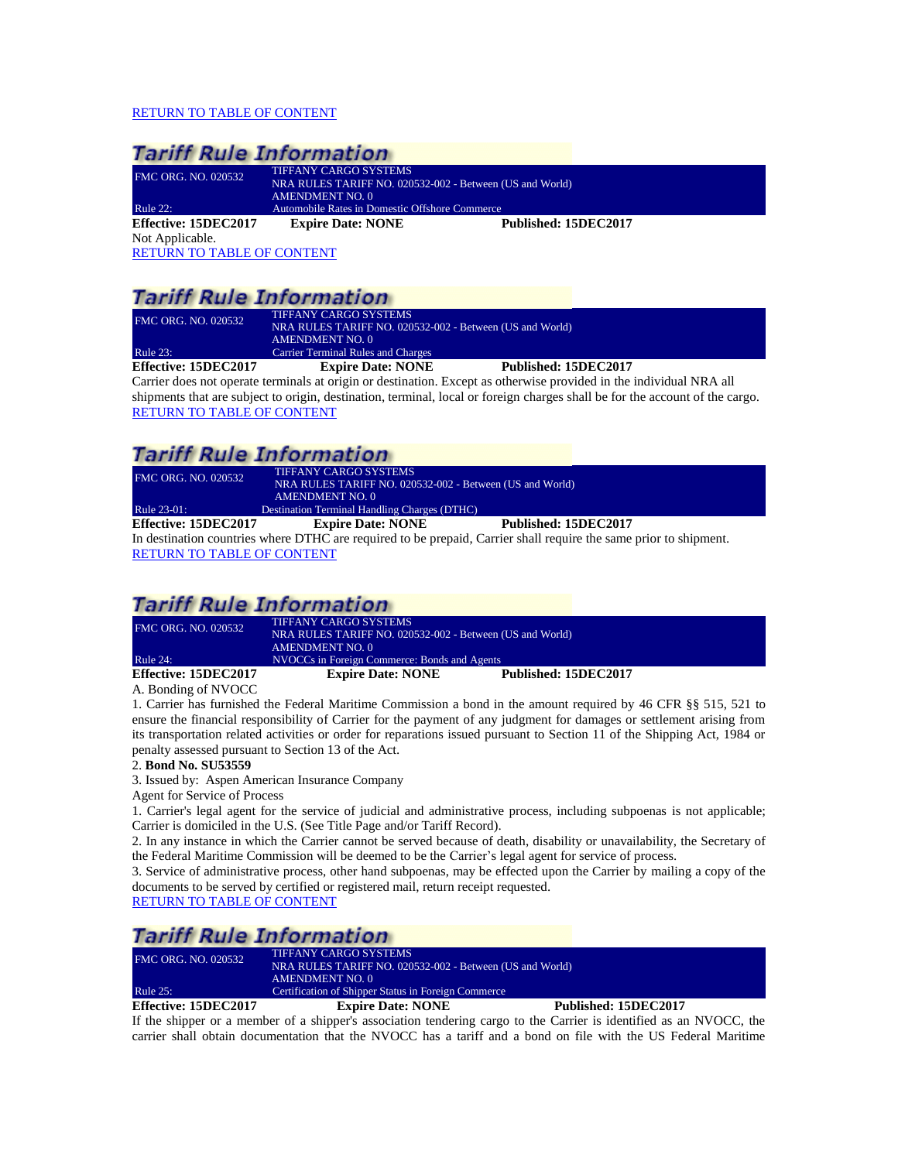#### [RETURN TO TABLE OF CONTENT](#page-2-0)

<span id="page-30-0"></span>

| <b>Tariff Rule Information</b>    |                                                                                                             |                      |  |
|-----------------------------------|-------------------------------------------------------------------------------------------------------------|----------------------|--|
| <b>FMC ORG. NO. 020532</b>        | <b>TIFFANY CARGO SYSTEMS</b><br>NRA RULES TARIFF NO. 020532-002 - Between (US and World)<br>AMENDMENT NO. 0 |                      |  |
| <b>Rule 22:</b>                   | Automobile Rates in Domestic Offshore Commerce                                                              |                      |  |
| Effective: 15DEC2017              | <b>Expire Date: NONE</b>                                                                                    | Published: 15DEC2017 |  |
| Not Applicable.                   |                                                                                                             |                      |  |
| <b>RETURN TO TABLE OF CONTENT</b> |                                                                                                             |                      |  |

### **Tariff Rule Information**

| Effective: 15DEC2017       | <b>Expire Date: NONE</b>                                 | Published: 15DEC2017 |  |
|----------------------------|----------------------------------------------------------|----------------------|--|
| Rule $23$ :                | <b>Carrier Terminal Rules and Charges</b>                |                      |  |
|                            | AMENDMENT NO. 0                                          |                      |  |
|                            | NRA RULES TARIFF NO. 020532-002 - Between (US and World) |                      |  |
| <b>FMC ORG. NO. 020532</b> | <b>TIFFANY CARGO SYSTEMS</b>                             |                      |  |
|                            |                                                          |                      |  |

<span id="page-30-1"></span>Carrier does not operate terminals at origin or destination. Except as otherwise provided in the individual NRA all shipments that are subject to origin, destination, terminal, local or foreign charges shall be for the account of the cargo. [RETURN TO TABLE OF CONTENT](#page-2-0)

### **Tariff Rule Information**

<span id="page-30-2"></span>

| <b>FMC ORG. NO. 020532</b>      | <b>TIFFANY CARGO SYSTEMS</b><br>NRA RULES TARIFF NO. 020532-002 - Between (US and World) |                                                                                                                   |
|---------------------------------|------------------------------------------------------------------------------------------|-------------------------------------------------------------------------------------------------------------------|
|                                 | AMENDMENT NO. 0                                                                          |                                                                                                                   |
| Rule 23-01:                     | <b>Destination Terminal Handling Charges (DTHC)</b>                                      |                                                                                                                   |
| Effective: 15DEC2017            | <b>Expire Date: NONE</b>                                                                 | Published: 15DEC2017                                                                                              |
|                                 |                                                                                          | In destination countries where DTHC are required to be prepaid, Carrier shall require the same prior to shipment. |
| <b>DREIDLER RIDIR OR COURSE</b> |                                                                                          |                                                                                                                   |

[RETURN TO TABLE OF CONTENT](#page-2-0)

# **Tariff Rule Information**

| Effective: 15DEC2017       | <b>Expire Date: NONE</b>                                 | Published: 15DEC2017 |
|----------------------------|----------------------------------------------------------|----------------------|
| <b>Rule 24:</b>            | NVOCCs in Foreign Commerce: Bonds and Agents             |                      |
|                            | <b>AMENDMENT NO. 0</b>                                   |                      |
|                            | NRA RULES TARIFF NO. 020532-002 - Between (US and World) |                      |
| <b>FMC ORG. NO. 020532</b> | <b>TIFFANY CARGO SYSTEMS</b>                             |                      |

### <span id="page-30-3"></span>A. Bonding of NVOCC

1. Carrier has furnished the Federal Maritime Commission a bond in the amount required by 46 CFR §§ 515, 521 to ensure the financial responsibility of Carrier for the payment of any judgment for damages or settlement arising from its transportation related activities or order for reparations issued pursuant to Section 11 of the Shipping Act, 1984 or penalty assessed pursuant to Section 13 of the Act.

#### 2. **Bond No. SU53559**

3. Issued by: Aspen American Insurance Company

Agent for Service of Process

1. Carrier's legal agent for the service of judicial and administrative process, including subpoenas is not applicable; Carrier is domiciled in the U.S. (See Title Page and/or Tariff Record).

2. In any instance in which the Carrier cannot be served because of death, disability or unavailability, the Secretary of the Federal Maritime Commission will be deemed to be the Carrier's legal agent for service of process.

3. Service of administrative process, other hand subpoenas, may be effected upon the Carrier by mailing a copy of the documents to be served by certified or registered mail, return receipt requested.

[RETURN TO TABLE OF CONTENT](#page-2-0)

# **Tariff Rule Information**

FMC ORG. NO. 020532 TIFFANY CARGO SYSTEMS NRA RULES TARIFF NO. 020532-002 - Between (US and World) AMENDMENT NO. 0 Rule 25: Certification of Shipper Status in Foreign Commerce

#### <span id="page-30-4"></span>**Effective: 15DEC2017 Expire Date: NONE Published: 15DEC2017**

If the shipper or a member of a shipper's association tendering cargo to the Carrier is identified as an NVOCC, the carrier shall obtain documentation that the NVOCC has a tariff and a bond on file with the US Federal Maritime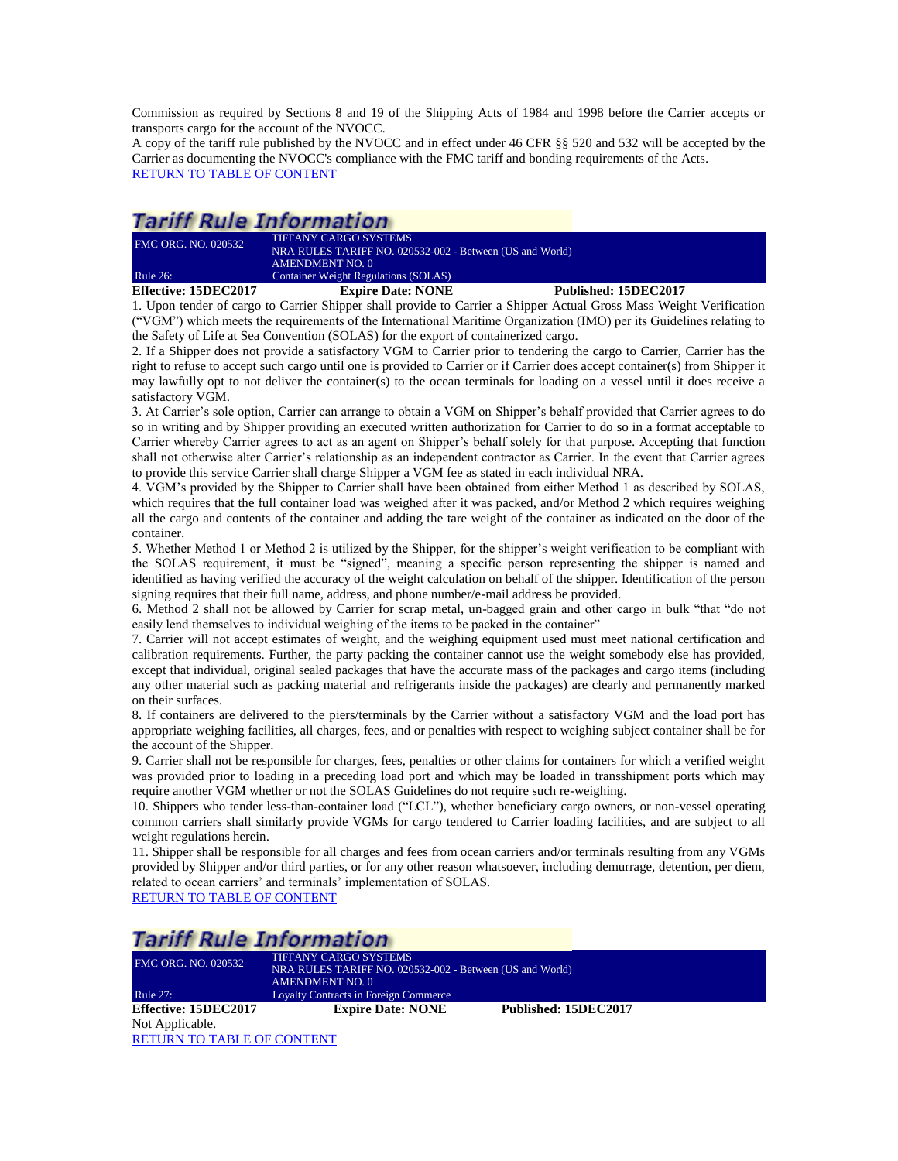Commission as required by Sections 8 and 19 of the Shipping Acts of 1984 and 1998 before the Carrier accepts or transports cargo for the account of the NVOCC.

A copy of the tariff rule published by the NVOCC and in effect under 46 CFR §§ 520 and 532 will be accepted by the Carrier as documenting the NVOCC's compliance with the FMC tariff and bonding requirements of the Acts. [RETURN TO TABLE OF CONTENT](#page-2-0)

### *Tariff Rule Information*

| <b>FMC ORG. NO. 020532</b> | <b>TIFFANY CARGO SYSTEMS</b><br>NRA RULES TARIFF NO. 020532-002 - Between (US and World)<br>AMENDMENT NO. 0 |  |                      |
|----------------------------|-------------------------------------------------------------------------------------------------------------|--|----------------------|
| <b>Rule 26:</b>            | <b>Container Weight Regulations (SOLAS)</b>                                                                 |  |                      |
| Effective: 15DEC2017       | <b>Expire Date: NONE</b>                                                                                    |  | Published: 15DEC2017 |

<span id="page-31-0"></span>1. Upon tender of cargo to Carrier Shipper shall provide to Carrier a Shipper Actual Gross Mass Weight Verification ("VGM") which meets the requirements of the International Maritime Organization (IMO) per its Guidelines relating to the Safety of Life at Sea Convention (SOLAS) for the export of containerized cargo.

2. If a Shipper does not provide a satisfactory VGM to Carrier prior to tendering the cargo to Carrier, Carrier has the right to refuse to accept such cargo until one is provided to Carrier or if Carrier does accept container(s) from Shipper it may lawfully opt to not deliver the container(s) to the ocean terminals for loading on a vessel until it does receive a satisfactory VGM.

3. At Carrier's sole option, Carrier can arrange to obtain a VGM on Shipper's behalf provided that Carrier agrees to do so in writing and by Shipper providing an executed written authorization for Carrier to do so in a format acceptable to Carrier whereby Carrier agrees to act as an agent on Shipper's behalf solely for that purpose. Accepting that function shall not otherwise alter Carrier's relationship as an independent contractor as Carrier. In the event that Carrier agrees to provide this service Carrier shall charge Shipper a VGM fee as stated in each individual NRA.

4. VGM's provided by the Shipper to Carrier shall have been obtained from either Method 1 as described by SOLAS, which requires that the full container load was weighed after it was packed, and/or Method 2 which requires weighing all the cargo and contents of the container and adding the tare weight of the container as indicated on the door of the container.

5. Whether Method 1 or Method 2 is utilized by the Shipper, for the shipper's weight verification to be compliant with the SOLAS requirement, it must be "signed", meaning a specific person representing the shipper is named and identified as having verified the accuracy of the weight calculation on behalf of the shipper. Identification of the person signing requires that their full name, address, and phone number/e-mail address be provided.

6. Method 2 shall not be allowed by Carrier for scrap metal, un-bagged grain and other cargo in bulk "that "do not easily lend themselves to individual weighing of the items to be packed in the container"

7. Carrier will not accept estimates of weight, and the weighing equipment used must meet national certification and calibration requirements. Further, the party packing the container cannot use the weight somebody else has provided, except that individual, original sealed packages that have the accurate mass of the packages and cargo items (including any other material such as packing material and refrigerants inside the packages) are clearly and permanently marked on their surfaces.

8. If containers are delivered to the piers/terminals by the Carrier without a satisfactory VGM and the load port has appropriate weighing facilities, all charges, fees, and or penalties with respect to weighing subject container shall be for the account of the Shipper.

9. Carrier shall not be responsible for charges, fees, penalties or other claims for containers for which a verified weight was provided prior to loading in a preceding load port and which may be loaded in transshipment ports which may require another VGM whether or not the SOLAS Guidelines do not require such re-weighing.

10. Shippers who tender less-than-container load ("LCL"), whether beneficiary cargo owners, or non-vessel operating common carriers shall similarly provide VGMs for cargo tendered to Carrier loading facilities, and are subject to all weight regulations herein.

11. Shipper shall be responsible for all charges and fees from ocean carriers and/or terminals resulting from any VGMs provided by Shipper and/or third parties, or for any other reason whatsoever, including demurrage, detention, per diem, related to ocean carriers' and terminals' implementation of SOLAS. [RETURN TO TABLE OF CONTENT](#page-2-0)

# Tariff Dulo Information

<span id="page-31-1"></span>

| ramm Kule Information             |                                                          |                      |  |  |
|-----------------------------------|----------------------------------------------------------|----------------------|--|--|
| <b>FMC ORG. NO. 020532</b>        | <b>TIFFANY CARGO SYSTEMS</b>                             |                      |  |  |
|                                   | NRA RULES TARIFF NO. 020532-002 - Between (US and World) |                      |  |  |
|                                   | <b>AMENDMENT NO. 0</b>                                   |                      |  |  |
| Rule 27:                          | <b>Loyalty Contracts in Foreign Commerce</b>             |                      |  |  |
| Effective: 15DEC2017              | <b>Expire Date: NONE</b>                                 | Published: 15DEC2017 |  |  |
| Not Applicable.                   |                                                          |                      |  |  |
| <b>RETURN TO TABLE OF CONTENT</b> |                                                          |                      |  |  |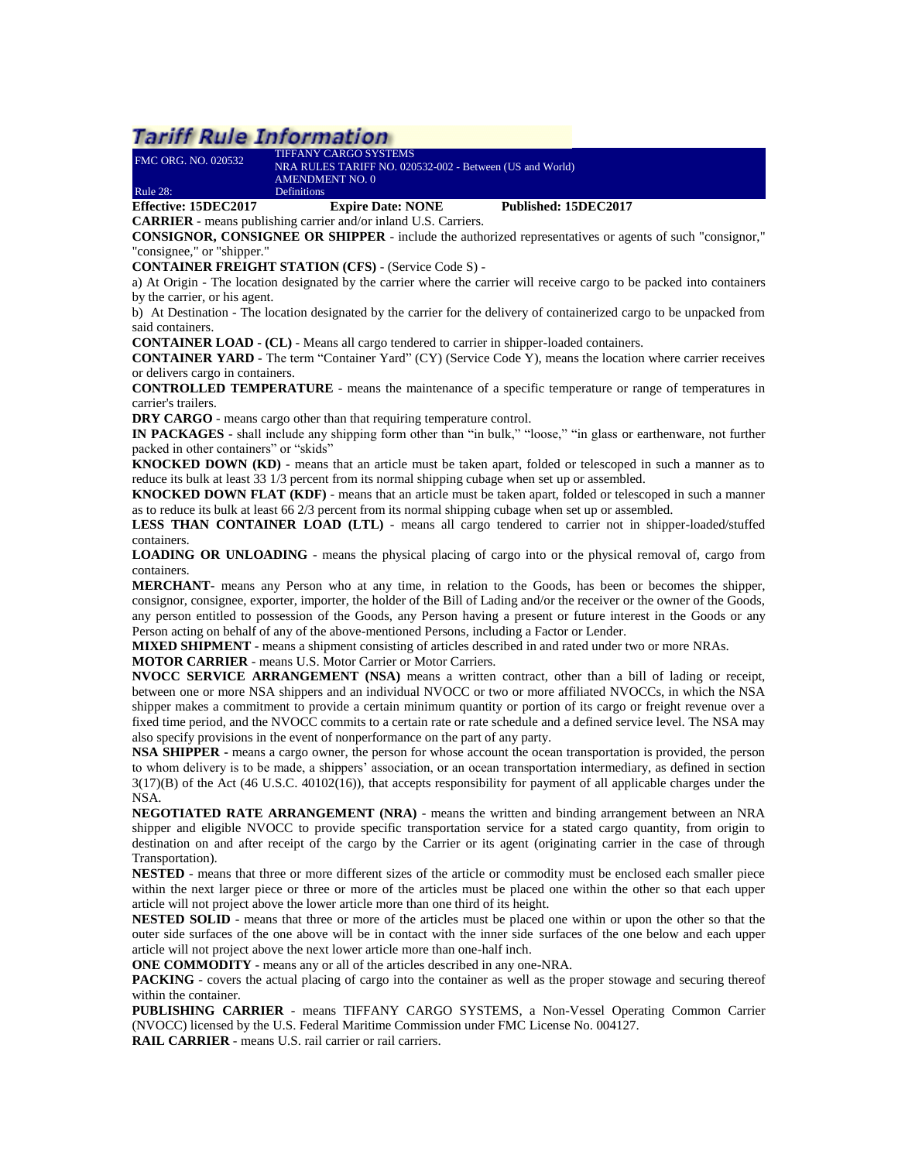# **Tariff Rule Information**

<span id="page-32-0"></span>

|                            | <b>CARRIER</b> - means publishing carrier and/or inland U.S. Carriers. |                      |  |
|----------------------------|------------------------------------------------------------------------|----------------------|--|
| Effective: 15DEC2017       | <b>Expire Date: NONE</b>                                               | Published: 15DEC2017 |  |
| Rule 28:                   | <b>Definitions</b>                                                     |                      |  |
|                            | AMENDMENT NO. 0                                                        |                      |  |
|                            | NRA RULES TARIFF NO. 020532-002 - Between (US and World)               |                      |  |
| <b>FMC ORG. NO. 020532</b> | <b>TIFFANY CARGO SYSTEMS</b>                                           |                      |  |

**CONSIGNOR, CONSIGNEE OR SHIPPER** - include the authorized representatives or agents of such "consignor," "consignee," or "shipper."

**CONTAINER FREIGHT STATION (CFS)** - (Service Code S) -

a) At Origin - The location designated by the carrier where the carrier will receive cargo to be packed into containers by the carrier, or his agent.

b) At Destination - The location designated by the carrier for the delivery of containerized cargo to be unpacked from said containers.

**CONTAINER LOAD - (CL)** - Means all cargo tendered to carrier in shipper-loaded containers.

**CONTAINER YARD** - The term "Container Yard" (CY) (Service Code Y), means the location where carrier receives or delivers cargo in containers.

**CONTROLLED TEMPERATURE** - means the maintenance of a specific temperature or range of temperatures in carrier's trailers.

**DRY CARGO** - means cargo other than that requiring temperature control.

**IN PACKAGES** - shall include any shipping form other than "in bulk," "loose," "in glass or earthenware, not further packed in other containers" or "skids"

**KNOCKED DOWN (KD)** - means that an article must be taken apart, folded or telescoped in such a manner as to reduce its bulk at least 33 1/3 percent from its normal shipping cubage when set up or assembled.

**KNOCKED DOWN FLAT (KDF)** - means that an article must be taken apart, folded or telescoped in such a manner as to reduce its bulk at least 66 2/3 percent from its normal shipping cubage when set up or assembled.

**LESS THAN CONTAINER LOAD (LTL)** - means all cargo tendered to carrier not in shipper-loaded/stuffed containers.

**LOADING OR UNLOADING** - means the physical placing of cargo into or the physical removal of, cargo from containers.

**MERCHANT-** means any Person who at any time, in relation to the Goods, has been or becomes the shipper, consignor, consignee, exporter, importer, the holder of the Bill of Lading and/or the receiver or the owner of the Goods, any person entitled to possession of the Goods, any Person having a present or future interest in the Goods or any Person acting on behalf of any of the above-mentioned Persons, including a Factor or Lender.

**MIXED SHIPMENT** - means a shipment consisting of articles described in and rated under two or more NRAs.

**MOTOR CARRIER** - means U.S. Motor Carrier or Motor Carriers.

**NVOCC SERVICE ARRANGEMENT (NSA)** means a written contract, other than a bill of lading or receipt, between one or more NSA shippers and an individual NVOCC or two or more affiliated NVOCCs, in which the NSA shipper makes a commitment to provide a certain minimum quantity or portion of its cargo or freight revenue over a fixed time period, and the NVOCC commits to a certain rate or rate schedule and a defined service level. The NSA may also specify provisions in the event of nonperformance on the part of any party.

**NSA SHIPPER -** means a cargo owner, the person for whose account the ocean transportation is provided, the person to whom delivery is to be made, a shippers' association, or an ocean transportation intermediary, as defined in section 3(17)(B) of the Act (46 U.S.C. 40102(16)), that accepts responsibility for payment of all applicable charges under the NSA.

**NEGOTIATED RATE ARRANGEMENT (NRA)** - means the written and binding arrangement between an NRA shipper and eligible NVOCC to provide specific transportation service for a stated cargo quantity, from origin to destination on and after receipt of the cargo by the Carrier or its agent (originating carrier in the case of through Transportation).

**NESTED** - means that three or more different sizes of the article or commodity must be enclosed each smaller piece within the next larger piece or three or more of the articles must be placed one within the other so that each upper article will not project above the lower article more than one third of its height.

**NESTED SOLID** - means that three or more of the articles must be placed one within or upon the other so that the outer side surfaces of the one above will be in contact with the inner side surfaces of the one below and each upper article will not project above the next lower article more than one-half inch.

**ONE COMMODITY** - means any or all of the articles described in any one-NRA.

**PACKING** - covers the actual placing of cargo into the container as well as the proper stowage and securing thereof within the container.

**PUBLISHING CARRIER** - means TIFFANY CARGO SYSTEMS, a Non-Vessel Operating Common Carrier (NVOCC) licensed by the U.S. Federal Maritime Commission under FMC License No. 004127.

**RAIL CARRIER** - means U.S. rail carrier or rail carriers.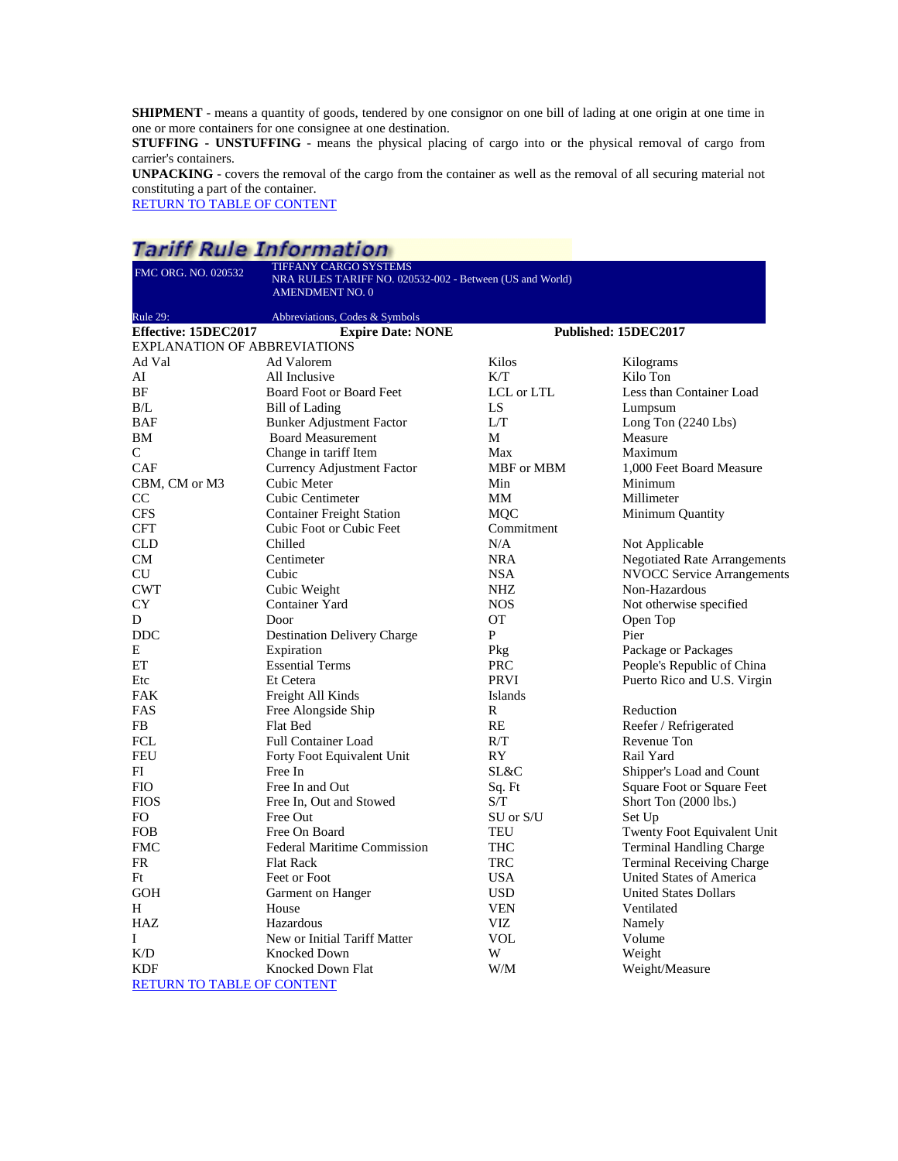**SHIPMENT** - means a quantity of goods, tendered by one consignor on one bill of lading at one origin at one time in one or more containers for one consignee at one destination.

**STUFFING - UNSTUFFING** - means the physical placing of cargo into or the physical removal of cargo from carrier's containers.

**UNPACKING** - covers the removal of the cargo from the container as well as the removal of all securing material not constituting a part of the container.

[RETURN TO TABLE OF CONTENT](#page-2-0)

# **Tariff Rule Information**

| FMC ORG. NO. 020532                           | TIFFANY CARGO SYSTEMS                                                              |                   |                                                       |  |
|-----------------------------------------------|------------------------------------------------------------------------------------|-------------------|-------------------------------------------------------|--|
|                                               | NRA RULES TARIFF NO. 020532-002 - Between (US and World)<br><b>AMENDMENT NO. 0</b> |                   |                                                       |  |
|                                               |                                                                                    |                   |                                                       |  |
| Rule 29:                                      | Abbreviations, Codes & Symbols                                                     |                   |                                                       |  |
| Effective: 15DEC2017                          | <b>Expire Date: NONE</b>                                                           |                   | Published: 15DEC2017                                  |  |
| <b>EXPLANATION OF ABBREVIATIONS</b><br>Ad Val | Ad Valorem                                                                         | Kilos             |                                                       |  |
| AI                                            | All Inclusive                                                                      | K/T               | Kilograms<br>Kilo Ton                                 |  |
| ΒF                                            | Board Foot or Board Feet                                                           | LCL or LTL        | Less than Container Load                              |  |
| B/L                                           | Bill of Lading                                                                     | LS                | Lumpsum                                               |  |
| <b>BAF</b>                                    | <b>Bunker Adjustment Factor</b>                                                    | L/T               | Long Ton $(2240$ Lbs)                                 |  |
| BM                                            | <b>Board Measurement</b>                                                           | M                 | Measure                                               |  |
| C                                             | Change in tariff Item                                                              | Max               | Maximum                                               |  |
| <b>CAF</b>                                    | Currency Adjustment Factor                                                         | MBF or MBM        | 1,000 Feet Board Measure                              |  |
| CBM, CM or M3                                 | Cubic Meter                                                                        | Min               | Minimum                                               |  |
| CC                                            | <b>Cubic Centimeter</b>                                                            | MМ                | Millimeter                                            |  |
| <b>CFS</b>                                    | <b>Container Freight Station</b>                                                   | <b>MQC</b>        | Minimum Quantity                                      |  |
| <b>CFT</b>                                    | Cubic Foot or Cubic Feet                                                           | Commitment        |                                                       |  |
| <b>CLD</b>                                    | Chilled                                                                            | N/A               |                                                       |  |
| CM                                            | Centimeter                                                                         | <b>NRA</b>        | Not Applicable<br><b>Negotiated Rate Arrangements</b> |  |
|                                               | Cubic                                                                              |                   | <b>NVOCC Service Arrangements</b>                     |  |
| <b>CU</b><br><b>CWT</b>                       |                                                                                    | <b>NSA</b><br>NHZ | Non-Hazardous                                         |  |
|                                               | Cubic Weight                                                                       |                   |                                                       |  |
| CY                                            | Container Yard                                                                     | <b>NOS</b>        | Not otherwise specified                               |  |
| D                                             | Door                                                                               | <b>OT</b><br>P    | Open Top                                              |  |
| <b>DDC</b>                                    | <b>Destination Delivery Charge</b>                                                 |                   | Pier                                                  |  |
| E                                             | Expiration                                                                         | Pkg               | Package or Packages                                   |  |
| ET                                            | <b>Essential Terms</b>                                                             | <b>PRC</b>        | People's Republic of China                            |  |
| Etc                                           | Et Cetera                                                                          | <b>PRVI</b>       | Puerto Rico and U.S. Virgin                           |  |
| <b>FAK</b>                                    | Freight All Kinds                                                                  | Islands           |                                                       |  |
| FAS                                           | Free Alongside Ship                                                                | R                 | Reduction                                             |  |
| FB.                                           | <b>Flat Bed</b>                                                                    | RE                | Reefer / Refrigerated                                 |  |
| FCL                                           | <b>Full Container Load</b>                                                         | R/T               | Revenue Ton                                           |  |
| <b>FEU</b>                                    | Forty Foot Equivalent Unit                                                         | RY                | Rail Yard                                             |  |
| FI                                            | Free In                                                                            | SL&C              | Shipper's Load and Count                              |  |
| <b>FIO</b>                                    | Free In and Out                                                                    | Sq. Ft            | Square Foot or Square Feet                            |  |
| <b>FIOS</b>                                   | Free In, Out and Stowed                                                            | S/T               | Short Ton (2000 lbs.)                                 |  |
| FO.                                           | Free Out                                                                           | SU or S/U         | Set Up                                                |  |
| <b>FOB</b>                                    | Free On Board                                                                      | TEU               | Twenty Foot Equivalent Unit                           |  |
| <b>FMC</b>                                    | <b>Federal Maritime Commission</b>                                                 | THC               | <b>Terminal Handling Charge</b>                       |  |
| <b>FR</b>                                     | <b>Flat Rack</b>                                                                   | <b>TRC</b>        | <b>Terminal Receiving Charge</b>                      |  |
| Ft                                            | Feet or Foot                                                                       | <b>USA</b>        | United States of America                              |  |
| <b>GOH</b>                                    | Garment on Hanger                                                                  | <b>USD</b>        | <b>United States Dollars</b>                          |  |
| H                                             | House                                                                              | <b>VEN</b>        | Ventilated                                            |  |
| <b>HAZ</b>                                    | Hazardous                                                                          | <b>VIZ</b>        | Namely                                                |  |
| I                                             | New or Initial Tariff Matter                                                       | VOL               | Volume                                                |  |
| K/D                                           | <b>Knocked Down</b>                                                                | W                 | Weight                                                |  |
| <b>KDF</b>                                    | Knocked Down Flat                                                                  | W/M               | Weight/Measure                                        |  |
| <b>RETURN TO TABLE OF CONTENT</b>             |                                                                                    |                   |                                                       |  |